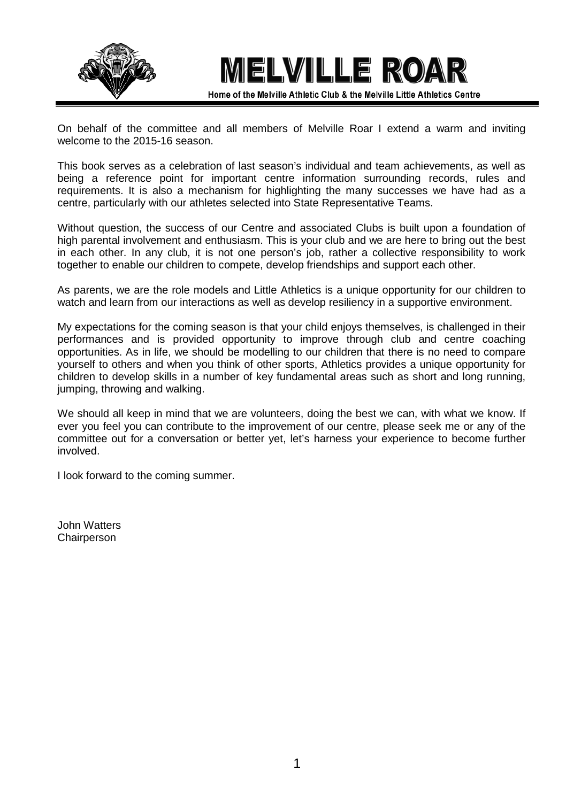



Home of the Melville Athletic Club & the Melville Little Athletics Centre

On behalf of the committee and all members of Melville Roar I extend a warm and inviting welcome to the 2015-16 season.

This book serves as a celebration of last season's individual and team achievements, as well as being a reference point for important centre information surrounding records, rules and requirements. It is also a mechanism for highlighting the many successes we have had as a centre, particularly with our athletes selected into State Representative Teams.

Without question, the success of our Centre and associated Clubs is built upon a foundation of high parental involvement and enthusiasm. This is your club and we are here to bring out the best in each other. In any club, it is not one person's job, rather a collective responsibility to work together to enable our children to compete, develop friendships and support each other.

As parents, we are the role models and Little Athletics is a unique opportunity for our children to watch and learn from our interactions as well as develop resiliency in a supportive environment.

My expectations for the coming season is that your child enjoys themselves, is challenged in their performances and is provided opportunity to improve through club and centre coaching opportunities. As in life, we should be modelling to our children that there is no need to compare yourself to others and when you think of other sports, Athletics provides a unique opportunity for children to develop skills in a number of key fundamental areas such as short and long running, jumping, throwing and walking.

We should all keep in mind that we are volunteers, doing the best we can, with what we know. If ever you feel you can contribute to the improvement of our centre, please seek me or any of the committee out for a conversation or better yet, let's harness your experience to become further involved.

I look forward to the coming summer.

John Watters Chairperson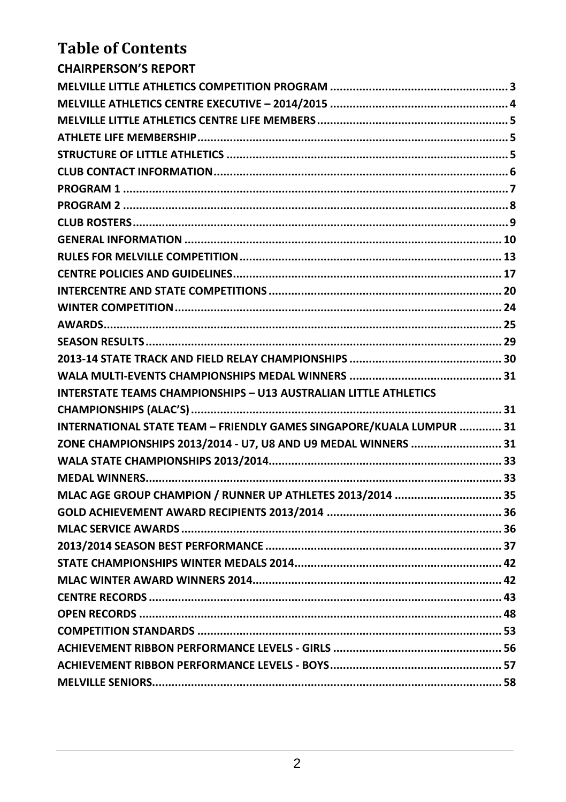# **Table of Contents**

| CHAIRPERSON'S REPORT                                                   |
|------------------------------------------------------------------------|
|                                                                        |
|                                                                        |
|                                                                        |
|                                                                        |
|                                                                        |
|                                                                        |
|                                                                        |
|                                                                        |
|                                                                        |
|                                                                        |
|                                                                        |
|                                                                        |
|                                                                        |
|                                                                        |
|                                                                        |
|                                                                        |
| 2013-14 STATE TRACK AND FIELD RELAY CHAMPIONSHIPS …………………………………………… 30 |
|                                                                        |
| INTERSTATE TEAMS CHAMPIONSHIPS - U13 AUSTRALIAN LITTLE ATHLETICS       |
|                                                                        |
| INTERNATIONAL STATE TEAM - FRIENDLY GAMES SINGAPORE/KUALA LUMPUR  31   |
| ZONE CHAMPIONSHIPS 2013/2014 - U7, U8 AND U9 MEDAL WINNERS  31         |
|                                                                        |
|                                                                        |
| MLAC AGE GROUP CHAMPION / RUNNER UP ATHLETES 2013/2014  35             |
|                                                                        |
|                                                                        |
|                                                                        |
|                                                                        |
|                                                                        |
|                                                                        |
|                                                                        |
|                                                                        |
|                                                                        |
|                                                                        |
|                                                                        |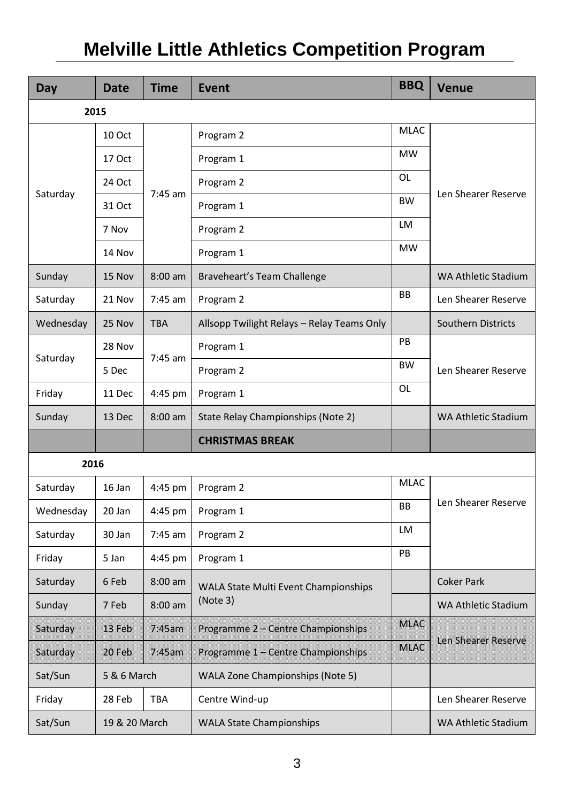# <span id="page-2-0"></span>**Melville Little Athletics Competition Program**

| Day       | <b>Date</b>   | <b>Time</b> | <b>Event</b>                               | <b>BBQ</b>  | <b>Venue</b>               |  |  |  |
|-----------|---------------|-------------|--------------------------------------------|-------------|----------------------------|--|--|--|
|           | 2015          |             |                                            |             |                            |  |  |  |
|           | 10 Oct        |             | <b>MLAC</b>                                |             |                            |  |  |  |
|           | 17 Oct        |             | Program 1                                  | <b>MW</b>   |                            |  |  |  |
|           | 24 Oct        |             | Program 2                                  | OL          |                            |  |  |  |
| Saturday  | 31 Oct        | $7:45$ am   | Program 1                                  | <b>BW</b>   | Len Shearer Reserve        |  |  |  |
|           | 7 Nov         |             | Program 2                                  | LM          |                            |  |  |  |
|           | 14 Nov        |             | Program 1                                  | <b>MW</b>   |                            |  |  |  |
| Sunday    | 15 Nov        | $8:00$ am   | Braveheart's Team Challenge                |             | <b>WA Athletic Stadium</b> |  |  |  |
| Saturday  | 21 Nov        | 7:45 am     | <b>BB</b><br>Program 2                     |             | Len Shearer Reserve        |  |  |  |
| Wednesday | 25 Nov        | <b>TBA</b>  | Allsopp Twilight Relays - Relay Teams Only |             | <b>Southern Districts</b>  |  |  |  |
|           | 28 Nov        |             | Program 1                                  | PB          |                            |  |  |  |
| Saturday  | 5 Dec         | 7:45 am     | Program 2                                  | <b>BW</b>   | Len Shearer Reserve        |  |  |  |
| Friday    | 11 Dec        | 4:45 pm     | Program 1                                  | OL          |                            |  |  |  |
| Sunday    | 13 Dec        | $8:00$ am   | State Relay Championships (Note 2)         |             | <b>WA Athletic Stadium</b> |  |  |  |
|           |               |             | <b>CHRISTMAS BREAK</b>                     |             |                            |  |  |  |
| 2016      |               |             |                                            |             |                            |  |  |  |
| Saturday  | 16 Jan        | 4:45 pm     | Program 2                                  | <b>MLAC</b> |                            |  |  |  |
| Wednesday | 20 Jan        | 4:45 pm     | Program 1                                  | <b>BB</b>   | Len Shearer Reserve        |  |  |  |
| Saturday  | 30 Jan        | 7:45 am     | Program 2                                  | <b>LM</b>   |                            |  |  |  |
| Friday    | 5 Jan         | 4:45 pm     | Program 1                                  | PB          |                            |  |  |  |
| Saturday  | 6 Feb         | $8:00$ am   | WALA State Multi Event Championships       |             | <b>Coker Park</b>          |  |  |  |
| Sunday    | 7 Feb         | 8:00 am     | (Note 3)                                   |             | <b>WA Athletic Stadium</b> |  |  |  |
| Saturday  | 13 Feb        | 7:45am      | Programme 2 - Centre Championships         | <b>MLAC</b> |                            |  |  |  |
| Saturday  | 20 Feb        | 7:45am      | Programme 1 - Centre Championships         | <b>MLAC</b> | Len Shearer Reserve        |  |  |  |
| Sat/Sun   | 5 & 6 March   |             | <b>WALA Zone Championships (Note 5)</b>    |             |                            |  |  |  |
| Friday    | 28 Feb        | <b>TBA</b>  | Centre Wind-up                             |             | Len Shearer Reserve        |  |  |  |
| Sat/Sun   | 19 & 20 March |             | <b>WALA State Championships</b>            |             | <b>WA Athletic Stadium</b> |  |  |  |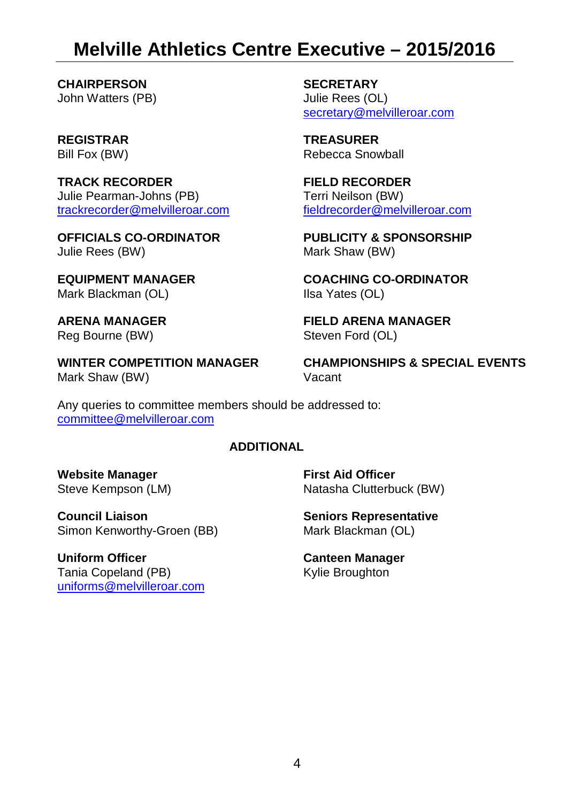# <span id="page-3-0"></span>**Melville Athletics Centre Executive – 2015/2016**

**CHAIRPERSON SECRETARY**<br>
John Watters (PB) **SECRETARY**<br>
Julie Rees (OL) John Watters (PB)

**TRACK RECORDER FIELD RECORDER** Julie Pearman-Johns (PB) [trackrecorder@melvilleroar.com](mailto:trackrecorder@melvilleroar.com)

Mark Blackman (OL)

Mark Shaw (BW) **Vacant** 

[secretary@melvilleroar.com](mailto:secretary@melvilleroar.com)

**REGISTRAR TREASURER** Bill Fox (BW) Rebecca Snowball

> Terri Neilson (BW) [fieldrecorder@melvilleroar.com](mailto:fieldrecorder@melvilleroar.com)

**OFFICIALS CO-ORDINATOR** PUBLICITY & SPONSORSHIP<br>
Julie Rees (BW) **PUBLICITY & SPONSORSHIP** Mark Shaw (BW)

**EQUIPMENT MANAGER COACHING CO-ORDINATOR**

**ARENA MANAGER FIELD ARENA MANAGER** Steven Ford (OL)

**WINTER COMPETITION MANAGER CHAMPIONSHIPS & SPECIAL EVENTS**

Any queries to committee members should be addressed to: [committee@melvilleroar.com](mailto:committee@melvilleroar.com)

#### **ADDITIONAL**

**Website Manager First Aid Officer**<br> **Steve Kempson (LM) First Aid Officer** 

**Council Liaison**<br>
Simon Kenworthy-Groen (BB) Simon Kenworthy-Groen (BB) Mark Blackman (OL) Simon Kenworthy-Groen (BB)

**Uniform Officer**<br>
Tania Copeland (PB) **Canteen Manager**<br>
Kylie Broughton Tania Copeland (PB) [uniforms@melvilleroar.com](mailto:uniforms@melvilleroar.com)

Natasha Clutterbuck (BW)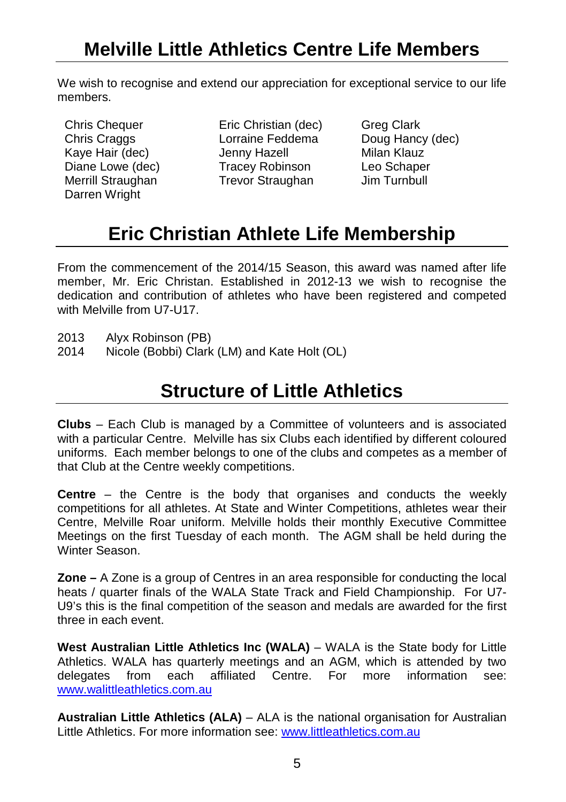# <span id="page-4-0"></span>**Melville Little Athletics Centre Life Members**

We wish to recognise and extend our appreciation for exceptional service to our life members.

Darren Wright

Chris Chequer **Eric Christian (dec)** Greg Clark<br>
Chris Craggs
Chris Craggs
Chris Craggs
Chris Craggs
Chris Craggs
Chris Craggs
Chris Craggs
Chris Craggs
Chris Craggs
Chris Craggs
Chris Craggs
Chris Craggs
Chris Craggs
Chri Lorraine Feddema Doug Hancy<br>
Jenny Hazell Milan Klauz Kaye Hair (dec) Jenny Hazell Milan Klauz Tracey Robinson Leo Schaper<br>
Trevor Straughan Jim Turnbull Merrill Straughan Trevor Straughan

# **Eric Christian Athlete Life Membership**

<span id="page-4-1"></span>From the commencement of the 2014/15 Season, this award was named after life member, Mr. Eric Christan. Established in 2012-13 we wish to recognise the dedication and contribution of athletes who have been registered and competed with Melville from U7-U17

- 2013 Alyx Robinson (PB)<br>2014 Nicole (Bobbi) Clark
- <span id="page-4-2"></span>Nicole (Bobbi) Clark (LM) and Kate Holt (OL)

# **Structure of Little Athletics**

**Clubs** – Each Club is managed by a Committee of volunteers and is associated with a particular Centre. Melville has six Clubs each identified by different coloured uniforms. Each member belongs to one of the clubs and competes as a member of that Club at the Centre weekly competitions.

**Centre** – the Centre is the body that organises and conducts the weekly competitions for all athletes. At State and Winter Competitions, athletes wear their Centre, Melville Roar uniform. Melville holds their monthly Executive Committee Meetings on the first Tuesday of each month. The AGM shall be held during the Winter Season.

**Zone –** A Zone is a group of Centres in an area responsible for conducting the local heats / quarter finals of the WALA State Track and Field Championship. For U7- U9's this is the final competition of the season and medals are awarded for the first three in each event.

**West Australian Little Athletics Inc (WALA)** – WALA is the State body for Little Athletics. WALA has quarterly meetings and an AGM, which is attended by two delegates from each affiliated Centre For more information see: delegates from each affiliated Centre. For more information see: [www.walittleathletics.com.au](http://www.walittleathletics.com.au/)

**Australian Little Athletics (ALA)** – ALA is the national organisation for Australian Little Athletics. For more information see[: www.littleathletics.com.au](http://www.littleathletics.com.au/)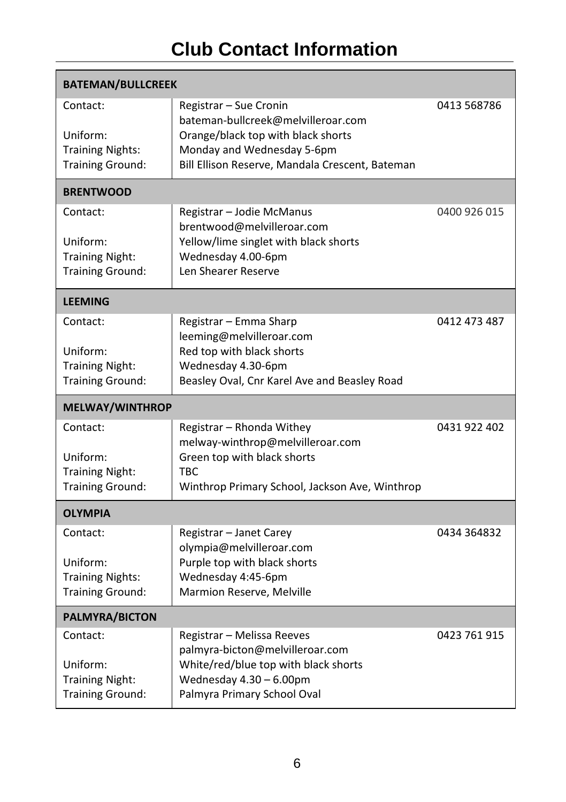# **Club Contact Information**

<span id="page-5-0"></span>

| <b>BATEMAN/BULLCREEK</b>                           |                                                                               |              |
|----------------------------------------------------|-------------------------------------------------------------------------------|--------------|
| Contact:                                           | Registrar – Sue Cronin<br>bateman-bullcreek@melvilleroar.com                  | 0413 568786  |
| Uniform:                                           | Orange/black top with black shorts                                            |              |
| <b>Training Nights:</b><br><b>Training Ground:</b> | Monday and Wednesday 5-6pm<br>Bill Ellison Reserve, Mandala Crescent, Bateman |              |
| <b>BRENTWOOD</b>                                   |                                                                               |              |
| Contact:                                           | Registrar – Jodie McManus<br>brentwood@melvilleroar.com                       | 0400 926 015 |
| Uniform:                                           | Yellow/lime singlet with black shorts                                         |              |
| <b>Training Night:</b>                             | Wednesday 4.00-6pm                                                            |              |
| <b>Training Ground:</b>                            | Len Shearer Reserve                                                           |              |
| <b>LEEMING</b>                                     |                                                                               |              |
| Contact:                                           | Registrar - Emma Sharp                                                        | 0412 473 487 |
| Uniform:                                           | leeming@melvilleroar.com<br>Red top with black shorts                         |              |
| <b>Training Night:</b>                             | Wednesday 4.30-6pm                                                            |              |
| <b>Training Ground:</b>                            | Beasley Oval, Cnr Karel Ave and Beasley Road                                  |              |
|                                                    |                                                                               |              |
| <b>MELWAY/WINTHROP</b>                             |                                                                               |              |
| Contact:                                           | Registrar - Rhonda Withey                                                     | 0431 922 402 |
|                                                    | melway-winthrop@melvilleroar.com                                              |              |
| Uniform:<br><b>Training Night:</b>                 | Green top with black shorts<br><b>TBC</b>                                     |              |
| <b>Training Ground:</b>                            | Winthrop Primary School, Jackson Ave, Winthrop                                |              |
| <b>OLYMPIA</b>                                     |                                                                               |              |
| Contact:                                           | Registrar – Janet Carey                                                       | 0434 364832  |
|                                                    | olympia@melvilleroar.com                                                      |              |
| Uniform:<br><b>Training Nights:</b>                | Purple top with black shorts<br>Wednesday 4:45-6pm                            |              |
| <b>Training Ground:</b>                            | Marmion Reserve, Melville                                                     |              |
| <b>PALMYRA/BICTON</b>                              |                                                                               |              |
| Contact:                                           | Registrar – Melissa Reeves                                                    | 0423 761 915 |
|                                                    | palmyra-bicton@melvilleroar.com                                               |              |
| Uniform:<br><b>Training Night:</b>                 | White/red/blue top with black shorts<br>Wednesday $4.30 - 6.00$ pm            |              |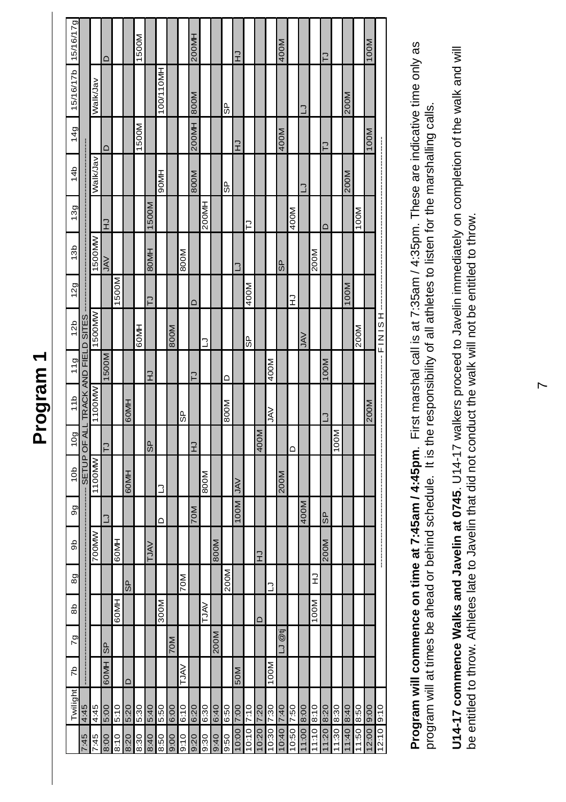# <span id="page-6-0"></span>**Program 1**

|                     |                                    |                | $\circ$    |       |        | 1500M |             |           |      |             | 200MH      |             |      |      | F          |             |           |            | 400M   |            |            |           | 5            |           |           |           | 100M          |            |
|---------------------|------------------------------------|----------------|------------|-------|--------|-------|-------------|-----------|------|-------------|------------|-------------|------|------|------------|-------------|-----------|------------|--------|------------|------------|-----------|--------------|-----------|-----------|-----------|---------------|------------|
| 15/16/17b 15/16/17g |                                    | <b>WalkJav</b> |            |       |        |       |             | 100/110MH |      |             |            |             |      | မ္ပ  |            |             |           |            |        |            | ∃          |           |              |           | 200M      |           |               |            |
| 14g                 |                                    |                | ≏          |       |        | 1500M |             |           |      |             | 200MH 800M |             |      |      | $\vec{x}$  |             |           |            | 400M   |            |            |           | 5            |           |           |           | 100M          |            |
| 14b                 |                                    | Valk/Jav       |            |       |        |       |             | 90MH      |      |             | 800M       |             |      | မ္ပ  |            |             |           |            |        |            | ∃          |           |              |           | 200M      |           |               |            |
| 13g                 |                                    |                | $\vec{r}$  |       |        |       | 1500M       |           |      |             |            | 200MH       |      |      |            | 2           |           |            |        | 400M       |            |           | $\mathbf{a}$ |           |           | 100M      |               |            |
| 13 <sub>b</sub>     |                                    | 1500MW         | <b>AVC</b> |       |        |       | <b>BOMH</b> |           |      | 800M        |            |             |      |      | י          |             |           |            | 9S     |            |            | 200M      |              |           |           |           |               |            |
| 12g                 |                                    |                |            | 1500M |        |       | <b>P</b>    |           |      |             | $\Box$     |             |      |      |            | 400M        |           |            |        | ⊋          |            |           |              |           | 100M      |           |               | j          |
| 12 <sub>b</sub>     |                                    | 1500MW         |            |       |        | 60MH  |             |           | 800M |             |            | ∍           |      |      |            | မ္ပ         |           |            |        |            | <b>NAL</b> |           |              |           |           | 200M      |               | HOINIS     |
| 11g                 |                                    |                | 1500M      |       |        |       | $\vec{x}$   |           |      |             | 51         |             |      | ≏    |            |             |           | 400M       |        |            |            |           | 100M         |           |           |           |               |            |
| 11b                 | SETUP OF ALL TRACK AND FIELD SITES | 1100MW         |            |       | 60MH   |       |             |           |      | မ္ပ         |            |             |      | 800M |            |             |           | <b>NAL</b> |        |            |            |           | €            |           |           |           | 200M          |            |
| 10g                 |                                    |                | 5          |       |        |       | 9S          |           |      |             | $\vec{r}$  |             |      |      |            |             | 400M      |            |        | Δ          |            |           |              | 100M      |           |           |               |            |
| 10 <sub>b</sub>     |                                    | 1100MW         |            |       | 60MH   |       |             | ∃         |      |             |            | 800M        |      |      | VAL        |             |           |            | 200M   |            |            |           |              |           |           |           |               |            |
| 9g                  |                                    |                | 3          |       |        |       |             | $\sim$    |      |             | 70M        |             |      |      | 100M       |             |           |            |        |            | 400M       |           | <b>GP</b>    |           |           |           |               |            |
| 9p                  |                                    | 700MW          |            | 60MH  |        |       | <b>TJAV</b> |           |      |             |            |             | 800M |      |            |             | $\vec{x}$ |            |        |            |            |           | 200M         |           |           |           |               |            |
| 8g                  |                                    |                |            |       | 9S     |       |             |           |      | 70M         |            |             |      | 200M |            |             |           | ∃          |        |            |            | F         |              |           |           |           |               |            |
| $\frac{8}{2}$       |                                    |                |            | 60MH  |        |       |             | 300M      |      |             |            | <b>NALT</b> |      |      |            |             | ≏         |            |        |            |            | 100M      |              |           |           |           |               |            |
| $\overline{5}$      |                                    |                | 9S         |       |        |       |             |           | 70M  |             |            |             | 200M |      |            |             |           |            | LJ @tj |            |            |           |              |           |           |           |               |            |
| 5                   |                                    |                | 60MH       |       | $\Box$ |       |             |           |      | <b>NALT</b> |            |             |      |      | 50M        |             |           | 100M       |        |            |            |           |              |           |           |           |               |            |
| Twiliaht            | 4:45                               | 4:45           | 5:00       | 5:10  | 5:20   | 5:30  | 5:40        | 5:50      | 6:00 | 6:10        | 6:20       | 6:30        | 6:40 | 6:50 |            | $0:10$ 7:10 | 0:20 7:20 |            | 7:40   | 10:50 7:50 | 1:00 8:00  | 1:10 8:10 | $1:20$ 8:20  | 1:30 8:30 | 07:8 07:1 | 1:50 8:50 | $ 2:00 $ 9:00 |            |
|                     | $-35.$                             | 7:45           | 8.00       | 8:10  | 8:20   | 8:30  | 8:40        | 8:50      | 00:6 | 9:10        | 9:20       | 9:30        | 9:40 | 9:50 | 10:00 7:00 |             |           | 10:30 7:30 | 0:40   |            |            |           |              |           |           |           |               | 12:10 9:10 |

**Program will commence on time at 7:45am / 4:45pm**. First marshal call is at 7:35am / 4:35pm. These are indicative time only as Program will commence on time at 7:45am / 4:45pm. First marshal call is at 7:35am / 4:35pm. These are indicative time only as program will at times be ahead or behind schedule. It is the responsibility of all athletes to listen for the marshalling calls. program will at times be ahead or behind schedule. It is the responsibility of all athletes to listen for the marshalling calls.

U14-17 commence Walks and Javelin at 0745. U14-17 walkers proceed to Javelin immediately on completion of the walk and will **U14-17 commence Walks and Javelin at 0745**. U14-17 walkers proceed to Javelin immediately on completion of the walk and will be entitled to throw. Athletes late to Javelin that did not conduct the walk will not be entitled to throw. be entitled to throw. Athletes late to Javelin that did not conduct the walk will not be entitled to throw.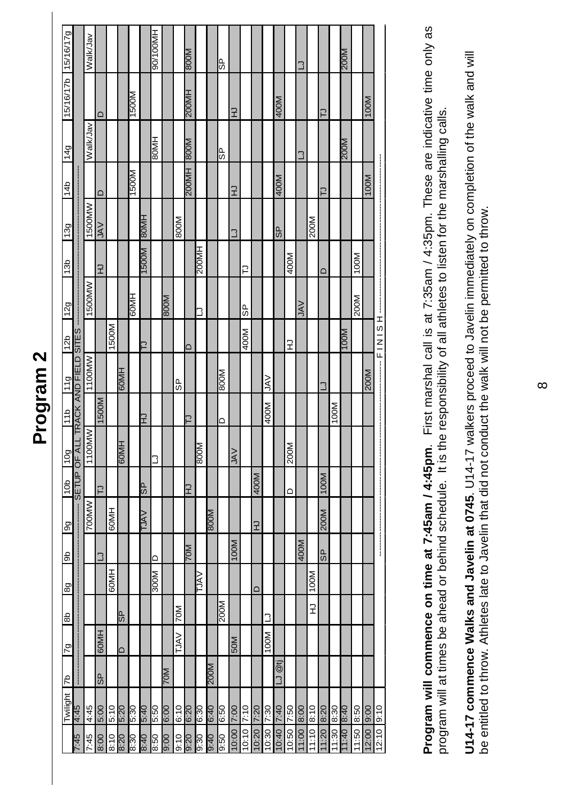# <span id="page-7-0"></span>**Program 2**  Program<sub>2</sub>

|                     |                       | Walk/Jav |         |               |                         |             |             | HM001/06     |             |             | <b>M008</b>    |       |             | 9S          |            |       |       |            |                                             |       | ٦      |       |        |       | 200M        |       |       |           |
|---------------------|-----------------------|----------|---------|---------------|-------------------------|-------------|-------------|--------------|-------------|-------------|----------------|-------|-------------|-------------|------------|-------|-------|------------|---------------------------------------------|-------|--------|-------|--------|-------|-------------|-------|-------|-----------|
| 15/16/17b 15/16/17g |                       |          | ≏       |               |                         | N0051       |             |              |             |             | 200MH          |       |             |             | $\vec{x}$  |       |       |            | 400M                                        |       |        |       | 2      |       |             |       | 100M  |           |
| 149                 |                       | Walk/Jav |         |               |                         |             |             | HM08         |             |             |                |       |             | ե<br>6      |            |       |       |            |                                             |       | ٦      |       |        |       | <b>M00Z</b> |       |       |           |
| 14b                 |                       |          | $\circ$ |               |                         | N0051       |             |              |             |             | N008 HM00Z     |       |             |             | $\vec{r}$  |       |       |            | 400M                                        |       |        |       | ₽      |       |             |       | 100M  |           |
| 13g                 |                       | 1500MW   | $\leq$  |               |                         |             | <b>HM08</b> |              |             | 800M        |                |       |             |             | ٦          |       |       |            | 9S                                          |       |        | 200M  |        |       |             |       |       |           |
| 13b                 |                       |          | 궆       |               |                         |             | M0051       |              |             |             |                | 200MH |             |             |            | ₽     |       |            |                                             | 400M  |        |       | $\Box$ |       |             | 100M  |       |           |
| <b>12g</b>          |                       | 1500MW   |         |               |                         | HM09        |             |              | <b>M008</b> |             |                | 3     |             |             |            | မ္ပ   |       |            |                                             |       | $\leq$ |       |        |       |             | 200M  |       |           |
| 12 <sub>b</sub>     |                       |          |         | 1500M         |                         |             | ⊇           |              |             |             | ר              |       |             |             |            | 400M  |       |            |                                             | 궆     |        |       |        |       | M00 L       |       |       |           |
| [11g]               | TRACK AND FIELD SITES | 1100MW   |         |               | HW09                    |             |             |              |             | မြ          |                |       |             | <b>MOO8</b> |            |       |       | <b>NAV</b> |                                             |       |        |       | ٦      |       |             |       | 200M  |           |
| 11b                 |                       |          | 1500M   |               |                         |             | F           |              |             |             | $\overline{ }$ |       |             |             |            |       |       | 400M       |                                             |       |        |       |        | 100M  |             |       |       |           |
| <b>POL</b>          |                       | 1100MW   |         |               | HM09                    |             |             | ٦            |             |             |                | M008  |             |             | <b>VAL</b> |       |       |            |                                             | 200M  |        |       |        |       |             |       |       |           |
| 10 <sub>b</sub>     | <b>SETUP OF ALL</b>   |          | 2       |               |                         |             | 9S          |              |             |             | 군              |       |             |             |            |       | 400M  |            |                                             | ≏     |        |       | 100M   |       |             |       |       |           |
| $\overline{9}$      |                       | 700MW    |         | 60MH          |                         |             | <b>VALT</b> |              |             |             |                |       | M008        |             |            |       | ⊋     |            |                                             |       |        |       | 200M   |       |             |       |       |           |
| $\frac{6}{2}$       |                       |          | ٦       |               |                         |             |             | ≏            |             |             | <b>M07</b>     |       |             |             | 100M       |       |       |            |                                             |       | 400M   |       | 9S     |       |             |       |       | <br> <br> |
| 89                  |                       |          |         | <b>RIMIPS</b> |                         |             |             | <b>N0021</b> |             |             |                | ΛVL   |             |             |            |       | Δ     |            |                                             |       |        | 100M  |        |       |             |       |       |           |
| $\frac{8}{6}$       |                       |          |         |               | 9S                      |             |             |              |             | <b>N02</b>  |                |       |             | 200M        |            |       |       | ∃          |                                             |       |        | 궆     |        |       |             |       |       |           |
| $\overline{5}$      |                       |          | 60MH    |               | $\overline{\mathsf{d}}$ |             |             |              |             | <b>TJAV</b> |                |       |             |             | 50M        |       |       | 100M       |                                             |       |        |       |        |       |             |       |       |           |
| $\frac{d}{d}$       |                       |          | 9S      |               |                         |             |             |              | <b>M04</b>  |             |                |       | <b>M00Z</b> |             |            |       |       |            | $@t\overline{t}$<br>$\overline{\mathsf{L}}$ |       |        |       |        |       |             |       |       |           |
| Twilight            | <b>St:7</b>           | 4:45     | 5:00    | 5:10          | 02:9                    | <b>08:9</b> | 07:9        | 09:9         | 00:9        | 6:10        | 02:9           | 08:9  | 0t:9        | 09:9        | 7:00       | 7:10  | 7:20  | 7:30       | 7:40                                        | 7:50  | 8:00   | 8:10  | 8:20   | 8:30  | 07:8        | 8:50  | 9:00  | 9:10      |
|                     | 57.7                  | 7:45     | 8:00    | 8:10          | 02:8                    | 8:30        | 07:8        | 8:50         | 00:6        | 9:10        | 02:6           | 0.30  | $0 + 6$     | 0.50        | 10:00      | 10:10 | 10:20 | 10:30      | 10:40                                       | 10:50 | 11:00  | 11:10 | 11:20  | 11:30 | 07:11       | 11:50 | 12:00 | 12:10     |

Program will commence on time at 7:45am / 4:45pm. First marshal call is at 7:35am / 4:35pm. These are indicative time only as **Program will commence on time at 7:45am / 4:45pm**. First marshal call is at 7:35am / 4:35pm. These are indicative time only as program will at times be ahead or behind schedule. It is the responsibility of all athletes to listen for the marshalling calls. program will at times be ahead or behind schedule. It is the responsibility of all athletes to listen for the marshalling calls.

U14-17 commence Walks and Javelin at 0745. U14-17 walkers proceed to Javelin immediately on completion of the walk and will **U14-17 commence Walks and Javelin at 0745**. U14-17 walkers proceed to Javelin immediately on completion of the walk and will be entitled to throw. Athletes late to Javelin that did not conduct the walk will not be permitted to throw. be entitled to throw. Athletes late to Javelin that did not conduct the walk will not be permitted to throw.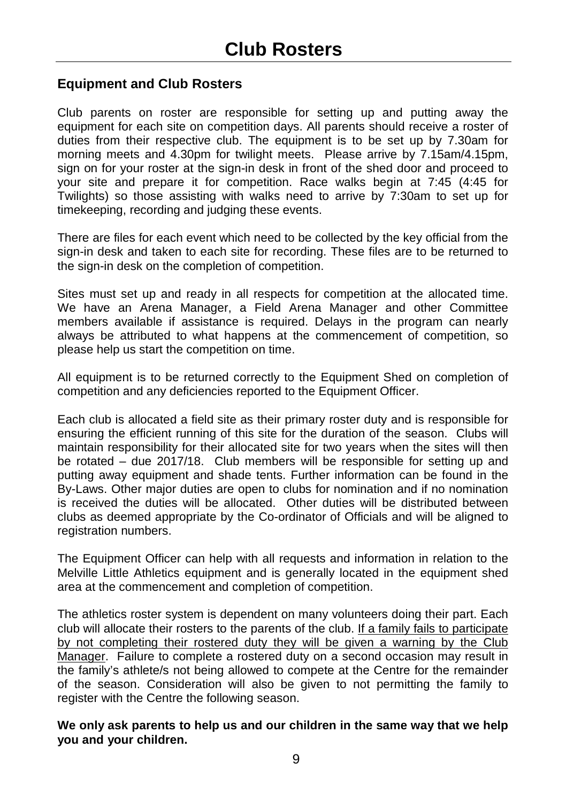#### <span id="page-8-0"></span>**Equipment and Club Rosters**

Club parents on roster are responsible for setting up and putting away the equipment for each site on competition days. All parents should receive a roster of duties from their respective club. The equipment is to be set up by 7.30am for morning meets and 4.30pm for twilight meets. Please arrive by 7.15am/4.15pm, sign on for your roster at the sign-in desk in front of the shed door and proceed to your site and prepare it for competition. Race walks begin at 7:45 (4:45 for Twilights) so those assisting with walks need to arrive by 7:30am to set up for timekeeping, recording and judging these events.

There are files for each event which need to be collected by the key official from the sign-in desk and taken to each site for recording. These files are to be returned to the sign-in desk on the completion of competition.

Sites must set up and ready in all respects for competition at the allocated time. We have an Arena Manager, a Field Arena Manager and other Committee members available if assistance is required. Delays in the program can nearly always be attributed to what happens at the commencement of competition, so please help us start the competition on time.

All equipment is to be returned correctly to the Equipment Shed on completion of competition and any deficiencies reported to the Equipment Officer.

Each club is allocated a field site as their primary roster duty and is responsible for ensuring the efficient running of this site for the duration of the season. Clubs will maintain responsibility for their allocated site for two years when the sites will then be rotated – due 2017/18. Club members will be responsible for setting up and putting away equipment and shade tents. Further information can be found in the By-Laws. Other major duties are open to clubs for nomination and if no nomination is received the duties will be allocated. Other duties will be distributed between clubs as deemed appropriate by the Co-ordinator of Officials and will be aligned to registration numbers.

The Equipment Officer can help with all requests and information in relation to the Melville Little Athletics equipment and is generally located in the equipment shed area at the commencement and completion of competition.

The athletics roster system is dependent on many volunteers doing their part. Each club will allocate their rosters to the parents of the club. If a family fails to participate by not completing their rostered duty they will be given a warning by the Club Manager. Failure to complete a rostered duty on a second occasion may result in the family's athlete/s not being allowed to compete at the Centre for the remainder of the season. Consideration will also be given to not permitting the family to register with the Centre the following season.

**We only ask parents to help us and our children in the same way that we help you and your children.**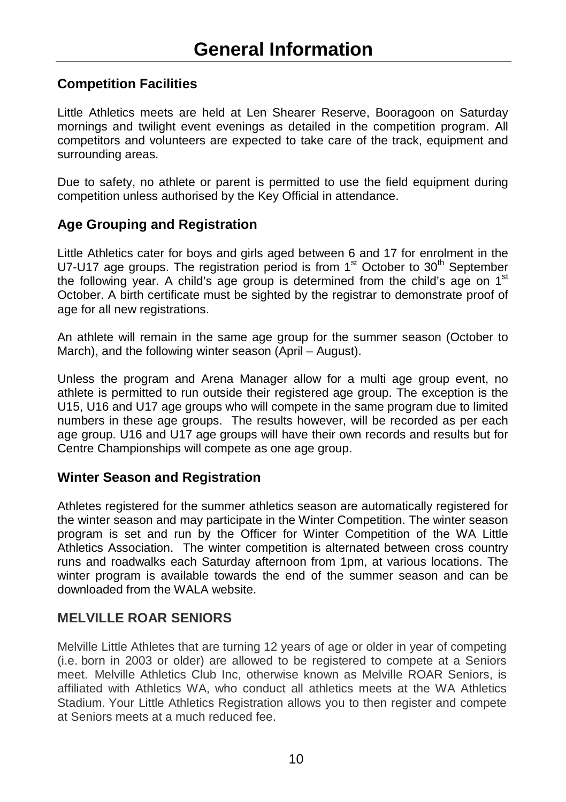#### <span id="page-9-0"></span>**Competition Facilities**

Little Athletics meets are held at Len Shearer Reserve, Booragoon on Saturday mornings and twilight event evenings as detailed in the competition program. All competitors and volunteers are expected to take care of the track, equipment and surrounding areas.

Due to safety, no athlete or parent is permitted to use the field equipment during competition unless authorised by the Key Official in attendance.

#### **Age Grouping and Registration**

Little Athletics cater for boys and girls aged between 6 and 17 for enrolment in the U7-U17 age groups. The registration period is from  $1<sup>st</sup>$  October to  $30<sup>th</sup>$  September the following year. A child's age group is determined from the child's age on  $1<sup>st</sup>$ October. A birth certificate must be sighted by the registrar to demonstrate proof of age for all new registrations.

An athlete will remain in the same age group for the summer season (October to March), and the following winter season (April – August).

Unless the program and Arena Manager allow for a multi age group event, no athlete is permitted to run outside their registered age group. The exception is the U15, U16 and U17 age groups who will compete in the same program due to limited numbers in these age groups. The results however, will be recorded as per each age group. U16 and U17 age groups will have their own records and results but for Centre Championships will compete as one age group.

#### **Winter Season and Registration**

Athletes registered for the summer athletics season are automatically registered for the winter season and may participate in the Winter Competition. The winter season program is set and run by the Officer for Winter Competition of the WA Little Athletics Association. The winter competition is alternated between cross country runs and roadwalks each Saturday afternoon from 1pm, at various locations. The winter program is available towards the end of the summer season and can be downloaded from the WALA website.

#### **MELVILLE ROAR SENIORS**

Melville Little Athletes that are turning 12 years of age or older in year of competing (i.e. born in 2003 or older) are allowed to be registered to compete at a Seniors meet. Melville Athletics Club Inc, otherwise known as Melville ROAR Seniors, is affiliated with Athletics WA, who conduct all athletics meets at the WA Athletics Stadium. Your Little Athletics Registration allows you to then register and compete at Seniors meets at a much reduced fee.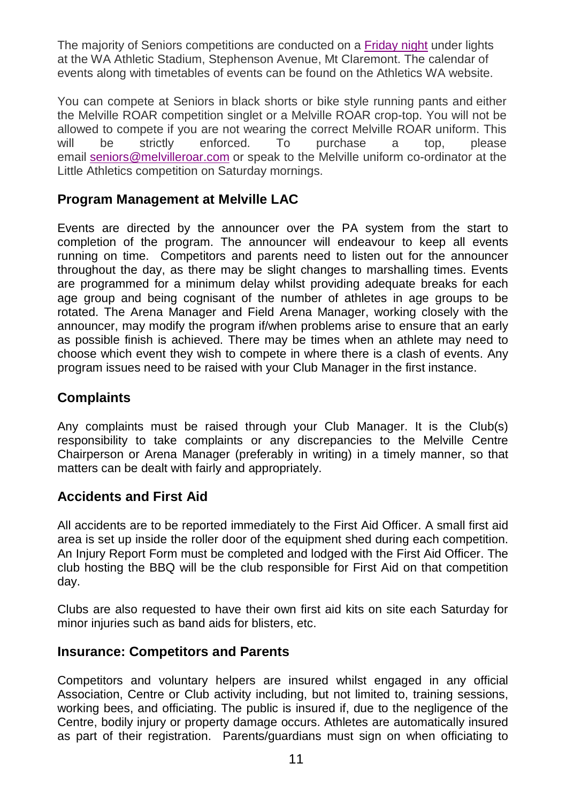The majority of Seniors competitions are conducted on a [Friday night](x-apple-data-detectors://1/) under lights at the WA Athletic Stadium, Stephenson Avenue, Mt Claremont. The calendar of events along with timetables of events can be found on the Athletics WA website.

You can compete at Seniors in black shorts or bike style running pants and either the Melville ROAR competition singlet or a Melville ROAR crop-top. You will not be allowed to compete if you are not wearing the correct Melville ROAR uniform. This will be strictly enforced. To purchase a top, please will be strictly enforced. To purchase a top, please email [seniors@melvilleroar.com](mailto:seniors@melvilleroar.com) or speak to the Melville uniform co-ordinator at the Little Athletics competition on Saturday mornings.

#### **Program Management at Melville LAC**

Events are directed by the announcer over the PA system from the start to completion of the program. The announcer will endeavour to keep all events running on time. Competitors and parents need to listen out for the announcer throughout the day, as there may be slight changes to marshalling times. Events are programmed for a minimum delay whilst providing adequate breaks for each age group and being cognisant of the number of athletes in age groups to be rotated. The Arena Manager and Field Arena Manager, working closely with the announcer, may modify the program if/when problems arise to ensure that an early as possible finish is achieved. There may be times when an athlete may need to choose which event they wish to compete in where there is a clash of events. Any program issues need to be raised with your Club Manager in the first instance.

#### **Complaints**

Any complaints must be raised through your Club Manager. It is the Club(s) responsibility to take complaints or any discrepancies to the Melville Centre Chairperson or Arena Manager (preferably in writing) in a timely manner, so that matters can be dealt with fairly and appropriately.

#### **Accidents and First Aid**

All accidents are to be reported immediately to the First Aid Officer. A small first aid area is set up inside the roller door of the equipment shed during each competition. An Injury Report Form must be completed and lodged with the First Aid Officer. The club hosting the BBQ will be the club responsible for First Aid on that competition day.

Clubs are also requested to have their own first aid kits on site each Saturday for minor injuries such as band aids for blisters, etc.

#### **Insurance: Competitors and Parents**

Competitors and voluntary helpers are insured whilst engaged in any official Association, Centre or Club activity including, but not limited to, training sessions, working bees, and officiating. The public is insured if, due to the negligence of the Centre, bodily injury or property damage occurs. Athletes are automatically insured as part of their registration. Parents/guardians must sign on when officiating to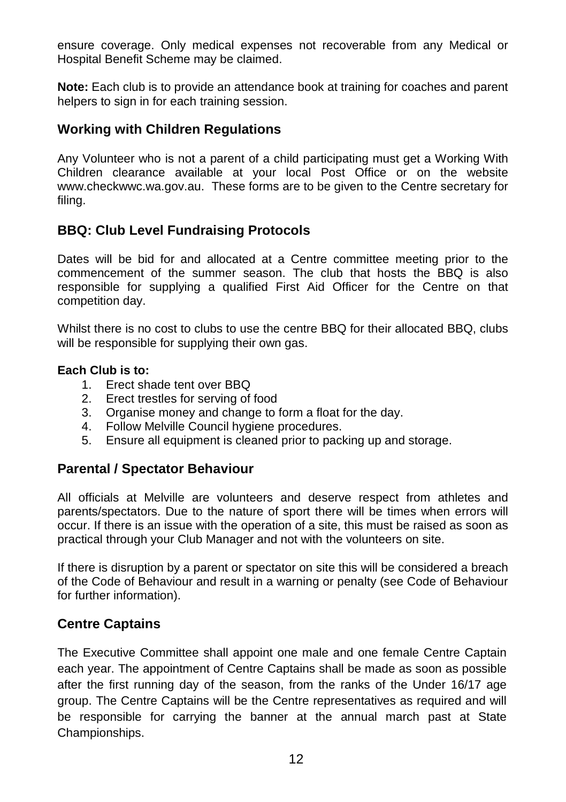ensure coverage. Only medical expenses not recoverable from any Medical or Hospital Benefit Scheme may be claimed.

**Note:** Each club is to provide an attendance book at training for coaches and parent helpers to sign in for each training session.

#### **Working with Children Regulations**

Any Volunteer who is not a parent of a child participating must get a Working With Children clearance available at your local Post Office or on the website www.checkwwc.wa.gov.au. These forms are to be given to the Centre secretary for filing.

#### **BBQ: Club Level Fundraising Protocols**

Dates will be bid for and allocated at a Centre committee meeting prior to the commencement of the summer season. The club that hosts the BBQ is also responsible for supplying a qualified First Aid Officer for the Centre on that competition day.

Whilst there is no cost to clubs to use the centre BBQ for their allocated BBQ, clubs will be responsible for supplying their own gas.

#### **Each Club is to:**

- 1. Erect shade tent over BBQ
- 2. Erect trestles for serving of food
- 3. Organise money and change to form a float for the day.
- 4. Follow Melville Council hygiene procedures.
- 5. Ensure all equipment is cleaned prior to packing up and storage.

#### **Parental / Spectator Behaviour**

All officials at Melville are volunteers and deserve respect from athletes and parents/spectators. Due to the nature of sport there will be times when errors will occur. If there is an issue with the operation of a site, this must be raised as soon as practical through your Club Manager and not with the volunteers on site.

If there is disruption by a parent or spectator on site this will be considered a breach of the Code of Behaviour and result in a warning or penalty (see Code of Behaviour for further information).

#### **Centre Captains**

The Executive Committee shall appoint one male and one female Centre Captain each year. The appointment of Centre Captains shall be made as soon as possible after the first running day of the season, from the ranks of the Under 16/17 age group. The Centre Captains will be the Centre representatives as required and will be responsible for carrying the banner at the annual march past at State Championships.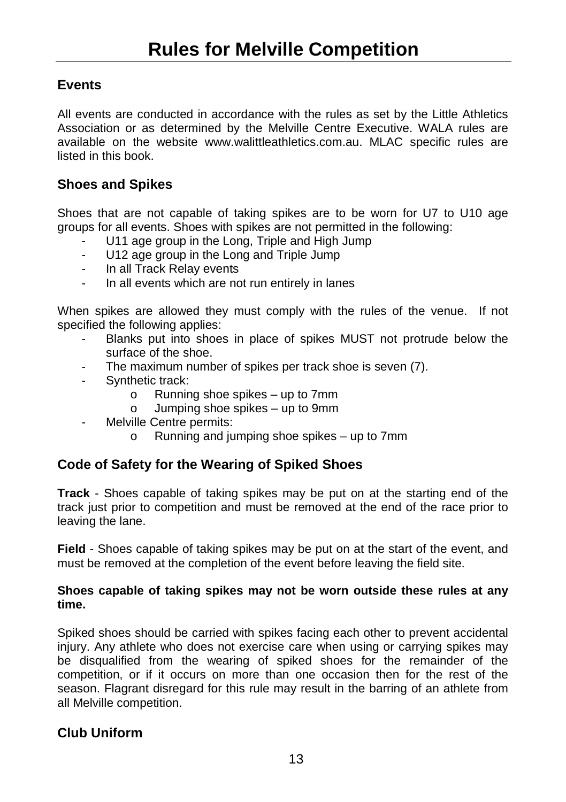#### <span id="page-12-0"></span>**Events**

All events are conducted in accordance with the rules as set by the Little Athletics Association or as determined by the Melville Centre Executive. WALA rules are available on the website www.walittleathletics.com.au. MLAC specific rules are listed in this book.

#### **Shoes and Spikes**

Shoes that are not capable of taking spikes are to be worn for U7 to U10 age groups for all events. Shoes with spikes are not permitted in the following:

- U11 age group in the Long, Triple and High Jump
- U12 age group in the Long and Triple Jump
- In all Track Relay events
- In all events which are not run entirely in lanes

When spikes are allowed they must comply with the rules of the venue. If not specified the following applies:

- Blanks put into shoes in place of spikes MUST not protrude below the surface of the shoe.
- The maximum number of spikes per track shoe is seven (7).
- Synthetic track:
	- o Running shoe spikes up to 7mm<br>o Jumping shoe spikes up to 9mm
	- Jumping shoe spikes up to 9mm
- Melville Centre permits:
	- o Running and jumping shoe spikes up to 7mm

#### **Code of Safety for the Wearing of Spiked Shoes**

**Track** - Shoes capable of taking spikes may be put on at the starting end of the track just prior to competition and must be removed at the end of the race prior to leaving the lane.

**Field** - Shoes capable of taking spikes may be put on at the start of the event, and must be removed at the completion of the event before leaving the field site.

#### **Shoes capable of taking spikes may not be worn outside these rules at any time.**

Spiked shoes should be carried with spikes facing each other to prevent accidental injury. Any athlete who does not exercise care when using or carrying spikes may be disqualified from the wearing of spiked shoes for the remainder of the competition, or if it occurs on more than one occasion then for the rest of the season. Flagrant disregard for this rule may result in the barring of an athlete from all Melville competition.

#### **Club Uniform**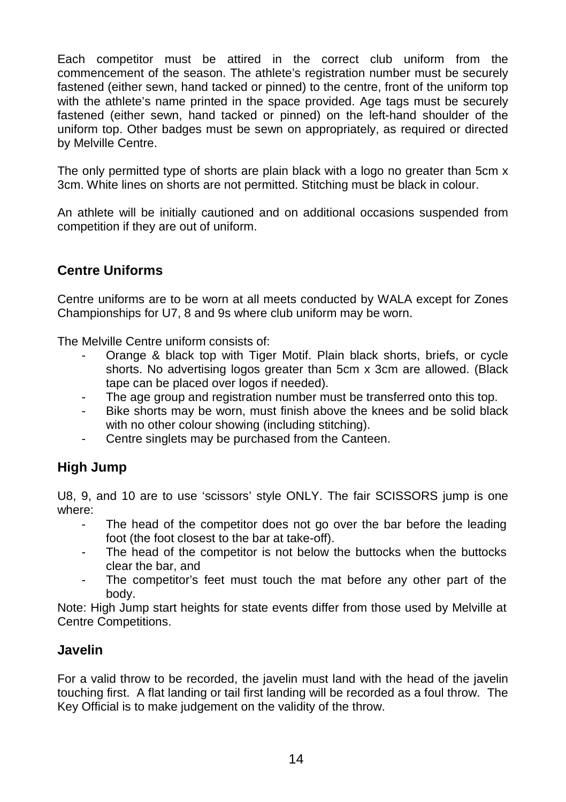Each competitor must be attired in the correct club uniform from the commencement of the season. The athlete's registration number must be securely fastened (either sewn, hand tacked or pinned) to the centre, front of the uniform top with the athlete's name printed in the space provided. Age tags must be securely fastened (either sewn, hand tacked or pinned) on the left-hand shoulder of the uniform top. Other badges must be sewn on appropriately, as required or directed by Melville Centre.

The only permitted type of shorts are plain black with a logo no greater than 5cm x 3cm. White lines on shorts are not permitted. Stitching must be black in colour.

An athlete will be initially cautioned and on additional occasions suspended from competition if they are out of uniform.

#### **Centre Uniforms**

Centre uniforms are to be worn at all meets conducted by WALA except for Zones Championships for U7, 8 and 9s where club uniform may be worn.

The Melville Centre uniform consists of:

- Orange & black top with Tiger Motif. Plain black shorts, briefs, or cycle shorts. No advertising logos greater than 5cm x 3cm are allowed. (Black tape can be placed over logos if needed).
- The age group and registration number must be transferred onto this top.
- Bike shorts may be worn, must finish above the knees and be solid black with no other colour showing (including stitching).
- Centre singlets may be purchased from the Canteen.

#### **High Jump**

U8, 9, and 10 are to use 'scissors' style ONLY. The fair SCISSORS jump is one where:

- The head of the competitor does not go over the bar before the leading foot (the foot closest to the bar at take-off).
- The head of the competitor is not below the buttocks when the buttocks clear the bar, and
- The competitor's feet must touch the mat before any other part of the body.

Note: High Jump start heights for state events differ from those used by Melville at Centre Competitions.

#### **Javelin**

For a valid throw to be recorded, the javelin must land with the head of the javelin touching first. A flat landing or tail first landing will be recorded as a foul throw. The Key Official is to make judgement on the validity of the throw.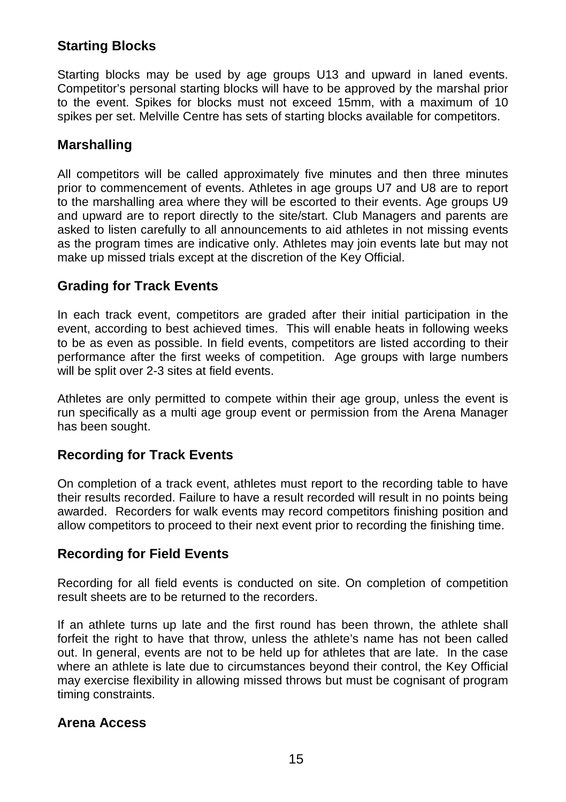#### **Starting Blocks**

Starting blocks may be used by age groups U13 and upward in laned events. Competitor's personal starting blocks will have to be approved by the marshal prior to the event. Spikes for blocks must not exceed 15mm, with a maximum of 10 spikes per set. Melville Centre has sets of starting blocks available for competitors.

#### **Marshalling**

All competitors will be called approximately five minutes and then three minutes prior to commencement of events. Athletes in age groups U7 and U8 are to report to the marshalling area where they will be escorted to their events. Age groups U9 and upward are to report directly to the site/start. Club Managers and parents are asked to listen carefully to all announcements to aid athletes in not missing events as the program times are indicative only. Athletes may join events late but may not make up missed trials except at the discretion of the Key Official.

#### **Grading for Track Events**

In each track event, competitors are graded after their initial participation in the event, according to best achieved times. This will enable heats in following weeks to be as even as possible. In field events, competitors are listed according to their performance after the first weeks of competition. Age groups with large numbers will be split over 2-3 sites at field events.

Athletes are only permitted to compete within their age group, unless the event is run specifically as a multi age group event or permission from the Arena Manager has been sought.

#### **Recording for Track Events**

On completion of a track event, athletes must report to the recording table to have their results recorded. Failure to have a result recorded will result in no points being awarded. Recorders for walk events may record competitors finishing position and allow competitors to proceed to their next event prior to recording the finishing time.

#### **Recording for Field Events**

Recording for all field events is conducted on site. On completion of competition result sheets are to be returned to the recorders.

If an athlete turns up late and the first round has been thrown, the athlete shall forfeit the right to have that throw, unless the athlete's name has not been called out. In general, events are not to be held up for athletes that are late. In the case where an athlete is late due to circumstances beyond their control, the Key Official may exercise flexibility in allowing missed throws but must be cognisant of program timing constraints.

#### **Arena Access**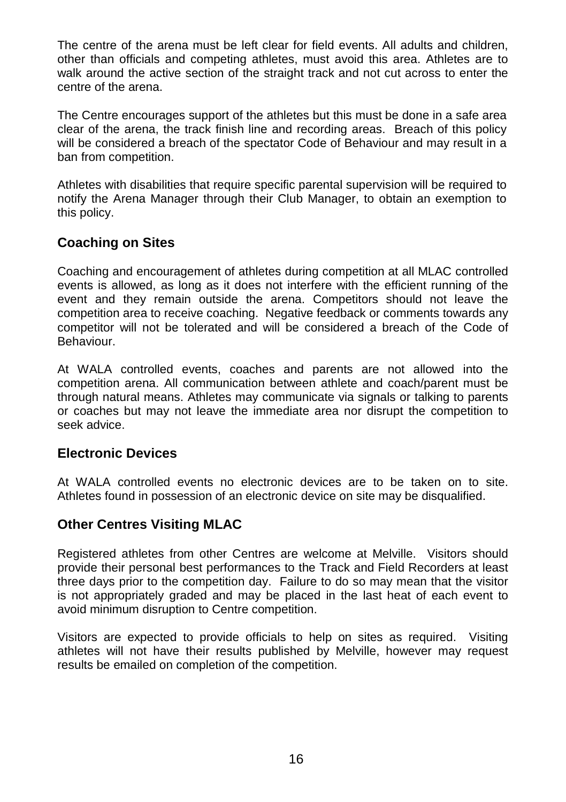The centre of the arena must be left clear for field events. All adults and children, other than officials and competing athletes, must avoid this area. Athletes are to walk around the active section of the straight track and not cut across to enter the centre of the arena.

The Centre encourages support of the athletes but this must be done in a safe area clear of the arena, the track finish line and recording areas. Breach of this policy will be considered a breach of the spectator Code of Behaviour and may result in a ban from competition.

Athletes with disabilities that require specific parental supervision will be required to notify the Arena Manager through their Club Manager, to obtain an exemption to this policy.

#### **Coaching on Sites**

Coaching and encouragement of athletes during competition at all MLAC controlled events is allowed, as long as it does not interfere with the efficient running of the event and they remain outside the arena. Competitors should not leave the competition area to receive coaching. Negative feedback or comments towards any competitor will not be tolerated and will be considered a breach of the Code of Behaviour.

At WALA controlled events, coaches and parents are not allowed into the competition arena. All communication between athlete and coach/parent must be through natural means. Athletes may communicate via signals or talking to parents or coaches but may not leave the immediate area nor disrupt the competition to seek advice.

#### **Electronic Devices**

At WALA controlled events no electronic devices are to be taken on to site. Athletes found in possession of an electronic device on site may be disqualified.

#### **Other Centres Visiting MLAC**

Registered athletes from other Centres are welcome at Melville. Visitors should provide their personal best performances to the Track and Field Recorders at least three days prior to the competition day. Failure to do so may mean that the visitor is not appropriately graded and may be placed in the last heat of each event to avoid minimum disruption to Centre competition.

Visitors are expected to provide officials to help on sites as required. Visiting athletes will not have their results published by Melville, however may request results be emailed on completion of the competition.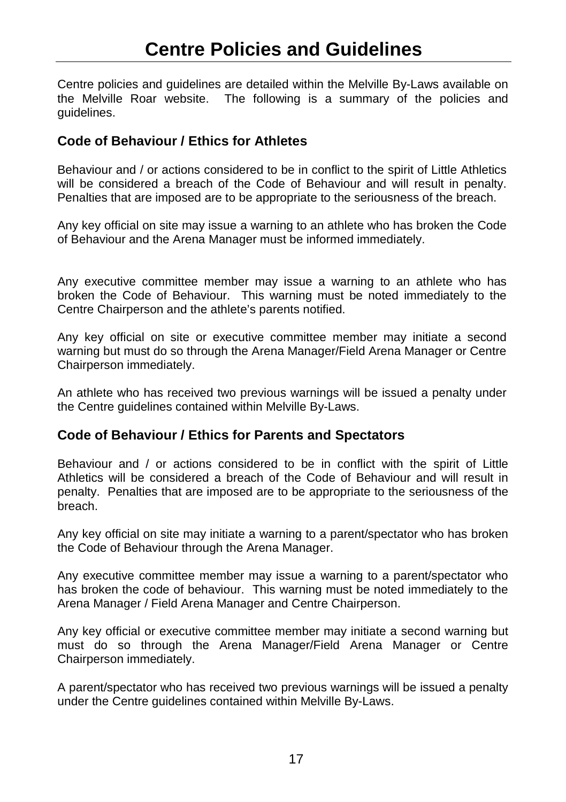<span id="page-16-0"></span>Centre policies and guidelines are detailed within the Melville By-Laws available on the Melville Roar website. The following is a summary of the policies and guidelines.

#### **Code of Behaviour / Ethics for Athletes**

Behaviour and / or actions considered to be in conflict to the spirit of Little Athletics will be considered a breach of the Code of Behaviour and will result in penalty. Penalties that are imposed are to be appropriate to the seriousness of the breach.

Any key official on site may issue a warning to an athlete who has broken the Code of Behaviour and the Arena Manager must be informed immediately.

Any executive committee member may issue a warning to an athlete who has broken the Code of Behaviour. This warning must be noted immediately to the Centre Chairperson and the athlete's parents notified.

Any key official on site or executive committee member may initiate a second warning but must do so through the Arena Manager/Field Arena Manager or Centre Chairperson immediately.

An athlete who has received two previous warnings will be issued a penalty under the Centre guidelines contained within Melville By-Laws.

#### **Code of Behaviour / Ethics for Parents and Spectators**

Behaviour and / or actions considered to be in conflict with the spirit of Little Athletics will be considered a breach of the Code of Behaviour and will result in penalty. Penalties that are imposed are to be appropriate to the seriousness of the breach.

Any key official on site may initiate a warning to a parent/spectator who has broken the Code of Behaviour through the Arena Manager.

Any executive committee member may issue a warning to a parent/spectator who has broken the code of behaviour. This warning must be noted immediately to the Arena Manager / Field Arena Manager and Centre Chairperson.

Any key official or executive committee member may initiate a second warning but must do so through the Arena Manager/Field Arena Manager or Centre Chairperson immediately.

A parent/spectator who has received two previous warnings will be issued a penalty under the Centre guidelines contained within Melville By-Laws.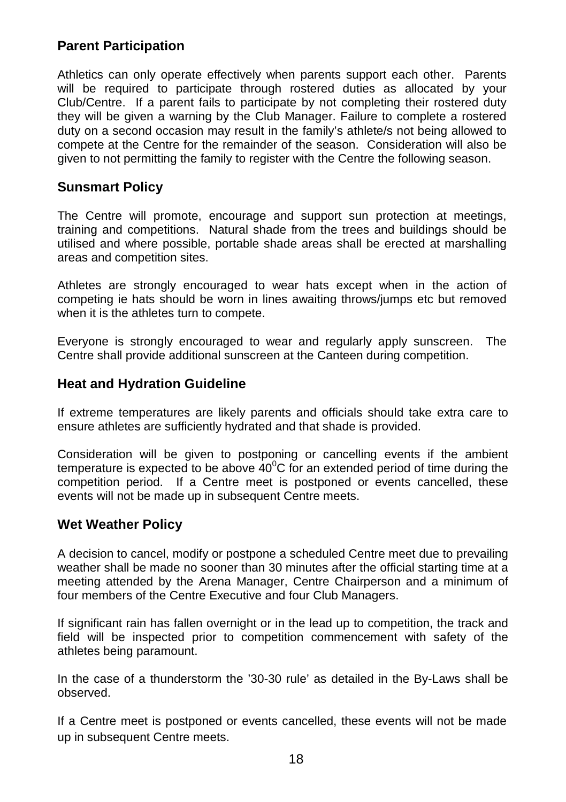#### **Parent Participation**

Athletics can only operate effectively when parents support each other. Parents will be required to participate through rostered duties as allocated by your Club/Centre. If a parent fails to participate by not completing their rostered duty they will be given a warning by the Club Manager. Failure to complete a rostered duty on a second occasion may result in the family's athlete/s not being allowed to compete at the Centre for the remainder of the season. Consideration will also be given to not permitting the family to register with the Centre the following season.

#### **Sunsmart Policy**

The Centre will promote, encourage and support sun protection at meetings, training and competitions. Natural shade from the trees and buildings should be utilised and where possible, portable shade areas shall be erected at marshalling areas and competition sites.

Athletes are strongly encouraged to wear hats except when in the action of competing ie hats should be worn in lines awaiting throws/jumps etc but removed when it is the athletes turn to compete.

Everyone is strongly encouraged to wear and regularly apply sunscreen. The Centre shall provide additional sunscreen at the Canteen during competition.

#### **Heat and Hydration Guideline**

If extreme temperatures are likely parents and officials should take extra care to ensure athletes are sufficiently hydrated and that shade is provided.

Consideration will be given to postponing or cancelling events if the ambient temperature is expected to be above  $40^{\circ}$ C for an extended period of time during the competition period. If a Centre meet is postponed or events cancelled, these events will not be made up in subsequent Centre meets.

#### **Wet Weather Policy**

A decision to cancel, modify or postpone a scheduled Centre meet due to prevailing weather shall be made no sooner than 30 minutes after the official starting time at a meeting attended by the Arena Manager, Centre Chairperson and a minimum of four members of the Centre Executive and four Club Managers.

If significant rain has fallen overnight or in the lead up to competition, the track and field will be inspected prior to competition commencement with safety of the athletes being paramount.

In the case of a thunderstorm the '30-30 rule' as detailed in the By-Laws shall be observed.

If a Centre meet is postponed or events cancelled, these events will not be made up in subsequent Centre meets.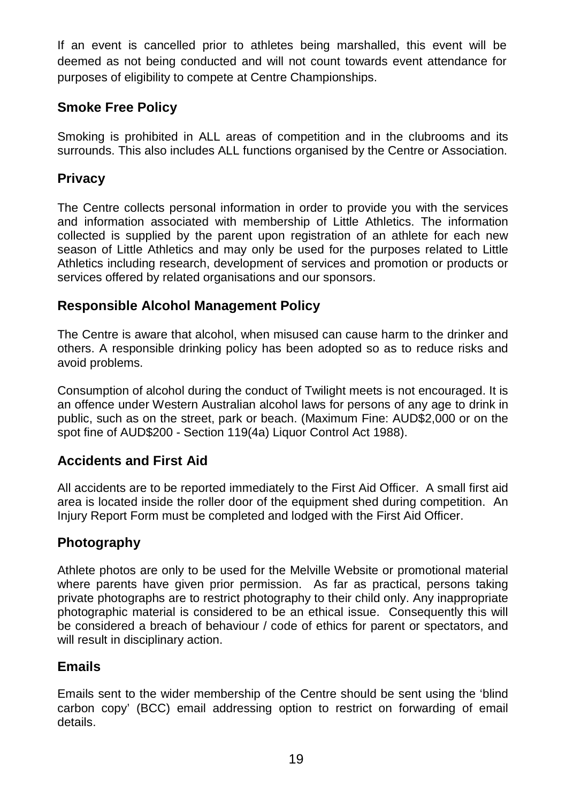If an event is cancelled prior to athletes being marshalled, this event will be deemed as not being conducted and will not count towards event attendance for purposes of eligibility to compete at Centre Championships.

#### **Smoke Free Policy**

Smoking is prohibited in ALL areas of competition and in the clubrooms and its surrounds. This also includes ALL functions organised by the Centre or Association.

#### **Privacy**

The Centre collects personal information in order to provide you with the services and information associated with membership of Little Athletics. The information collected is supplied by the parent upon registration of an athlete for each new season of Little Athletics and may only be used for the purposes related to Little Athletics including research, development of services and promotion or products or services offered by related organisations and our sponsors.

#### **Responsible Alcohol Management Policy**

The Centre is aware that alcohol, when misused can cause harm to the drinker and others. A responsible drinking policy has been adopted so as to reduce risks and avoid problems.

Consumption of alcohol during the conduct of Twilight meets is not encouraged. It is an offence under Western Australian alcohol laws for persons of any age to drink in public, such as on the street, park or beach. (Maximum Fine: AUD\$2,000 or on the spot fine of AUD\$200 - Section 119(4a) Liquor Control Act 1988).

#### **Accidents and First Aid**

All accidents are to be reported immediately to the First Aid Officer. A small first aid area is located inside the roller door of the equipment shed during competition. An Injury Report Form must be completed and lodged with the First Aid Officer.

#### **Photography**

Athlete photos are only to be used for the Melville Website or promotional material where parents have given prior permission. As far as practical, persons taking private photographs are to restrict photography to their child only. Any inappropriate photographic material is considered to be an ethical issue. Consequently this will be considered a breach of behaviour / code of ethics for parent or spectators, and will result in disciplinary action.

#### **Emails**

Emails sent to the wider membership of the Centre should be sent using the 'blind carbon copy' (BCC) email addressing option to restrict on forwarding of email details.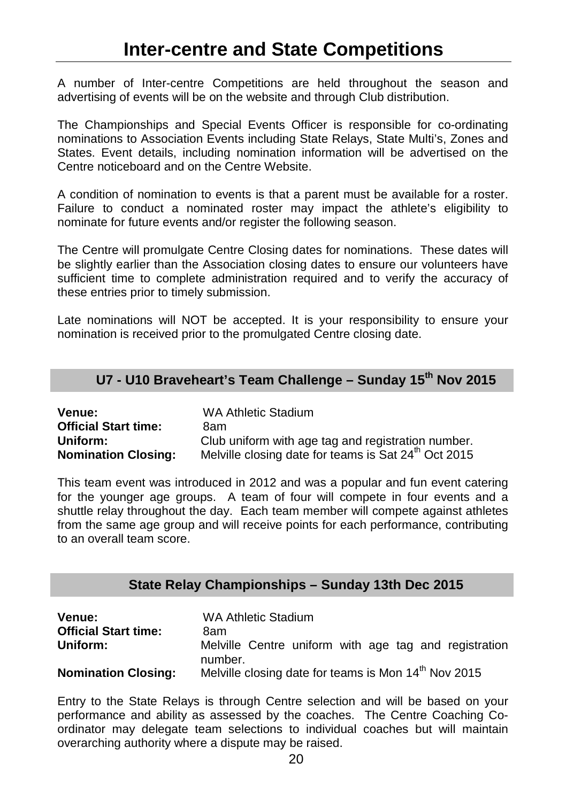<span id="page-19-0"></span>A number of Inter-centre Competitions are held throughout the season and advertising of events will be on the website and through Club distribution.

The Championships and Special Events Officer is responsible for co-ordinating nominations to Association Events including State Relays, State Multi's, Zones and States. Event details, including nomination information will be advertised on the Centre noticeboard and on the Centre Website.

A condition of nomination to events is that a parent must be available for a roster. Failure to conduct a nominated roster may impact the athlete's eligibility to nominate for future events and/or register the following season.

The Centre will promulgate Centre Closing dates for nominations. These dates will be slightly earlier than the Association closing dates to ensure our volunteers have sufficient time to complete administration required and to verify the accuracy of these entries prior to timely submission.

Late nominations will NOT be accepted. It is your responsibility to ensure your nomination is received prior to the promulgated Centre closing date.

#### **U7 - U10 Braveheart's Team Challenge – Sunday 15th Nov 2015**

| <b>Venue:</b>               | WA Athletic Stadium                                              |
|-----------------------------|------------------------------------------------------------------|
| <b>Official Start time:</b> | 8am                                                              |
| Uniform:                    | Club uniform with age tag and registration number.               |
| <b>Nomination Closing:</b>  | Melville closing date for teams is Sat 24 <sup>th</sup> Oct 2015 |

This team event was introduced in 2012 and was a popular and fun event catering for the younger age groups. A team of four will compete in four events and a shuttle relay throughout the day. Each team member will compete against athletes from the same age group and will receive points for each performance, contributing to an overall team score.

#### **State Relay Championships – Sunday 13th Dec 2015**

| <b>Venue:</b>               | WA Athletic Stadium                                              |  |  |  |  |
|-----------------------------|------------------------------------------------------------------|--|--|--|--|
| <b>Official Start time:</b> | 8am                                                              |  |  |  |  |
| Uniform:                    | Melville Centre uniform with age tag and registration<br>number. |  |  |  |  |
| <b>Nomination Closing:</b>  | Melville closing date for teams is Mon 14 <sup>th</sup> Nov 2015 |  |  |  |  |

Entry to the State Relays is through Centre selection and will be based on your performance and ability as assessed by the coaches. The Centre Coaching Coordinator may delegate team selections to individual coaches but will maintain overarching authority where a dispute may be raised.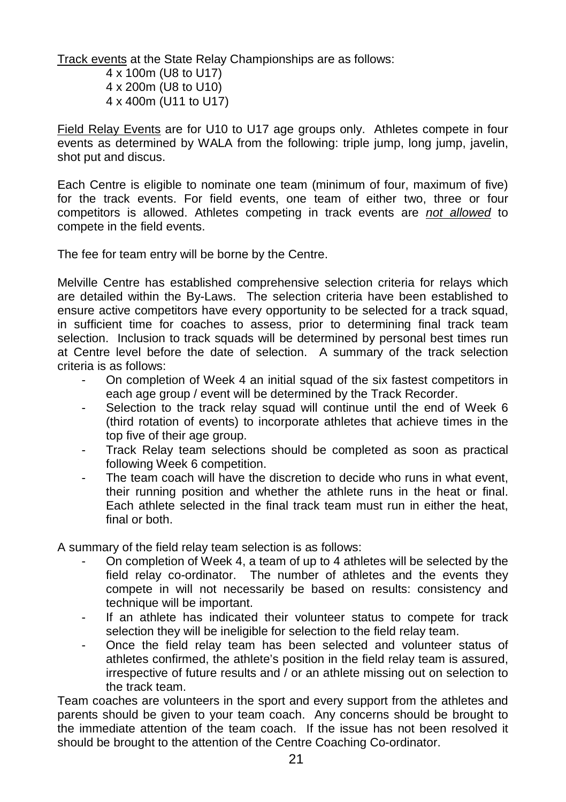Track events at the State Relay Championships are as follows:

4 x 100m (U8 to U17) 4 x 200m (U8 to U10) 4 x 400m (U11 to U17)

Field Relay Events are for U10 to U17 age groups only. Athletes compete in four events as determined by WALA from the following: triple jump, long jump, javelin, shot put and discus.

Each Centre is eligible to nominate one team (minimum of four, maximum of five) for the track events. For field events, one team of either two, three or four competitors is allowed. Athletes competing in track events are *not allowed* to compete in the field events.

The fee for team entry will be borne by the Centre.

Melville Centre has established comprehensive selection criteria for relays which are detailed within the By-Laws. The selection criteria have been established to ensure active competitors have every opportunity to be selected for a track squad, in sufficient time for coaches to assess, prior to determining final track team selection. Inclusion to track squads will be determined by personal best times run at Centre level before the date of selection. A summary of the track selection criteria is as follows:

- On completion of Week 4 an initial squad of the six fastest competitors in each age group / event will be determined by the Track Recorder.
- Selection to the track relay squad will continue until the end of Week 6 (third rotation of events) to incorporate athletes that achieve times in the top five of their age group.
- Track Relay team selections should be completed as soon as practical following Week 6 competition.
- The team coach will have the discretion to decide who runs in what event, their running position and whether the athlete runs in the heat or final. Each athlete selected in the final track team must run in either the heat, final or both

A summary of the field relay team selection is as follows:

- On completion of Week 4, a team of up to 4 athletes will be selected by the field relay co-ordinator. The number of athletes and the events they compete in will not necessarily be based on results: consistency and technique will be important.
- If an athlete has indicated their volunteer status to compete for track selection they will be ineligible for selection to the field relay team.
- Once the field relay team has been selected and volunteer status of athletes confirmed, the athlete's position in the field relay team is assured, irrespective of future results and / or an athlete missing out on selection to the track team.

Team coaches are volunteers in the sport and every support from the athletes and parents should be given to your team coach. Any concerns should be brought to the immediate attention of the team coach. If the issue has not been resolved it should be brought to the attention of the Centre Coaching Co-ordinator.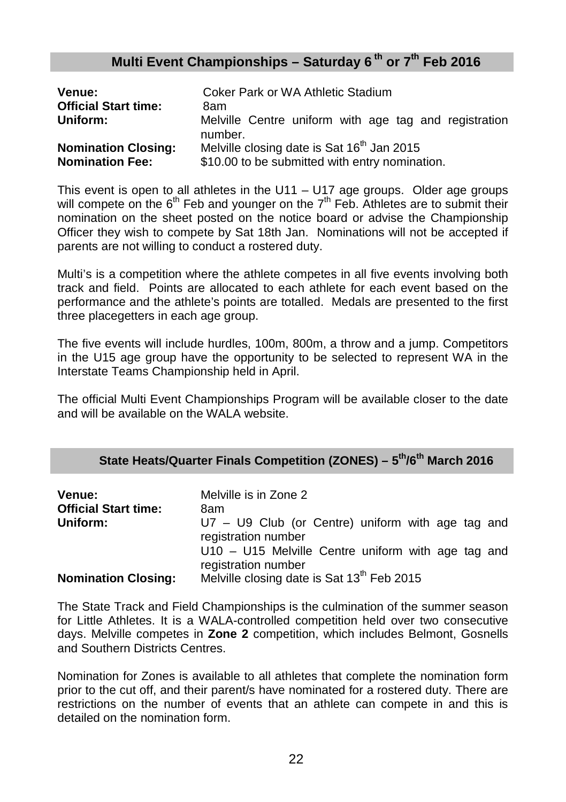#### **Multi Event Championships – Saturday 6 th or 7th Feb 2016**

| Venue:                                               | Coker Park or WA Athletic Stadium                                                                        |
|------------------------------------------------------|----------------------------------------------------------------------------------------------------------|
| <b>Official Start time:</b>                          | 8am                                                                                                      |
| Uniform:                                             | Melville Centre uniform with age tag and registration<br>number.                                         |
| <b>Nomination Closing:</b><br><b>Nomination Fee:</b> | Melville closing date is Sat 16 <sup>th</sup> Jan 2015<br>\$10.00 to be submitted with entry nomination. |

This event is open to all athletes in the  $U11 - U17$  age groups. Older age groups will compete on the  $6<sup>th</sup>$  Feb and younger on the  $7<sup>th</sup>$  Feb. Athletes are to submit their nomination on the sheet posted on the notice board or advise the Championship Officer they wish to compete by Sat 18th Jan. Nominations will not be accepted if parents are not willing to conduct a rostered duty.

Multi's is a competition where the athlete competes in all five events involving both track and field. Points are allocated to each athlete for each event based on the performance and the athlete's points are totalled. Medals are presented to the first three placegetters in each age group.

The five events will include hurdles, 100m, 800m, a throw and a jump. Competitors in the U15 age group have the opportunity to be selected to represent WA in the Interstate Teams Championship held in April.

The official Multi Event Championships Program will be available closer to the date and will be available on the WALA website.

#### **State Heats/Quarter Finals Competition (ZONES) – 5th/6th March 2016**

| Venue:<br><b>Official Start time:</b> | Melville is in Zone 2<br>8am                                                |
|---------------------------------------|-----------------------------------------------------------------------------|
| Uniform:                              | $U7 - U9$ Club (or Centre) uniform with age tag and<br>registration number  |
|                                       | $U10 - U15$ Melville Centre uniform with age tag and<br>registration number |
| <b>Nomination Closing:</b>            | Melville closing date is Sat 13 <sup>th</sup> Feb 2015                      |

The State Track and Field Championships is the culmination of the summer season for Little Athletes. It is a WALA-controlled competition held over two consecutive days. Melville competes in **Zone 2** competition, which includes Belmont, Gosnells and Southern Districts Centres.

Nomination for Zones is available to all athletes that complete the nomination form prior to the cut off, and their parent/s have nominated for a rostered duty. There are restrictions on the number of events that an athlete can compete in and this is detailed on the nomination form.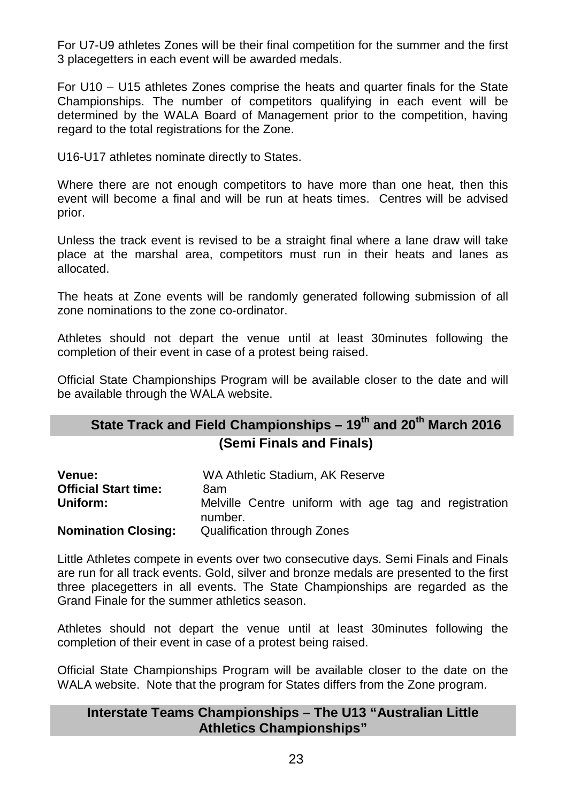For U7-U9 athletes Zones will be their final competition for the summer and the first 3 placegetters in each event will be awarded medals.

For U10 – U15 athletes Zones comprise the heats and quarter finals for the State Championships. The number of competitors qualifying in each event will be determined by the WALA Board of Management prior to the competition, having regard to the total registrations for the Zone.

U16-U17 athletes nominate directly to States.

Where there are not enough competitors to have more than one heat, then this event will become a final and will be run at heats times. Centres will be advised prior.

Unless the track event is revised to be a straight final where a lane draw will take place at the marshal area, competitors must run in their heats and lanes as allocated.

The heats at Zone events will be randomly generated following submission of all zone nominations to the zone co-ordinator.

Athletes should not depart the venue until at least 30minutes following the completion of their event in case of a protest being raised.

Official State Championships Program will be available closer to the date and will be available through the WALA website.

#### **State Track and Field Championships – 19th and 20th March 2016 (Semi Finals and Finals)**

| Venue:<br><b>Official Start time:</b><br>Uniform: | WA Athletic Stadium, AK Reserve<br>8am<br>Melville Centre uniform with age tag and registration<br>number. |
|---------------------------------------------------|------------------------------------------------------------------------------------------------------------|
| <b>Nomination Closing:</b>                        | Qualification through Zones                                                                                |

Little Athletes compete in events over two consecutive days. Semi Finals and Finals are run for all track events. Gold, silver and bronze medals are presented to the first three placegetters in all events. The State Championships are regarded as the Grand Finale for the summer athletics season.

Athletes should not depart the venue until at least 30minutes following the completion of their event in case of a protest being raised.

Official State Championships Program will be available closer to the date on the WALA website. Note that the program for States differs from the Zone program.

#### **Interstate Teams Championships – The U13 "Australian Little Athletics Championships"**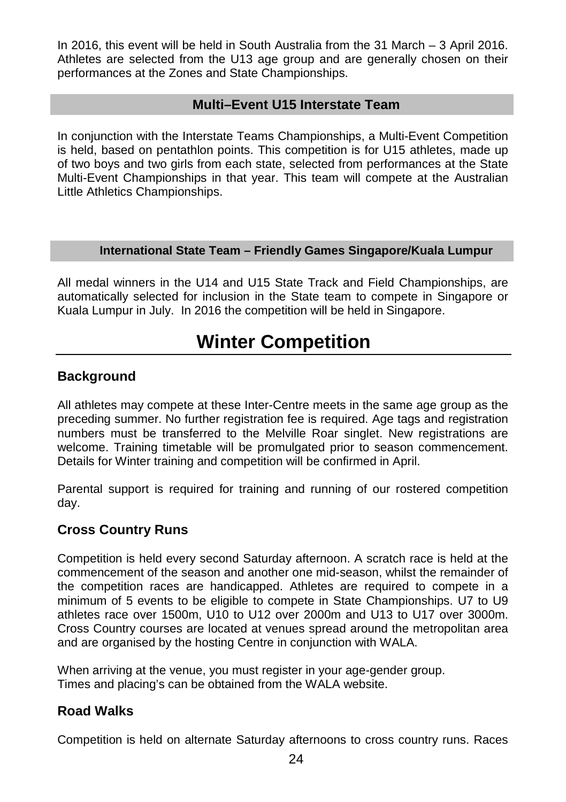In 2016, this event will be held in South Australia from the 31 March – 3 April 2016. Athletes are selected from the U13 age group and are generally chosen on their performances at the Zones and State Championships.

#### **Multi–Event U15 Interstate Team**

In conjunction with the Interstate Teams Championships, a Multi-Event Competition is held, based on pentathlon points. This competition is for U15 athletes, made up of two boys and two girls from each state, selected from performances at the State Multi-Event Championships in that year. This team will compete at the Australian Little Athletics Championships.

#### **International State Team – Friendly Games Singapore/Kuala Lumpur**

All medal winners in the U14 and U15 State Track and Field Championships, are automatically selected for inclusion in the State team to compete in Singapore or Kuala Lumpur in July. In 2016 the competition will be held in Singapore.

# **Winter Competition**

#### <span id="page-23-0"></span>**Background**

All athletes may compete at these Inter-Centre meets in the same age group as the preceding summer. No further registration fee is required. Age tags and registration numbers must be transferred to the Melville Roar singlet. New registrations are welcome. Training timetable will be promulgated prior to season commencement. Details for Winter training and competition will be confirmed in April.

Parental support is required for training and running of our rostered competition day.

#### **Cross Country Runs**

Competition is held every second Saturday afternoon. A scratch race is held at the commencement of the season and another one mid-season, whilst the remainder of the competition races are handicapped. Athletes are required to compete in a minimum of 5 events to be eligible to compete in State Championships. U7 to U9 athletes race over 1500m, U10 to U12 over 2000m and U13 to U17 over 3000m. Cross Country courses are located at venues spread around the metropolitan area and are organised by the hosting Centre in conjunction with WALA.

When arriving at the venue, you must register in your age-gender group. Times and placing's can be obtained from the WALA website.

#### **Road Walks**

Competition is held on alternate Saturday afternoons to cross country runs. Races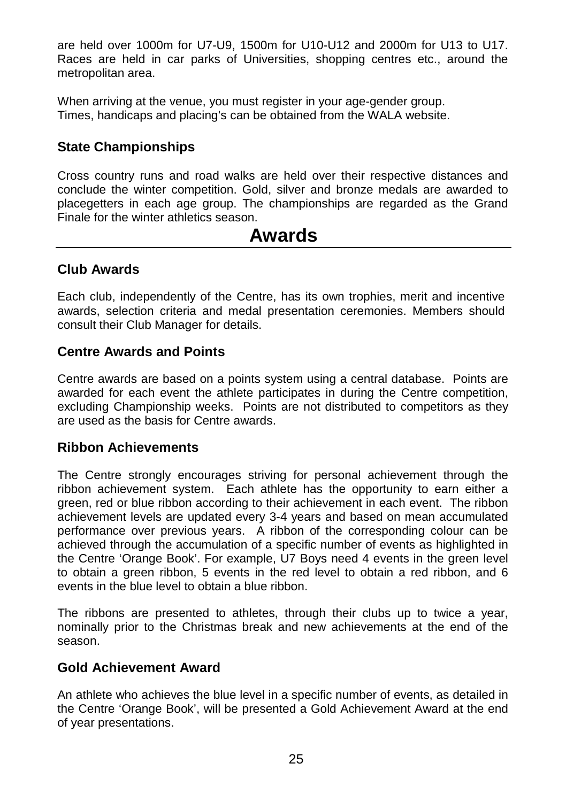are held over 1000m for U7-U9, 1500m for U10-U12 and 2000m for U13 to U17. Races are held in car parks of Universities, shopping centres etc., around the metropolitan area.

When arriving at the venue, you must register in your age-gender group. Times, handicaps and placing's can be obtained from the WALA website.

#### **State Championships**

Cross country runs and road walks are held over their respective distances and conclude the winter competition. Gold, silver and bronze medals are awarded to placegetters in each age group. The championships are regarded as the Grand Finale for the winter athletics season.

# **Awards**

#### <span id="page-24-0"></span>**Club Awards**

Each club, independently of the Centre, has its own trophies, merit and incentive awards, selection criteria and medal presentation ceremonies. Members should consult their Club Manager for details.

#### **Centre Awards and Points**

Centre awards are based on a points system using a central database. Points are awarded for each event the athlete participates in during the Centre competition, excluding Championship weeks. Points are not distributed to competitors as they are used as the basis for Centre awards.

#### **Ribbon Achievements**

The Centre strongly encourages striving for personal achievement through the ribbon achievement system. Each athlete has the opportunity to earn either a green, red or blue ribbon according to their achievement in each event. The ribbon achievement levels are updated every 3-4 years and based on mean accumulated performance over previous years. A ribbon of the corresponding colour can be achieved through the accumulation of a specific number of events as highlighted in the Centre 'Orange Book'. For example, U7 Boys need 4 events in the green level to obtain a green ribbon, 5 events in the red level to obtain a red ribbon, and 6 events in the blue level to obtain a blue ribbon.

The ribbons are presented to athletes, through their clubs up to twice a year, nominally prior to the Christmas break and new achievements at the end of the season.

#### **Gold Achievement Award**

An athlete who achieves the blue level in a specific number of events, as detailed in the Centre 'Orange Book', will be presented a Gold Achievement Award at the end of year presentations.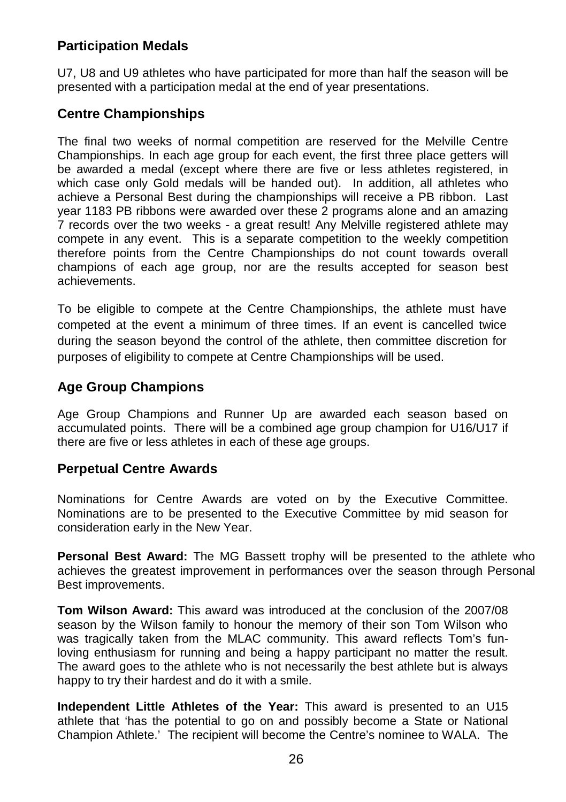#### **Participation Medals**

U7, U8 and U9 athletes who have participated for more than half the season will be presented with a participation medal at the end of year presentations.

#### **Centre Championships**

The final two weeks of normal competition are reserved for the Melville Centre Championships. In each age group for each event, the first three place getters will be awarded a medal (except where there are five or less athletes registered, in which case only Gold medals will be handed out). In addition, all athletes who achieve a Personal Best during the championships will receive a PB ribbon. Last year 1183 PB ribbons were awarded over these 2 programs alone and an amazing 7 records over the two weeks - a great result! Any Melville registered athlete may compete in any event. This is a separate competition to the weekly competition therefore points from the Centre Championships do not count towards overall champions of each age group, nor are the results accepted for season best achievements.

To be eligible to compete at the Centre Championships, the athlete must have competed at the event a minimum of three times. If an event is cancelled twice during the season beyond the control of the athlete, then committee discretion for purposes of eligibility to compete at Centre Championships will be used.

#### **Age Group Champions**

Age Group Champions and Runner Up are awarded each season based on accumulated points. There will be a combined age group champion for U16/U17 if there are five or less athletes in each of these age groups.

#### **Perpetual Centre Awards**

Nominations for Centre Awards are voted on by the Executive Committee. Nominations are to be presented to the Executive Committee by mid season for consideration early in the New Year.

**Personal Best Award:** The MG Bassett trophy will be presented to the athlete who achieves the greatest improvement in performances over the season through Personal Best improvements.

**Tom Wilson Award:** This award was introduced at the conclusion of the 2007/08 season by the Wilson family to honour the memory of their son Tom Wilson who was tragically taken from the MLAC community. This award reflects Tom's funloving enthusiasm for running and being a happy participant no matter the result. The award goes to the athlete who is not necessarily the best athlete but is always happy to try their hardest and do it with a smile.

**Independent Little Athletes of the Year:** This award is presented to an U15 athlete that 'has the potential to go on and possibly become a State or National Champion Athlete.' The recipient will become the Centre's nominee to WALA. The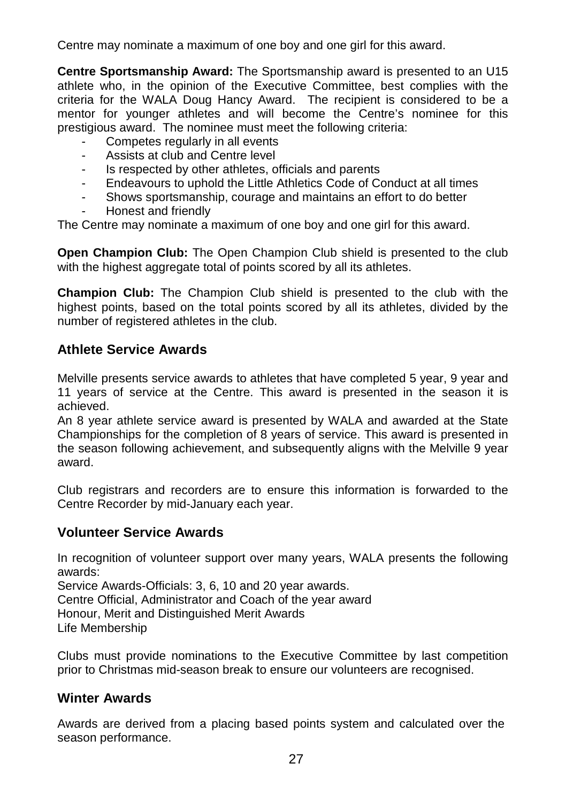Centre may nominate a maximum of one boy and one girl for this award.

**Centre Sportsmanship Award:** The Sportsmanship award is presented to an U15 athlete who, in the opinion of the Executive Committee, best complies with the criteria for the WALA Doug Hancy Award. The recipient is considered to be a mentor for younger athletes and will become the Centre's nominee for this prestigious award. The nominee must meet the following criteria:

- Competes regularly in all events
- Assists at club and Centre level
- Is respected by other athletes, officials and parents
- Endeavours to uphold the Little Athletics Code of Conduct at all times
- Shows sportsmanship, courage and maintains an effort to do better
- Honest and friendly

The Centre may nominate a maximum of one boy and one girl for this award.

**Open Champion Club:** The Open Champion Club shield is presented to the club with the highest aggregate total of points scored by all its athletes.

**Champion Club:** The Champion Club shield is presented to the club with the highest points, based on the total points scored by all its athletes, divided by the number of registered athletes in the club.

#### **Athlete Service Awards**

Melville presents service awards to athletes that have completed 5 year, 9 year and 11 years of service at the Centre. This award is presented in the season it is achieved.

An 8 year athlete service award is presented by WALA and awarded at the State Championships for the completion of 8 years of service. This award is presented in the season following achievement, and subsequently aligns with the Melville 9 year award.

Club registrars and recorders are to ensure this information is forwarded to the Centre Recorder by mid-January each year.

#### **Volunteer Service Awards**

In recognition of volunteer support over many years, WALA presents the following awards:

Service Awards-Officials: 3, 6, 10 and 20 year awards.

Centre Official, Administrator and Coach of the year award

Honour, Merit and Distinguished Merit Awards

Life Membership

Clubs must provide nominations to the Executive Committee by last competition prior to Christmas mid-season break to ensure our volunteers are recognised.

#### **Winter Awards**

Awards are derived from a placing based points system and calculated over the season performance.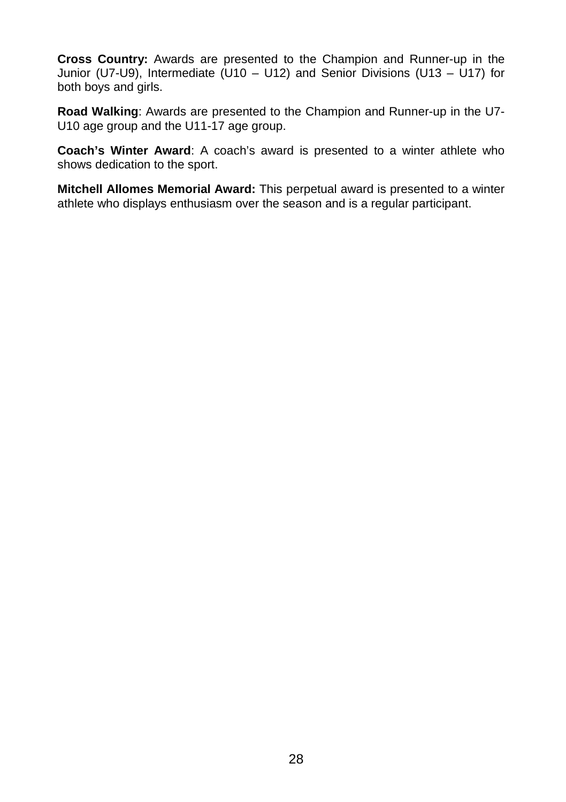**Cross Country:** Awards are presented to the Champion and Runner-up in the Junior (U7-U9), Intermediate (U10 – U12) and Senior Divisions (U13 – U17) for both boys and girls.

**Road Walking**: Awards are presented to the Champion and Runner-up in the U7- U10 age group and the U11-17 age group.

**Coach's Winter Award**: A coach's award is presented to a winter athlete who shows dedication to the sport.

**Mitchell Allomes Memorial Award:** This perpetual award is presented to a winter athlete who displays enthusiasm over the season and is a regular participant.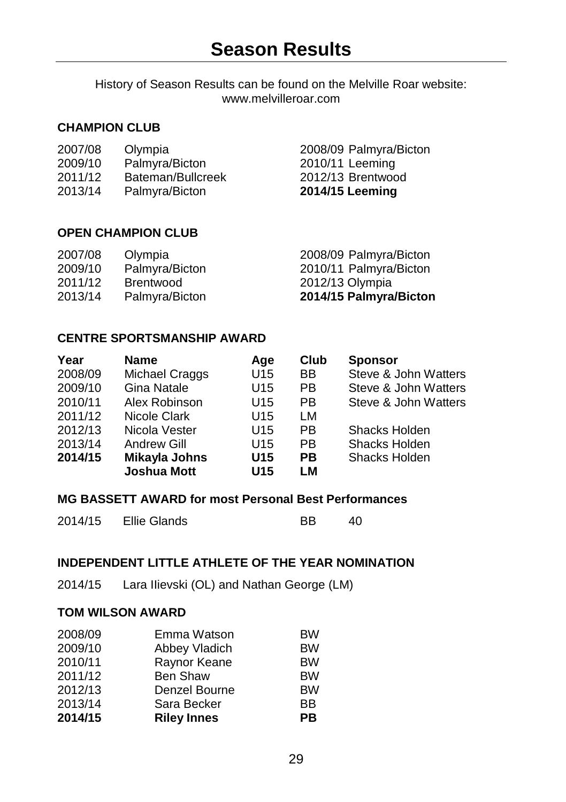<span id="page-28-0"></span>History of Season Results can be found on the Melville Roar website: www.melvilleroar.com

#### **CHAMPION CLUB**

| 2007/08 | Olympia |  |
|---------|---------|--|
| - - -   |         |  |

- 
- 
- 

2007/08 Olympia 2008/09 Palmyra/Bicton 2009/10 Palmyra/Bicton 2010/11 Leeming 2011/12 Bateman/Bullcreek 2012/13 Brentwood<br>2013/14 Palmvra/Bicton 2014/15 Leeming 2013/14 Palmyra/Bicton **2014/15 Leeming** 

#### **OPEN CHAMPION CLUB**

| 2007/08 | Olympia        | 2008/09 Palmyra/Bicton |
|---------|----------------|------------------------|
| 2009/10 | Palmyra/Bicton | 2010/11 Palmyra/Bicton |
| 2011/12 | Brentwood      | 2012/13 Olympia        |
| 2013/14 | Palmyra/Bicton | 2014/15 Palmyra/Bicton |

#### **CENTRE SPORTSMANSHIP AWARD**

| Year    | <b>Name</b>        | Age             | Club | <b>Sponsor</b>       |
|---------|--------------------|-----------------|------|----------------------|
| 2008/09 | Michael Craggs     | U <sub>15</sub> | BB   | Steve & John Watters |
| 2009/10 | Gina Natale        | U <sub>15</sub> | PB.  | Steve & John Watters |
| 2010/11 | Alex Robinson      | U <sub>15</sub> | PB.  | Steve & John Watters |
| 2011/12 | Nicole Clark       | U <sub>15</sub> | LM   |                      |
| 2012/13 | Nicola Vester      | U <sub>15</sub> | PB.  | Shacks Holden        |
| 2013/14 | Andrew Gill        | U15             | РB   | Shacks Holden        |
| 2014/15 | Mikayla Johns      | U <sub>15</sub> | РB   | Shacks Holden        |
|         | <b>Joshua Mott</b> | U <sub>15</sub> | LМ   |                      |
|         |                    |                 |      |                      |

#### **MG BASSETT AWARD for most Personal Best Performances**

| 2014/15 | Ellie Glands | BB | 40 |
|---------|--------------|----|----|
|         |              |    |    |

#### **INDEPENDENT LITTLE ATHLETE OF THE YEAR NOMINATION**

2014/15 Lara IIievski (OL) and Nathan George (LM)

#### **TOM WILSON AWARD**

|                 | PB                 |
|-----------------|--------------------|
| Sara Becker     | BB                 |
| Denzel Bourne   | <b>BW</b>          |
| <b>Ben Shaw</b> | <b>BW</b>          |
| Raynor Keane    | <b>BW</b>          |
| Abbey Vladich   | <b>BW</b>          |
| Emma Watson     | <b>BW</b>          |
|                 | <b>Riley Innes</b> |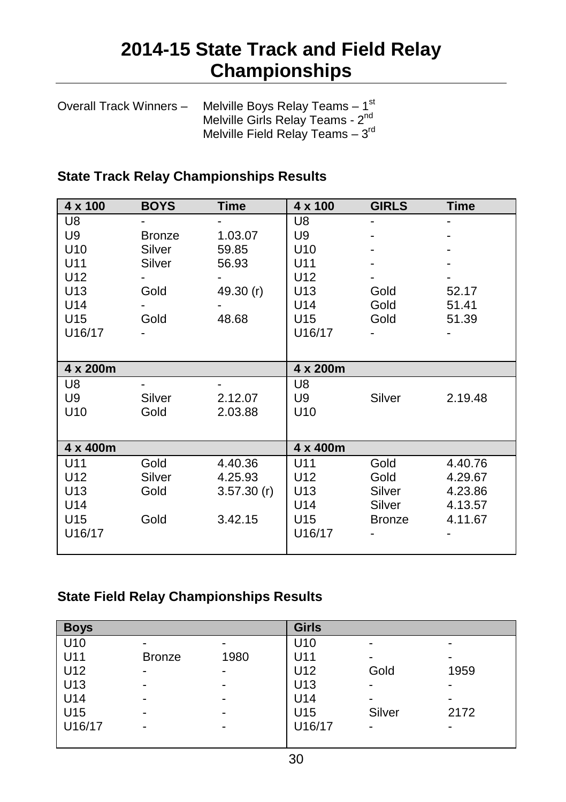# **2014-15 State Track and Field Relay Championships**

<span id="page-29-0"></span>

| Overall Track Winners - | Melville Boys Relay Teams $-1st$             |
|-------------------------|----------------------------------------------|
|                         | Melville Girls Relay Teams - 2 <sup>nd</sup> |
|                         | Melville Field Relay Teams $-3rd$            |

#### **State Track Relay Championships Results**

| $4 \times 100$  | <b>BOYS</b> | <b>Time</b> | $4 \times 100$  | <b>GIRLS</b>  | <b>Time</b> |
|-----------------|-------------|-------------|-----------------|---------------|-------------|
| U <sub>8</sub>  |             |             | U8              |               |             |
| U9              | Bronze      | 1.03.07     | U9              |               |             |
| U <sub>10</sub> | Silver      | 59.85       | U <sub>10</sub> |               |             |
| U11             | Silver      | 56.93       | U11             |               |             |
| U12             |             |             | U12             |               |             |
| U <sub>13</sub> | Gold        | 49.30 $(r)$ | U <sub>13</sub> | Gold          | 52.17       |
| U14             |             |             | U14             | Gold          | 51.41       |
| U15             | Gold        | 48.68       | U15             | Gold          | 51.39       |
| U16/17          |             |             | U16/17          |               |             |
|                 |             |             |                 |               |             |
| 4 x 200m        |             |             | 4 x 200m        |               |             |
| U <sub>8</sub>  |             |             | U8              |               |             |
| U9              | Silver      | 2.12.07     | U9              | Silver        | 2.19.48     |
| U <sub>10</sub> | Gold        | 2.03.88     | U <sub>10</sub> |               |             |
|                 |             |             |                 |               |             |
| 4 x 400m        |             |             | 4 x 400m        |               |             |
| U11             | Gold        | 4.40.36     | U11             | Gold          | 4.40.76     |
| U12             | Silver      | 4.25.93     | U <sub>12</sub> | Gold          | 4.29.67     |
| U <sub>13</sub> | Gold        | 3.57.30(r)  | U <sub>13</sub> | Silver        | 4.23.86     |
| U14             |             |             | U14             | Silver        | 4.13.57     |
| U <sub>15</sub> | Gold        | 3.42.15     | U <sub>15</sub> | <b>Bronze</b> | 4.11.67     |
| U16/17          |             |             | U16/17          |               |             |
|                 |             |             |                 |               |             |

#### **State Field Relay Championships Results**

| <b>Boys</b> |               |      | <b>Girls</b>    |        |      |
|-------------|---------------|------|-----------------|--------|------|
| U10         | ٠             | -    | U <sub>10</sub> | -      |      |
| U11         | <b>Bronze</b> | 1980 | U11             | -      |      |
| U12         | ۰             |      | U12             | Gold   | 1959 |
| U13         | ٠             |      | U <sub>13</sub> |        |      |
| U14         | ٠             | -    | U14             |        |      |
| U15         | ٠             | -    | U <sub>15</sub> | Silver | 2172 |
| U16/17      | -             | -    | U16/17          | -      |      |
|             |               |      |                 |        |      |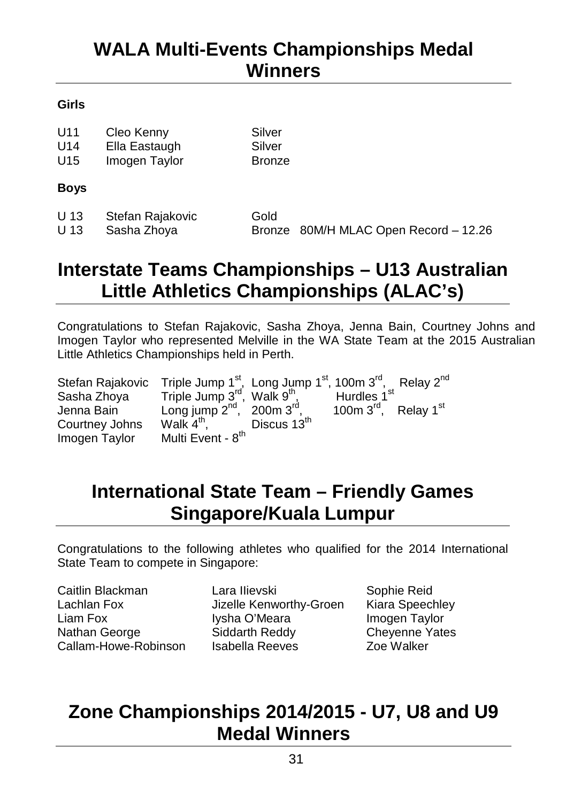# <span id="page-30-0"></span>**WALA Multi-Events Championships Medal Winners**

#### **Girls**

| U11<br>U14<br>U <sub>15</sub> | Cleo Kenny<br>Ella Eastaugh<br>Imogen Taylor | Silver<br>Silver<br><b>Bronze</b> |                                       |
|-------------------------------|----------------------------------------------|-----------------------------------|---------------------------------------|
| <b>Boys</b>                   |                                              |                                   |                                       |
| U 13<br>U 13                  | Stefan Rajakovic<br>Sasha Zhoya              | Gold                              | Bronze 80M/H MLAC Open Record - 12.26 |

# <span id="page-30-1"></span>**Interstate Teams Championships – U13 Australian Little Athletics Championships (ALAC's)**

Congratulations to Stefan Rajakovic, Sasha Zhoya, Jenna Bain, Courtney Johns and Imogen Taylor who represented Melville in the WA State Team at the 2015 Australian Little Athletics Championships held in Perth.

| Stefan Rajakovic | Triple Jump $1^{st}$ , Long Jump $1^{st}$ , 100m $3^{rd}$ , Relay $2^{nd}$ |                         |                                                 |  |
|------------------|----------------------------------------------------------------------------|-------------------------|-------------------------------------------------|--|
| Sasha Zhova      | Triple Jump 3 <sup>rd</sup> , Walk 9 <sup>th</sup> ,                       |                         | Hurdles 1 <sup>st</sup>                         |  |
| Jenna Bain       | Long jump $2^{nd}$ , 200m $3^{rd}$ ,                                       |                         | 100 $m$ 3 <sup>rd</sup> , Relay 1 <sup>st</sup> |  |
| Courtney Johns   | Walk $4^{\text{th}}$ ,                                                     | Discus 13 <sup>th</sup> |                                                 |  |
| Imogen Taylor    | Multi Event - 8 <sup>th</sup>                                              |                         |                                                 |  |

# <span id="page-30-2"></span>**International State Team – Friendly Games Singapore/Kuala Lumpur**

Congratulations to the following athletes who qualified for the 2014 International State Team to compete in Singapore:

Caitlin Blackman Lachlan Fox Liam Fox Nathan George Callam-Howe-Robinson Lara IIievski Jizelle Kenworthy-Groen Iysha O'Meara Siddarth Reddy Isabella Reeves

Sophie Reid Kiara Speechley Imogen Taylor Cheyenne Yates Zoe Walker

# <span id="page-30-3"></span>**Zone Championships 2014/2015 - U7, U8 and U9 Medal Winners**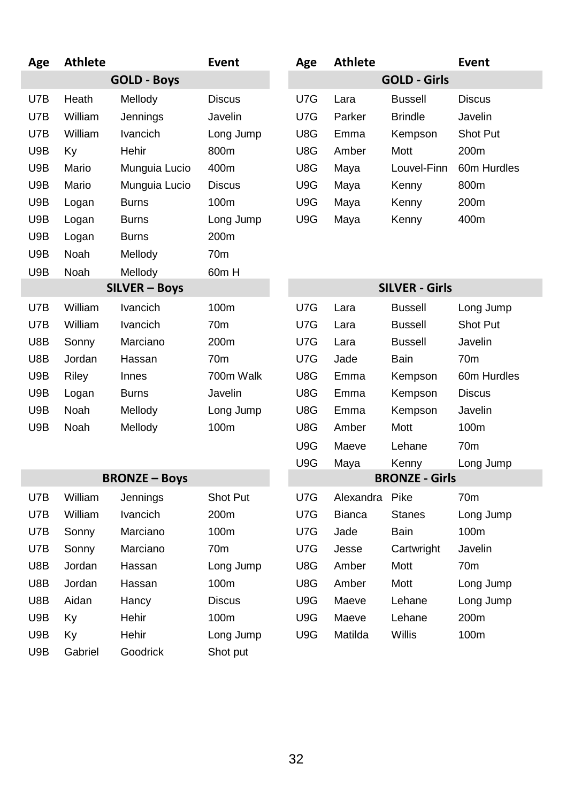| Age                             | <b>Athlete</b> |                      | Event           | Age | <b>Athlete</b> |                       | <b>Event</b>    |
|---------------------------------|----------------|----------------------|-----------------|-----|----------------|-----------------------|-----------------|
|                                 |                | <b>GOLD - Boys</b>   |                 |     |                | <b>GOLD - Girls</b>   |                 |
| U7B                             | Heath          | Mellody              | <b>Discus</b>   | U7G | Lara           | <b>Bussell</b>        | <b>Discus</b>   |
| U7B                             | William        | Jennings             | Javelin         | U7G | Parker         | <b>Brindle</b>        | Javelin         |
| U7B                             | William        | Ivancich             | Long Jump       | U8G | Emma           | Kempson               | Shot Put        |
| U9B                             | Ky             | Hehir                | 800m            | U8G | Amber          | Mott                  | 200m            |
| U9B                             | Mario          | Munguia Lucio        | 400m            | U8G | Maya           | Louvel-Finn           | 60m Hurdles     |
| U9B                             | Mario          | Munguia Lucio        | <b>Discus</b>   | U9G | Maya           | Kenny                 | 800m            |
| U9B                             | Logan          | Burns                | 100m            | U9G | Maya           | Kenny                 | 200m            |
| U9B                             | Logan          | <b>Burns</b>         | Long Jump       | U9G | Maya           | Kenny                 | 400m            |
| U9B                             | Logan          | <b>Burns</b>         | 200m            |     |                |                       |                 |
| U9B                             | Noah           | Mellody              | 70m             |     |                |                       |                 |
| U9B<br>60m H<br>Noah<br>Mellody |                |                      |                 |     |                |                       |                 |
|                                 |                | SILVER - Boys        |                 |     |                | <b>SILVER - Girls</b> |                 |
| U7B                             | William        | Ivancich             | 100m            | U7G | Lara           | <b>Bussell</b>        | Long Jump       |
| U7B                             | William        | <b>Ivancich</b>      | 70 <sub>m</sub> | U7G | Lara           | <b>Bussell</b>        | Shot Put        |
| U8B                             | Sonny          | Marciano             | 200m            | U7G | Lara           | <b>Bussell</b>        | Javelin         |
| U8B                             | Jordan         | Hassan               | 70m             | U7G | Jade           | Bain                  | 70m             |
| U9B                             | Riley          | Innes                | 700m Walk       | U8G | Emma           | Kempson               | 60m Hurdles     |
| U9B                             | Logan          | Burns                | Javelin         | U8G | Emma           | Kempson               | <b>Discus</b>   |
| U9B                             | Noah           | Mellody              | Long Jump       | U8G | Emma           | Kempson               | Javelin         |
| U9B                             | Noah           | Mellody              | 100m            | U8G | Amber          | Mott                  | 100m            |
|                                 |                |                      |                 | U9G | Maeve          | Lehane                | 70 <sub>m</sub> |
|                                 |                |                      |                 | U9G | Maya           | Kenny                 | Long Jump       |
|                                 |                | <b>BRONZE - Boys</b> |                 |     |                | <b>BRONZE - Girls</b> |                 |
| U7B                             | William        | Jennings             | Shot Put        | U7G | Alexandra      | Pike                  | 70 <sub>m</sub> |
| U7B                             | William        | Ivancich             | 200m            | U7G | <b>Bianca</b>  | <b>Stanes</b>         | Long Jump       |
| U7B                             | Sonny          | Marciano             | 100m            | U7G | Jade           | Bain                  | 100m            |
| U7B                             | Sonny          | Marciano             | 70 <sub>m</sub> | U7G | Jesse          | Cartwright            | Javelin         |
| U8B                             | Jordan         | Hassan               | Long Jump       | U8G | Amber          | Mott                  | 70 <sub>m</sub> |
| U8B                             | Jordan         | Hassan               | 100m            | U8G | Amber          | Mott                  | Long Jump       |
| U8B                             | Aidan          | Hancy                | <b>Discus</b>   | U9G | Maeve          | Lehane                | Long Jump       |
| U9B                             | Ky             | Hehir                | 100m            | U9G | Maeve          | Lehane                | 200m            |
| U9B                             | Κv             | Hehir                | Long Jump       | U9G | Matilda        | Willis                | 100m            |
| U9B                             | Gabriel        | Goodrick             | Shot put        |     |                |                       |                 |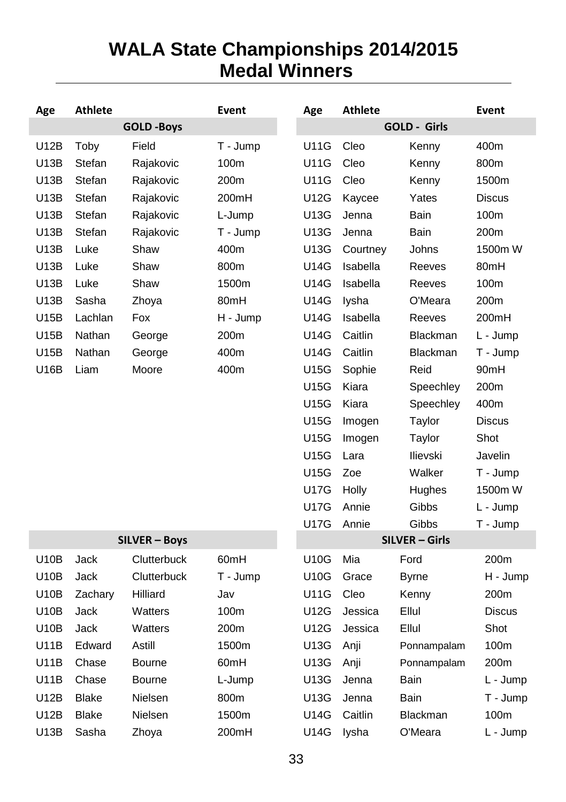# <span id="page-32-1"></span><span id="page-32-0"></span>**WALA State Championships 2014/2015 Medal Winners**

| Age  | <b>Athlete</b> |                   | Event    | Age         | <b>Athlete</b> |                       | Event         |
|------|----------------|-------------------|----------|-------------|----------------|-----------------------|---------------|
|      |                | <b>GOLD -Boys</b> |          |             |                | GOLD - Girls          |               |
| U12B | Toby           | Field             | T - Jump | <b>U11G</b> | Cleo           | Kenny                 | 400m          |
| U13B | Stefan         | Rajakovic         | 100m     | <b>U11G</b> | Cleo           | Kenny                 | 800m          |
| U13B | Stefan         | Rajakovic         | 200m     | <b>U11G</b> | Cleo           | Kenny                 | 1500m         |
| U13B | Stefan         | Rajakovic         | 200mH    | <b>U12G</b> | Kaycee         | Yates                 | <b>Discus</b> |
| U13B | Stefan         | Rajakovic         | L-Jump   | U13G        | Jenna          | Bain                  | 100m          |
| U13B | Stefan         | Rajakovic         | T - Jump | U13G        | Jenna          | Bain                  | 200m          |
| U13B | Luke           | Shaw              | 400m     | U13G        | Courtney       | Johns                 | 1500m W       |
| U13B | Luke           | Shaw              | 800m     | U14G        | Isabella       | Reeves                | 80mH          |
| U13B | Luke           | Shaw              | 1500m    | <b>U14G</b> | Isabella       | Reeves                | 100m          |
| U13B | Sasha          | Zhoya             | 80mH     | <b>U14G</b> | lysha          | O'Meara               | 200m          |
| U15B | Lachlan        | Fox               | H - Jump | <b>U14G</b> | Isabella       | Reeves                | 200mH         |
| U15B | Nathan         | George            | 200m     | U14G        | Caitlin        | Blackman              | L - Jump      |
| U15B | Nathan         | George            | 400m     | <b>U14G</b> | Caitlin        | <b>Blackman</b>       | T - Jump      |
| U16B | Liam           | Moore             | 400m     | <b>U15G</b> | Sophie         | Reid                  | 90mH          |
|      |                |                   |          | <b>U15G</b> | Kiara          | Speechley             | 200m          |
|      |                |                   |          | U15G        | Kiara          | Speechley             | 400m          |
|      |                |                   |          | U15G        | Imogen         | Taylor                | <b>Discus</b> |
|      |                |                   |          | <b>U15G</b> | Imogen         | Taylor                | Shot          |
|      |                |                   |          | <b>U15G</b> | Lara           | Ilievski              | Javelin       |
|      |                |                   |          | U15G        | Zoe            | Walker                | T - Jump      |
|      |                |                   |          | <b>U17G</b> | Holly          | Hughes                | 1500m W       |
|      |                |                   |          | <b>U17G</b> | Annie          | Gibbs                 | L - Jump      |
|      |                |                   |          | <b>U17G</b> | Annie          | Gibbs                 | T - Jump      |
|      |                | SILVER - Boys     |          |             |                | <b>SILVER - Girls</b> |               |
| U10B | Jack           | Clutterbuck       | 60mH     | U10G        | Mia            | Ford                  | 200m          |
| U10B | Jack           | Clutterbuck       | T - Jump | U10G        | Grace          | Byrne                 | H - Jump      |
| U10B | Zachary        | Hilliard          | Jav      | U11G        | Cleo           | Kenny                 | 200m          |
| U10B | Jack           | Watters           | 100m     | U12G        | Jessica        | Ellul                 | <b>Discus</b> |
| U10B | Jack           | Watters           | 200m     | U12G        | Jessica        | Ellul                 | Shot          |
| U11B | Edward         | Astill            | 1500m    | U13G        | Anji           | Ponnampalam           | 100m          |
| U11B | Chase          | <b>Bourne</b>     | 60mH     | U13G        | Anji           | Ponnampalam           | 200m          |
| U11B | Chase          | <b>Bourne</b>     | L-Jump   | U13G        | Jenna          | Bain                  | L - Jump      |
| U12B | <b>Blake</b>   | Nielsen           | 800m     | U13G        | Jenna          | Bain                  | T - Jump      |
| U12B | <b>Blake</b>   | Nielsen           | 1500m    | U14G        | Caitlin        | <b>Blackman</b>       | 100m          |
| U13B | Sasha          | Zhoya             | 200mH    | U14G        | lysha          | O'Meara               | L - Jump      |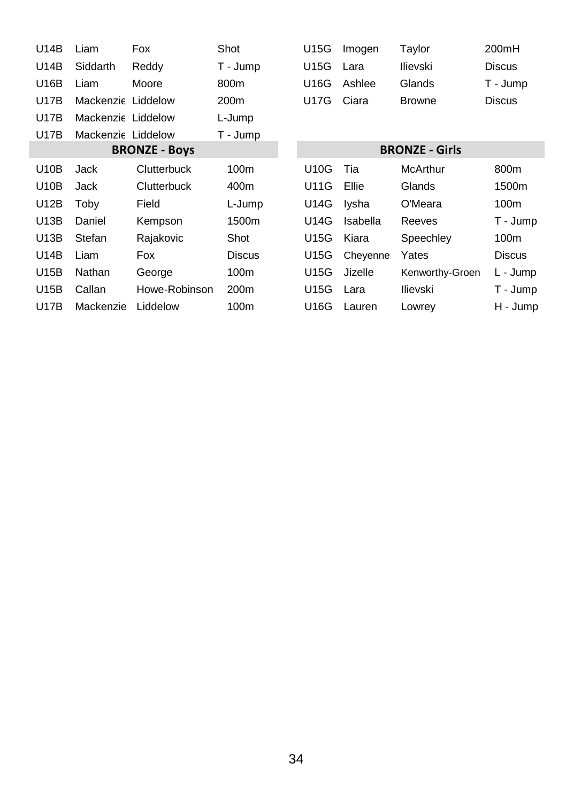| U14B        | Liam               | Fox                  | Shot             | U15G | Imogen   | Taylor                | 200mH            |
|-------------|--------------------|----------------------|------------------|------|----------|-----------------------|------------------|
| U14B        | Siddarth           | Reddy                | T - Jump         | U15G | Lara     | Ilievski              | <b>Discus</b>    |
| U16B        | Liam               | Moore                | 800m             | U16G | Ashlee   | Glands                | T - Jump         |
| U17B        | Mackenzie Liddelow |                      | 200 <sub>m</sub> | U17G | Ciara    | <b>Browne</b>         | <b>Discus</b>    |
| U17B        | Mackenzie Liddelow |                      | L-Jump           |      |          |                       |                  |
| <b>U17B</b> | Mackenzie Liddelow |                      | T - Jump         |      |          |                       |                  |
|             |                    | <b>BRONZE - Boys</b> |                  |      |          | <b>BRONZE - Girls</b> |                  |
| U10B        | Jack               | Clutterbuck          | 100m             | U10G | Tia      | McArthur              | 800m             |
| U10B        | Jack               | Clutterbuck          | 400m             | U11G | Ellie    | Glands                | 1500m            |
| U12B        | Toby               | Field                | L-Jump           | U14G | Iysha    | O'Meara               | 100 <sub>m</sub> |
| U13B        | Daniel             | Kempson              | 1500m            | U14G | Isabella | Reeves                | T - Jump         |
| U13B        | Stefan             | Rajakovic            | Shot             | U15G | Kiara    | Speechley             | 100m             |
| U14B        | Liam               | Fox                  | <b>Discus</b>    | U15G | Cheyenne | Yates                 | <b>Discus</b>    |
| U15B        | Nathan             | George               | 100m             | U15G | Jizelle  | Kenworthy-Groen       | L - Jump         |
| U15B        | Callan             | Howe-Robinson        | 200 <sub>m</sub> | U15G | Lara     | Ilievski              | T - Jump         |
| U17B        | Mackenzie          | Liddelow             | 100m             | U16G | Lauren   | Lowrey                | H - Jump         |
|             |                    |                      |                  |      |          |                       |                  |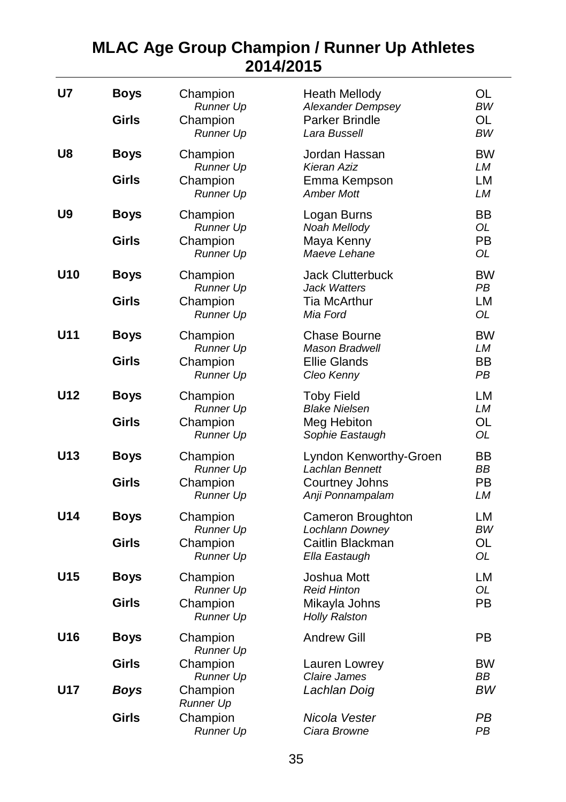### <span id="page-34-0"></span>**MLAC Age Group Champion / Runner Up Athletes 2014/2015**

| U7         | <b>Boys</b><br>Girls | Champion<br><b>Runner Up</b><br>Champion<br><b>Runner Up</b> | <b>Heath Mellody</b><br>Alexander Dempsey<br>Parker Brindle<br>Lara Bussell     | OL<br><b>BW</b><br>OL<br><b>BW</b> |
|------------|----------------------|--------------------------------------------------------------|---------------------------------------------------------------------------------|------------------------------------|
| U8         | Boys<br>Girls        | Champion<br><b>Runner Up</b><br>Champion<br><b>Runner Up</b> | Jordan Hassan<br>Kieran Aziz<br>Emma Kempson<br><b>Amber Mott</b>               | <b>BW</b><br>LМ<br>LM<br>LМ        |
| U9         | <b>Boys</b><br>Girls | Champion<br>Runner Up<br>Champion<br>Runner Up               | Logan Burns<br>Noah Mellody<br>Maya Kenny<br>Maeve Lehane                       | BB<br>OL<br>PB<br>OL               |
| U10        | <b>Boys</b><br>Girls | Champion<br><b>Runner Up</b><br>Champion<br><b>Runner Up</b> | <b>Jack Clutterbuck</b><br><b>Jack Watters</b><br>Tia McArthur<br>Mia Ford      | <b>BW</b><br>PB<br>LM<br>OL        |
| U11        | <b>Boys</b><br>Girls | Champion<br><b>Runner Up</b><br>Champion<br><b>Runner Up</b> | Chase Bourne<br><b>Mason Bradwell</b><br><b>Ellie Glands</b><br>Cleo Kenny      | <b>BW</b><br>LМ<br>BB<br>PB        |
| U12        | <b>Boys</b><br>Girls | Champion<br><b>Runner Up</b><br>Champion<br>Runner Up        | <b>Toby Field</b><br><b>Blake Nielsen</b><br>Meg Hebiton<br>Sophie Eastaugh     | LM<br>LМ<br>OL<br>OL               |
| U13        | <b>Boys</b><br>Girls | Champion<br><b>Runner Up</b><br>Champion<br><b>Runner Up</b> | Lyndon Kenworthy-Groen<br>Lachlan Bennett<br>Courtney Johns<br>Anji Ponnampalam | BB<br>ВB<br>PB<br>LМ               |
| U14        | <b>Boys</b><br>Girls | Champion<br><b>Runner Up</b><br>Champion<br><b>Runner Up</b> | Cameron Broughton<br>Lochlann Downey<br>Caitlin Blackman<br>Ella Eastaugh       | LМ<br><b>BW</b><br>OL<br>OL        |
| U15        | <b>Boys</b><br>Girls | Champion<br><b>Runner Up</b><br>Champion<br><b>Runner Up</b> | Joshua Mott<br><b>Reid Hinton</b><br>Mikayla Johns<br><b>Holly Ralston</b>      | LM<br>OL<br>PB                     |
| U16        | <b>Boys</b>          | Champion<br><b>Runner Up</b>                                 | <b>Andrew Gill</b>                                                              | PB                                 |
|            | Girls                | Champion<br>Runner Up                                        | Lauren Lowrey<br>Claire James                                                   | <b>BW</b><br><b>BB</b>             |
| <b>U17</b> | Boys                 | Champion<br>Runner Up                                        | Lachlan Doig                                                                    | ВW                                 |
|            | Girls                | Champion<br><b>Runner Up</b>                                 | Nicola Vester<br>Ciara Browne                                                   | PВ<br>PВ                           |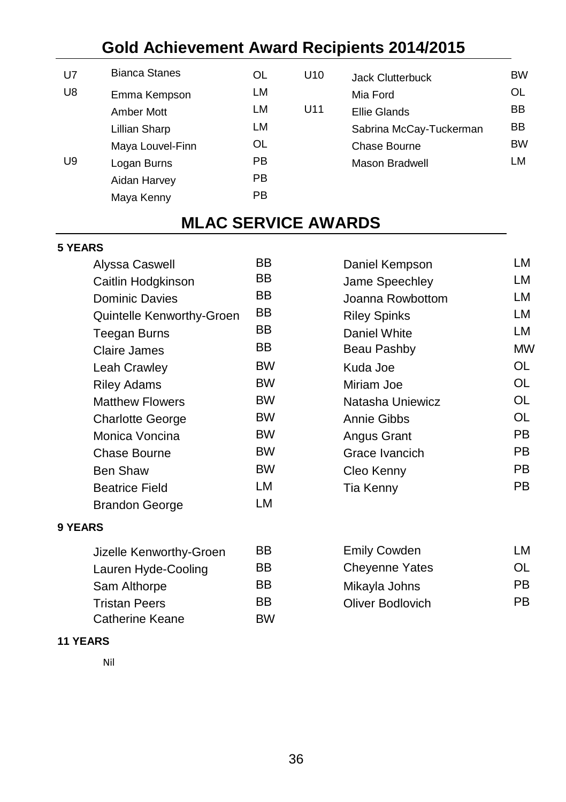# **Gold Achievement Award Recipients 2014/2015**

| U7             | Blanca Stanes    |    |
|----------------|------------------|----|
| U <sub>8</sub> | Emma Kempson     | LM |
|                | Amber Mott       | LM |
|                | Lillian Sharp    | LM |
|                | Maya Louvel-Finn | OL |
| U9             | Logan Burns      | PB |
|                | Aidan Harvey     | РB |
|                | Maya Kenny       | РB |
|                |                  |    |

<span id="page-35-0"></span>

| U7 | <b>Bianca Stanes</b> | OL  | U10 | <b>Jack Clutterbuck</b> | <b>BW</b> |
|----|----------------------|-----|-----|-------------------------|-----------|
| U8 | Emma Kempson         | LM  |     | Mia Ford                | OL.       |
|    | Amber Mott           | LM  | U11 | Ellie Glands            | BB        |
|    | Lillian Sharp        | LM  |     | Sabrina McCay-Tuckerman | <b>BB</b> |
|    | Maya Louvel-Finn     | OL  |     | Chase Bourne            | <b>BW</b> |
| U9 | Logan Burns          | PB. |     | Mason Bradwell          | LM        |
|    |                      |     |     |                         |           |

# **MLAC SERVICE AWARDS**

#### <span id="page-35-1"></span>**5 YEARS**

| Alyssa Caswell            | <b>BB</b> | Daniel Kempson      | LM |
|---------------------------|-----------|---------------------|----|
| Caitlin Hodgkinson        | BB.       | Jame Speechley      | LM |
| <b>Dominic Davies</b>     | BB.       | Joanna Rowbottom    | LM |
| Quintelle Kenworthy-Groen | BB.       | <b>Riley Spinks</b> | LM |
| Teegan Burns              | BB.       | Daniel White        | LM |
| Claire James              | BB        | Beau Pashby         | MV |
| Leah Crawley              | <b>BW</b> | Kuda Joe            | OL |
| <b>Riley Adams</b>        | <b>BW</b> | Miriam Joe          | OL |
| <b>Matthew Flowers</b>    | <b>BW</b> | Natasha Uniewicz    | OL |
| <b>Charlotte George</b>   | <b>BW</b> | Annie Gibbs         | OL |
| Monica Voncina            | <b>BW</b> | Angus Grant         | PB |
| Chase Bourne              | <b>BW</b> | Grace Ivancich      | PB |
| Ben Shaw                  | <b>BW</b> | Cleo Kenny          | PB |
| <b>Beatrice Field</b>     | LM        | Tia Kenny           | PB |
| <b>Brandon George</b>     | LM        |                     |    |
|                           |           |                     |    |

| Alyssa Caswell            | BB        | Daniel Kempson      | LM        |
|---------------------------|-----------|---------------------|-----------|
| Caitlin Hodgkinson        | BB        | Jame Speechley      | LM        |
| <b>Dominic Davies</b>     | BB.       | Joanna Rowbottom    | LM        |
| Quintelle Kenworthy-Groen | BB        | <b>Riley Spinks</b> | LM        |
| Teegan Burns              | BB        | Daniel White        | LM        |
| Claire James              | BB.       | Beau Pashby         | <b>MW</b> |
| Leah Crawley              | <b>BW</b> | Kuda Joe            | OL        |
| <b>Riley Adams</b>        | <b>BW</b> | Miriam Joe          | OL        |
| <b>Matthew Flowers</b>    | <b>BW</b> | Natasha Uniewicz    | OL        |
| <b>Charlotte George</b>   | <b>BW</b> | Annie Gibbs         | OL        |
| Monica Voncina            | <b>BW</b> | Angus Grant         | PB.       |
| Chase Bourne              | <b>BW</b> | Grace Ivancich      | PB.       |
| Ben Shaw                  | <b>BW</b> | Cleo Kenny          | PB.       |
| <b>Beatrice Field</b>     | LM        | Tia Kenny           | PB.       |

#### **9 YEARS**

| Jizelle Kenworthy-Groen | BB        | Emily Cowden          | LM |
|-------------------------|-----------|-----------------------|----|
| Lauren Hyde-Cooling     | BB        | <b>Chevenne Yates</b> | OL |
| Sam Althorpe            | BB        | Mikayla Johns         | РB |
| <b>Tristan Peers</b>    | BB        | Oliver Bodlovich      | РB |
| Catherine Keane         | <b>BW</b> |                       |    |

#### <span id="page-35-2"></span>**11 YEARS**

Nil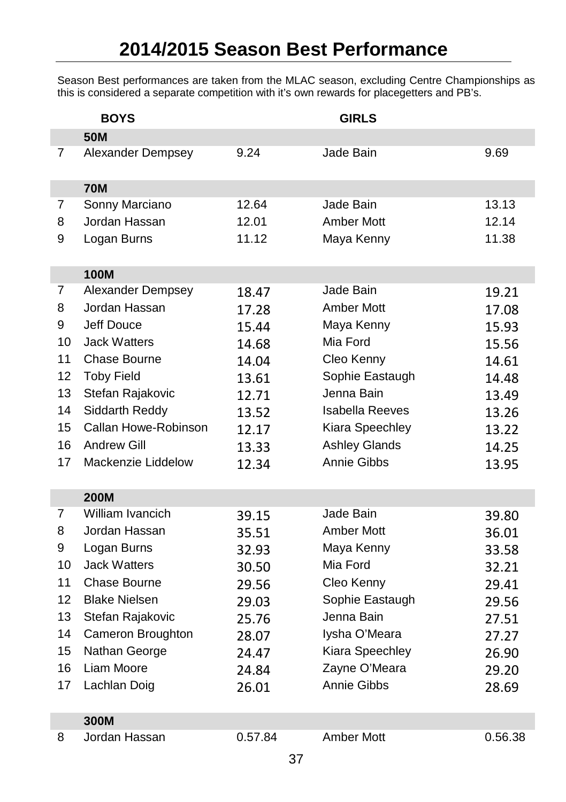Season Best performances are taken from the MLAC season, excluding Centre Championships as this is considered a separate competition with it's own rewards for placegetters and PB's.

|                | <b>BOYS</b>                      |                | <b>GIRLS</b>           |                |
|----------------|----------------------------------|----------------|------------------------|----------------|
|                | <b>50M</b>                       |                |                        |                |
| $\overline{7}$ | Alexander Dempsey                | 9.24           | Jade Bain              | 9.69           |
|                | <b>70M</b>                       |                |                        |                |
| $\overline{7}$ | Sonny Marciano                   | 12.64          | Jade Bain              | 13.13          |
| 8              | Jordan Hassan                    | 12.01          | Amber Mott             | 12.14          |
| 9              | Logan Burns                      | 11.12          | Maya Kenny             | 11.38          |
|                |                                  |                |                        |                |
| 7              | <b>100M</b><br>Alexander Dempsey |                | Jade Bain              |                |
| 8              | Jordan Hassan                    | 18.47          | Amber Mott             | 19.21          |
| 9              | Jeff Douce                       | 17.28          | Maya Kenny             | 17.08          |
| 10             | <b>Jack Watters</b>              | 15.44          | Mia Ford               | 15.93          |
| 11             | Chase Bourne                     | 14.68          | Cleo Kenny             | 15.56          |
| 12             | <b>Toby Field</b>                | 14.04<br>13.61 | Sophie Eastaugh        | 14.61          |
| 13             | Stefan Rajakovic                 | 12.71          | Jenna Bain             | 14.48<br>13.49 |
| 14             | Siddarth Reddy                   | 13.52          | <b>Isabella Reeves</b> | 13.26          |
| 15             | Callan Howe-Robinson             | 12.17          | Kiara Speechley        | 13.22          |
| 16             | <b>Andrew Gill</b>               | 13.33          | <b>Ashley Glands</b>   | 14.25          |
| 17             | Mackenzie Liddelow               | 12.34          | Annie Gibbs            | 13.95          |
|                |                                  |                |                        |                |
|                | <b>200M</b>                      |                |                        |                |
| 7              | William Ivancich                 | 39.15          | Jade Bain              | 39.80          |
| 8              | Jordan Hassan                    | 35.51          | Amber Mott             | 36.01          |
| 9              | Logan Burns                      | 32.93          | Maya Kenny             | 33.58          |
| 10             | <b>Jack Watters</b>              | 30.50          | Mia Ford               | 32.21          |
| 11             | Chase Bourne                     | 29.56          | Cleo Kenny             | 29.41          |
| 12             | <b>Blake Nielsen</b>             | 29.03          | Sophie Eastaugh        | 29.56          |
| 13             | Stefan Rajakovic                 | 25.76          | Jenna Bain             | 27.51          |
| 14             | Cameron Broughton                | 28.07          | lysha O'Meara          | 27.27          |
| 15             | Nathan George                    | 24.47          | Kiara Speechley        | 26.90          |
| 16             | Liam Moore                       | 24.84          | Zayne O'Meara          | 29.20          |
| 17             | Lachlan Doig                     | 26.01          | Annie Gibbs            | 28.69          |
|                | 300M                             |                |                        |                |
| 8              | Jordan Hassan                    | 0.57.84        | Amber Mott             | 0.56.38        |
|                |                                  | $\sim$         |                        |                |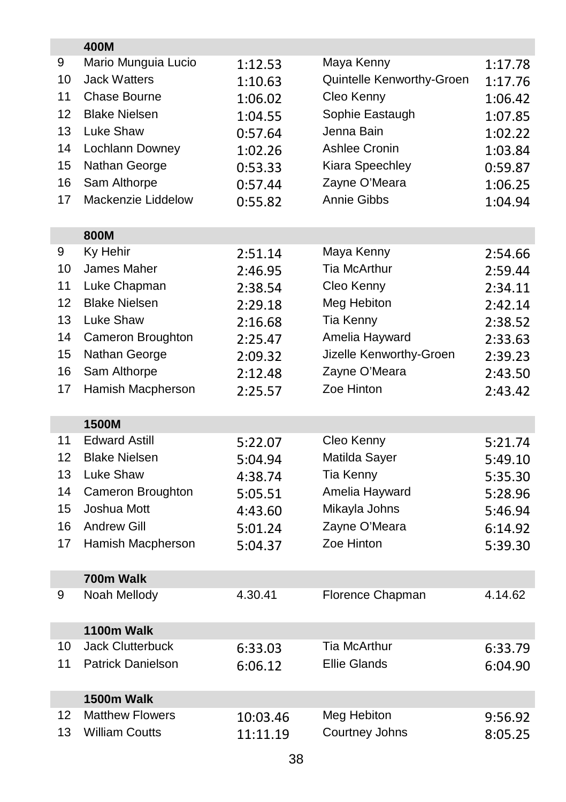|    | 400M                                 |          |                               |         |
|----|--------------------------------------|----------|-------------------------------|---------|
| 9  | Mario Munguia Lucio                  | 1:12.53  | Maya Kenny                    | 1:17.78 |
| 10 | <b>Jack Watters</b>                  | 1:10.63  | Quintelle Kenworthy-Groen     | 1:17.76 |
| 11 | Chase Bourne                         | 1:06.02  | Cleo Kenny                    | 1:06.42 |
| 12 | <b>Blake Nielsen</b>                 | 1:04.55  | Sophie Eastaugh               | 1:07.85 |
| 13 | Luke Shaw                            | 0:57.64  | Jenna Bain                    | 1:02.22 |
| 14 | Lochlann Downey                      | 1:02.26  | Ashlee Cronin                 | 1:03.84 |
| 15 | Nathan George                        | 0:53.33  | Kiara Speechley               | 0:59.87 |
| 16 | Sam Althorpe                         | 0:57.44  | Zayne O'Meara                 | 1:06.25 |
| 17 | Mackenzie Liddelow                   | 0:55.82  | Annie Gibbs                   | 1:04.94 |
|    |                                      |          |                               |         |
|    | 800M                                 |          |                               |         |
| 9  | Ky Hehir                             | 2:51.14  | Maya Kenny                    | 2:54.66 |
| 10 | James Maher                          | 2:46.95  | <b>Tia McArthur</b>           | 2:59.44 |
| 11 | Luke Chapman                         | 2:38.54  | Cleo Kenny                    | 2:34.11 |
| 12 | <b>Blake Nielsen</b>                 | 2:29.18  | Meg Hebiton                   | 2:42.14 |
| 13 | Luke Shaw                            | 2:16.68  | Tia Kenny                     | 2:38.52 |
| 14 | Cameron Broughton                    | 2:25.47  | Amelia Hayward                | 2:33.63 |
| 15 | Nathan George                        | 2:09.32  | Jizelle Kenworthy-Groen       | 2:39.23 |
| 16 | Sam Althorpe                         | 2:12.48  | Zayne O'Meara                 | 2:43.50 |
| 17 | Hamish Macpherson                    | 2:25.57  | Zoe Hinton                    | 2:43.42 |
|    |                                      |          |                               |         |
|    | 1500M                                |          |                               |         |
| 11 | <b>Edward Astill</b>                 | 5:22.07  | Cleo Kenny                    | 5:21.74 |
| 12 | <b>Blake Nielsen</b>                 | 5:04.94  | Matilda Sayer                 | 5:49.10 |
| 13 | Luke Shaw                            | 4:38.74  | Tia Kenny                     | 5:35.30 |
| 14 | Cameron Broughton                    | 5:05.51  | Amelia Hayward                | 5:28.96 |
| 15 | Joshua Mott                          | 4:43.60  | Mikayla Johns                 | 5:46.94 |
| 16 | <b>Andrew Gill</b>                   | 5:01.24  | Zayne O'Meara                 | 6:14.92 |
| 17 | Hamish Macpherson                    | 5:04.37  | Zoe Hinton                    | 5:39.30 |
|    |                                      |          |                               |         |
|    | 700m Walk                            |          |                               |         |
| 9  | Noah Mellody                         | 4.30.41  | Florence Chapman              | 4.14.62 |
|    |                                      |          |                               |         |
|    | 1100m Walk                           |          |                               |         |
| 10 | <b>Jack Clutterbuck</b>              | 6:33.03  | Tia McArthur                  | 6:33.79 |
| 11 | Patrick Danielson                    | 6:06.12  | <b>Ellie Glands</b>           | 6:04.90 |
|    |                                      |          |                               |         |
| 12 | 1500m Walk<br><b>Matthew Flowers</b> |          |                               |         |
| 13 | <b>William Coutts</b>                | 10:03.46 | Meg Hebiton<br>Courtney Johns | 9:56.92 |
|    |                                      | 11:11.19 |                               | 8:05.25 |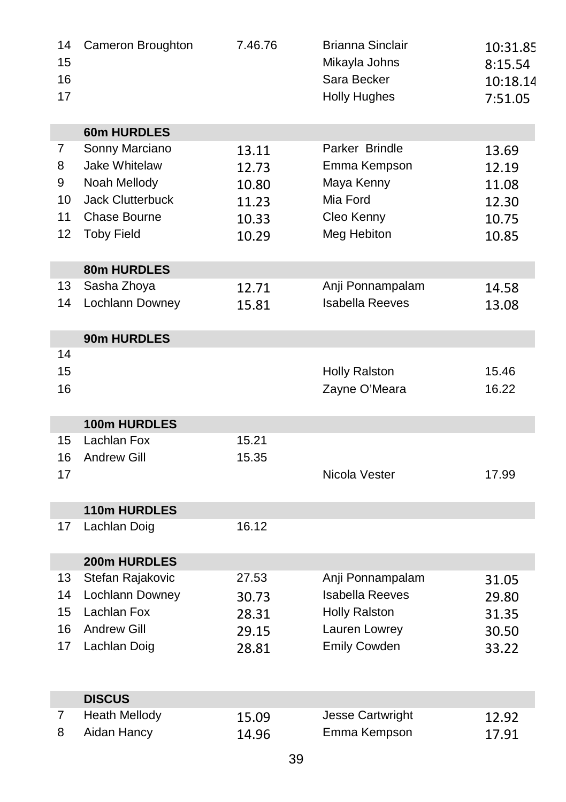| 14<br>15       | Cameron Broughton       | 7.46.76 | <b>Brianna Sinclair</b><br>Mikayla Johns | 10:31.85            |
|----------------|-------------------------|---------|------------------------------------------|---------------------|
| 16             |                         |         | Sara Becker                              | 8:15.54             |
| 17             |                         |         | <b>Holly Hughes</b>                      | 10:18.14<br>7:51.05 |
|                |                         |         |                                          |                     |
|                | <b>60m HURDLES</b>      |         |                                          |                     |
| 7              | Sonny Marciano          | 13.11   | Parker Brindle                           | 13.69               |
| 8              | Jake Whitelaw           | 12.73   | Emma Kempson                             | 12.19               |
| 9              | Noah Mellody            | 10.80   | Maya Kenny                               | 11.08               |
| 10             | <b>Jack Clutterbuck</b> | 11.23   | Mia Ford                                 | 12.30               |
| 11             | Chase Bourne            | 10.33   | Cleo Kenny                               | 10.75               |
| 12             | <b>Toby Field</b>       | 10.29   | Meg Hebiton                              | 10.85               |
|                | 80m HURDLES             |         |                                          |                     |
| 13             | Sasha Zhoya             | 12.71   | Anji Ponnampalam                         | 14.58               |
| 14             | Lochlann Downey         | 15.81   | <b>Isabella Reeves</b>                   | 13.08               |
|                |                         |         |                                          |                     |
| 14             | 90m HURDLES             |         |                                          |                     |
| 15             |                         |         | <b>Holly Ralston</b>                     | 15.46               |
| 16             |                         |         | Zayne O'Meara                            | 16.22               |
|                |                         |         |                                          |                     |
|                | 100m HURDLES            |         |                                          |                     |
| 15             | Lachlan Fox             | 15.21   |                                          |                     |
| 16             | <b>Andrew Gill</b>      | 15.35   |                                          |                     |
| 17             |                         |         | Nicola Vester                            | 17.99               |
|                | 110m HURDLES            |         |                                          |                     |
| 17             | Lachlan Doig            | 16.12   |                                          |                     |
|                |                         |         |                                          |                     |
|                | 200m HURDLES            |         |                                          |                     |
| 13             | Stefan Rajakovic        | 27.53   | Anji Ponnampalam                         | 31.05               |
| 14             | Lochlann Downey         | 30.73   | <b>Isabella Reeves</b>                   | 29.80               |
| 15             | Lachlan Fox             | 28.31   | <b>Holly Ralston</b>                     | 31.35               |
| 16             | <b>Andrew Gill</b>      | 29.15   | Lauren Lowrey                            | 30.50               |
| 17             | Lachlan Doig            | 28.81   | <b>Emily Cowden</b>                      | 33.22               |
|                |                         |         |                                          |                     |
|                | <b>DISCUS</b>           |         |                                          |                     |
| $\overline{7}$ | Heath Mellody           | 15.09   | Jesse Cartwright                         | 12.92               |
| 8              | Aidan Hancy             | 14.96   | Emma Kempson                             | 17.91               |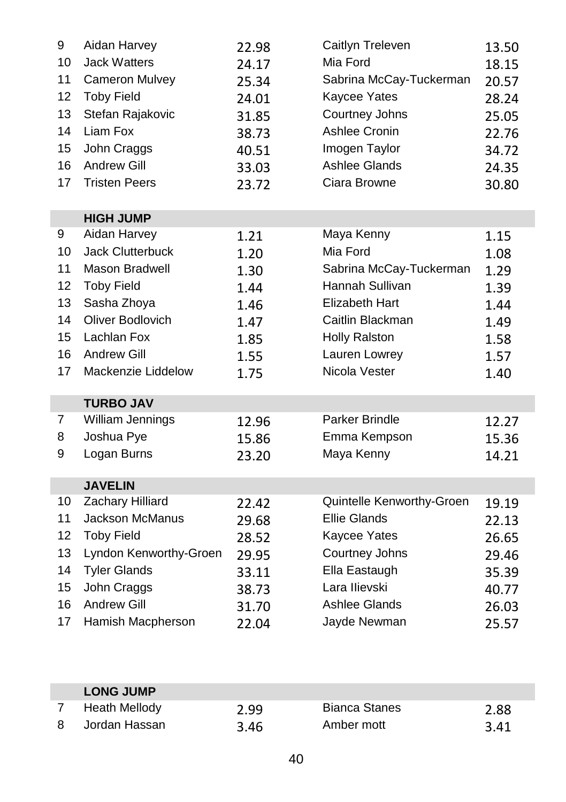| 9  | Aidan Harvey           | 22.98 | Caitlyn Treleven          | 13.50 |
|----|------------------------|-------|---------------------------|-------|
| 10 | <b>Jack Watters</b>    | 24.17 | Mia Ford                  | 18.15 |
| 11 | Cameron Mulvey         | 25.34 | Sabrina McCay-Tuckerman   | 20.57 |
| 12 | <b>Toby Field</b>      | 24.01 | Kaycee Yates              | 28.24 |
| 13 | Stefan Rajakovic       | 31.85 | Courtney Johns            | 25.05 |
| 14 | Liam Fox               | 38.73 | Ashlee Cronin             | 22.76 |
| 15 | John Craggs            | 40.51 | Imogen Taylor             | 34.72 |
| 16 | <b>Andrew Gill</b>     | 33.03 | Ashlee Glands             | 24.35 |
| 17 | <b>Tristen Peers</b>   | 23.72 | Ciara Browne              | 30.80 |
|    |                        |       |                           |       |
|    | <b>HIGH JUMP</b>       |       |                           |       |
| 9  | Aidan Harvey           | 1.21  | Maya Kenny                | 1.15  |
| 10 | Jack Clutterbuck       | 1.20  | Mia Ford                  | 1.08  |
| 11 | Mason Bradwell         | 1.30  | Sabrina McCay-Tuckerman   | 1.29  |
| 12 | <b>Toby Field</b>      | 1.44  | Hannah Sullivan           | 1.39  |
| 13 | Sasha Zhoya            | 1.46  | <b>Elizabeth Hart</b>     | 1.44  |
| 14 | Oliver Bodlovich       | 1.47  | Caitlin Blackman          | 1.49  |
| 15 | Lachlan Fox            | 1.85  | <b>Holly Ralston</b>      | 1.58  |
| 16 | <b>Andrew Gill</b>     | 1.55  | Lauren Lowrey             | 1.57  |
| 17 | Mackenzie Liddelow     | 1.75  | Nicola Vester             | 1.40  |
|    | <b>TURBO JAV</b>       |       |                           |       |
| 7  | William Jennings       | 12.96 | Parker Brindle            | 12.27 |
| 8  | Joshua Pye             | 15.86 | Emma Kempson              | 15.36 |
| 9  | Logan Burns            | 23.20 | Maya Kenny                | 14.21 |
|    |                        |       |                           |       |
|    | <b>JAVELIN</b>         |       |                           |       |
| 10 | Zachary Hilliard       | 22.42 | Quintelle Kenworthy-Groen | 19.19 |
| 11 | Jackson McManus        | 29.68 | <b>Ellie Glands</b>       | 22.13 |
| 12 | <b>Toby Field</b>      | 28.52 | Kaycee Yates              | 26.65 |
| 13 | Lyndon Kenworthy-Groen | 29.95 | Courtney Johns            | 29.46 |
| 14 | <b>Tyler Glands</b>    | 33.11 | Ella Eastaugh             | 35.39 |
| 15 | John Craggs            | 38.73 | Lara Ilievski             | 40.77 |
| 16 | <b>Andrew Gill</b>     | 31.70 | <b>Ashlee Glands</b>      | 26.03 |
| 17 | Hamish Macpherson      | 22.04 | Jayde Newman              | 25.57 |
|    |                        |       |                           |       |

| <b>LONG JUMP</b> |      |                      |      |
|------------------|------|----------------------|------|
| Heath Mellody    | 2.99 | <b>Bianca Stanes</b> | 2.88 |
| Jordan Hassan    | 3.46 | Amber mott           | 3.41 |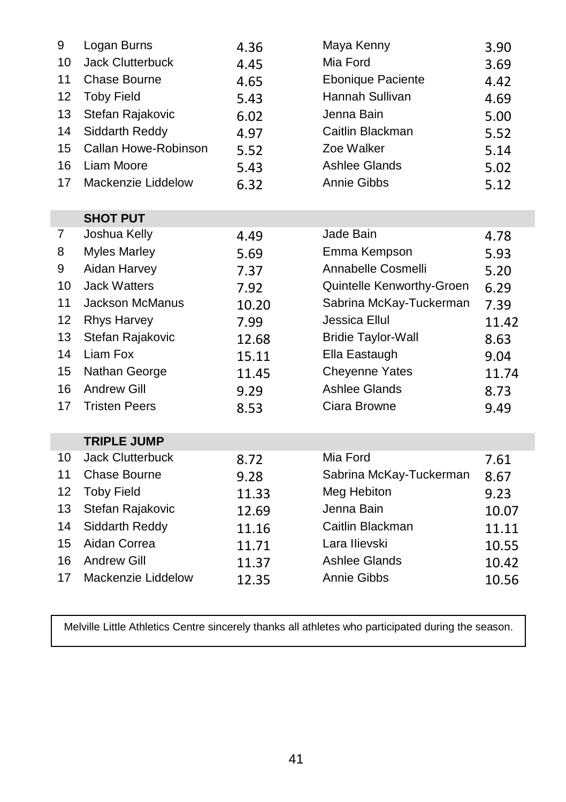| 9  | Logan Burns             | 4.36  | Maya Kenny                | 3.90  |
|----|-------------------------|-------|---------------------------|-------|
| 10 | <b>Jack Clutterbuck</b> | 4.45  | Mia Ford                  | 3.69  |
| 11 | Chase Bourne            | 4.65  | <b>Ebonique Paciente</b>  | 4.42  |
| 12 | <b>Toby Field</b>       | 5.43  | Hannah Sullivan           | 4.69  |
| 13 | Stefan Rajakovic        | 6.02  | Jenna Bain                | 5.00  |
| 14 | Siddarth Reddy          | 4.97  | Caitlin Blackman          | 5.52  |
| 15 | Callan Howe-Robinson    | 5.52  | Zoe Walker                | 5.14  |
| 16 | Liam Moore              | 5.43  | <b>Ashlee Glands</b>      | 5.02  |
| 17 | Mackenzie Liddelow      | 6.32  | Annie Gibbs               | 5.12  |
|    |                         |       |                           |       |
|    | <b>SHOT PUT</b>         |       |                           |       |
| 7  | Joshua Kelly            | 4.49  | Jade Bain                 | 4.78  |
| 8  | <b>Myles Marley</b>     | 5.69  | Emma Kempson              | 5.93  |
| 9  | Aidan Harvey            | 7.37  | Annabelle Cosmelli        | 5.20  |
| 10 | <b>Jack Watters</b>     | 7.92  | Quintelle Kenworthy-Groen | 6.29  |
| 11 | <b>Jackson McManus</b>  | 10.20 | Sabrina McKay-Tuckerman   | 7.39  |
| 12 | <b>Rhys Harvey</b>      | 7.99  | Jessica Ellul             | 11.42 |
| 13 | Stefan Rajakovic        | 12.68 | <b>Bridie Taylor-Wall</b> | 8.63  |
| 14 | Liam Fox                | 15.11 | Ella Eastaugh             | 9.04  |
| 15 | Nathan George           | 11.45 | <b>Cheyenne Yates</b>     | 11.74 |
| 16 | <b>Andrew Gill</b>      | 9.29  | Ashlee Glands             | 8.73  |
| 17 | <b>Tristen Peers</b>    | 8.53  | Ciara Browne              | 9.49  |
|    |                         |       |                           |       |
|    | <b>TRIPLE JUMP</b>      |       |                           |       |
| 10 | <b>Jack Clutterbuck</b> | 8.72  | Mia Ford                  | 7.61  |
| 11 | Chase Bourne            | 9.28  | Sabrina McKay-Tuckerman   | 8.67  |
| 12 | <b>Toby Field</b>       | 11.33 | Meg Hebiton               | 9.23  |
| 13 | Stefan Rajakovic        | 12.69 | Jenna Bain                | 10.07 |
| 14 | Siddarth Reddy          | 11.16 | Caitlin Blackman          | 11.11 |
| 15 | Aidan Correa            | 11.71 | Lara Ilievski             | 10.55 |
| 16 | <b>Andrew Gill</b>      | 11.37 | Ashlee Glands             | 10.42 |
| 17 | Mackenzie Liddelow      | 12.35 | Annie Gibbs               | 10.56 |

 $\begin{array}{c} \hline \end{array}$ 

Melville Little Athletics Centre sincerely thanks all athletes who participated during the season.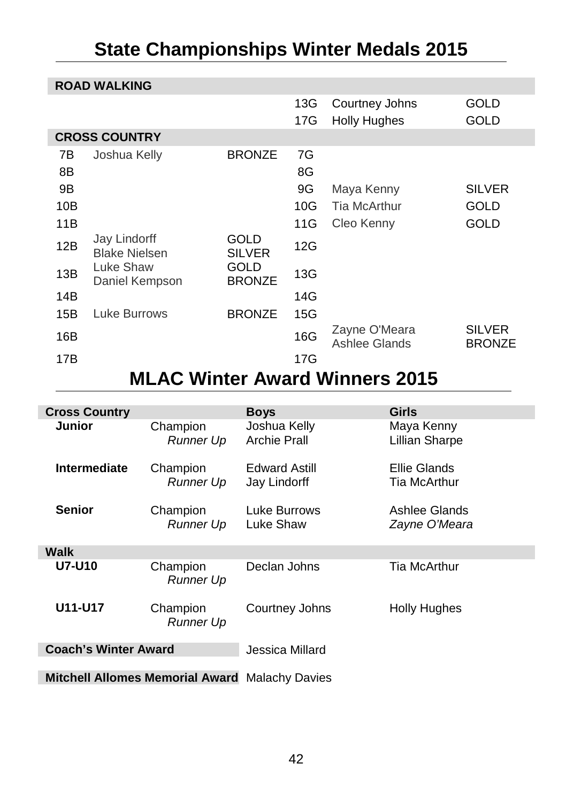# <span id="page-41-0"></span>**State Championships Winter Medals 2015**

|                | <b>ROAD WALKING</b>                  |                       |                |                                       |                                |  |  |
|----------------|--------------------------------------|-----------------------|----------------|---------------------------------------|--------------------------------|--|--|
|                |                                      |                       | 13G<br>17G     | Courtney Johns<br><b>Holly Hughes</b> | GOLD<br>GOLD                   |  |  |
|                | <b>CROSS COUNTRY</b>                 |                       |                |                                       |                                |  |  |
| 7В<br>8Β<br>9Β | Joshua Kelly                         | <b>BRONZE</b>         | 7G<br>8G<br>9G | Maya Kenny                            | <b>SILVER</b>                  |  |  |
| 10B            |                                      |                       | 10G            | Tia McArthur                          | GOLD                           |  |  |
|                |                                      |                       |                |                                       |                                |  |  |
| 11B            |                                      |                       | 11G            | Cleo Kenny                            | GOLD                           |  |  |
| 12B            | Jay Lindorff<br><b>Blake Nielsen</b> | GOLD<br><b>SILVER</b> | 12G            |                                       |                                |  |  |
| 13B            | Luke Shaw<br>Daniel Kempson          | GOLD<br><b>BRONZE</b> | 13G            |                                       |                                |  |  |
| 14B            |                                      |                       | 14G            |                                       |                                |  |  |
| 15B            | Luke Burrows                         | <b>BRONZE</b>         | 15G            |                                       |                                |  |  |
| 16B            |                                      |                       | 16G            | Zayne O'Meara<br>Ashlee Glands        | <b>SILVER</b><br><b>BRONZE</b> |  |  |
| 17B            |                                      |                       | 17G            |                                       |                                |  |  |

# **MLAC Winter Award Winners 2015**

<span id="page-41-1"></span>

| <b>Cross Country</b>                                  |                       | <b>Boys</b>                          | <b>Girls</b>                   |  |  |  |
|-------------------------------------------------------|-----------------------|--------------------------------------|--------------------------------|--|--|--|
| Junior                                                | Champion<br>Runner Up | Joshua Kelly<br>Archie Prall         | Maya Kenny<br>Lillian Sharpe   |  |  |  |
| Intermediate                                          | Champion<br>Runner Up | <b>Edward Astill</b><br>Jay Lindorff | Ellie Glands<br>Tia McArthur   |  |  |  |
| <b>Senior</b>                                         | Champion<br>Runner Up | Luke Burrows<br>Luke Shaw            | Ashlee Glands<br>Zayne O'Meara |  |  |  |
| Walk                                                  |                       |                                      |                                |  |  |  |
| <b>U7-U10</b>                                         | Champion<br>Runner Up | Declan Johns                         | <b>Tia McArthur</b>            |  |  |  |
| U11-U17                                               | Champion<br>Runner Up | Courtney Johns                       | <b>Holly Hughes</b>            |  |  |  |
| <b>Coach's Winter Award</b>                           |                       | Jessica Millard                      |                                |  |  |  |
|                                                       |                       |                                      |                                |  |  |  |
| <b>Mitchell Allomes Memorial Award Malachy Davies</b> |                       |                                      |                                |  |  |  |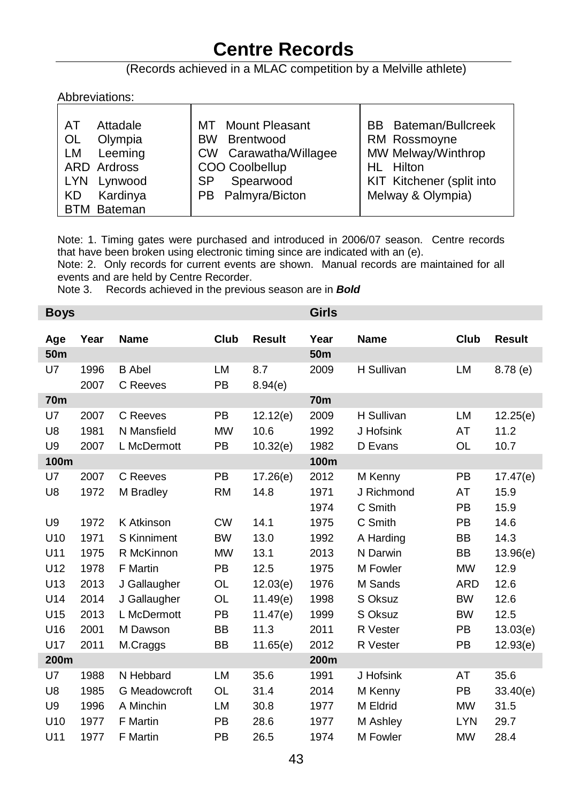# **Centre Records**

#### (Records achieved in a MLAC competition by a Melville athlete)

#### <span id="page-42-0"></span>Abbreviations:

| Attadale<br>AT<br>Olympia<br>OL<br>Leeming<br>LM<br>ARD Ardross<br>Lynwood<br>LYN.<br>Kardinya<br>KD. | <b>Mount Pleasant</b><br>MT<br>Brentwood<br><b>BW</b><br>CW Carawatha/Willagee<br>COO Coolbellup<br>Spearwood<br>SP.<br>PB Palmyra/Bicton | <b>BB</b> Bateman/Bullcreek<br>RM Rossmoyne<br>MW Melway/Winthrop<br>HL Hilton<br>KIT Kitchener (split into<br>Melway & Olympia) |
|-------------------------------------------------------------------------------------------------------|-------------------------------------------------------------------------------------------------------------------------------------------|----------------------------------------------------------------------------------------------------------------------------------|
| <b>BTM Bateman</b>                                                                                    |                                                                                                                                           |                                                                                                                                  |

Note: 1. Timing gates were purchased and introduced in 2006/07 season. Centre records that have been broken using electronic timing since are indicated with an (e).

Note: 2. Only records for current events are shown. Manual records are maintained for all events and are held by Centre Recorder.

Note 3. Records achieved in the previous season are in *Bold*

| <b>Boys</b>     |                      |                                        |                                     |                              | <b>Girls</b>         |                                    |                              |                          |
|-----------------|----------------------|----------------------------------------|-------------------------------------|------------------------------|----------------------|------------------------------------|------------------------------|--------------------------|
| Age             | Year                 | <b>Name</b>                            | Club                                | <b>Result</b>                | Year                 | <b>Name</b>                        | Club                         | <b>Result</b>            |
| 50 <sub>m</sub> |                      |                                        |                                     |                              | 50 <sub>m</sub>      |                                    |                              |                          |
| U7              | 1996<br>2007         | <b>B</b> Abel<br>C Reeves              | <b>LM</b><br><b>PB</b>              | 8.7<br>8.94(e)               | 2009                 | H Sullivan                         | LM                           | $8.78$ (e)               |
| <b>70m</b>      |                      |                                        |                                     |                              | <b>70m</b>           |                                    |                              |                          |
| U7<br>U8<br>U9  | 2007<br>1981<br>2007 | C Reeves<br>N Mansfield<br>L McDermott | <b>PB</b><br><b>MW</b><br><b>PB</b> | 12.12(e)<br>10.6<br>10.32(e) | 2009<br>1992<br>1982 | H Sullivan<br>J Hofsink<br>D Evans | LM<br>AT<br><b>OL</b>        | 12.25(e)<br>11.2<br>10.7 |
| 100m            |                      |                                        |                                     |                              | 100m                 |                                    |                              |                          |
| U7<br>U8        | 2007<br>1972         | C Reeves<br>M Bradley                  | <b>PB</b><br><b>RM</b>              | 17.26(e)<br>14.8             | 2012<br>1971<br>1974 | M Kenny<br>J Richmond<br>C Smith   | <b>PB</b><br>AT<br><b>PB</b> | 17.47(e)<br>15.9<br>15.9 |
| U9              | 1972                 | K Atkinson                             | <b>CW</b>                           | 14.1                         | 1975                 | C Smith                            | <b>PB</b>                    | 14.6                     |
| U10             | 1971                 | S Kinniment                            | <b>BW</b>                           | 13.0                         | 1992                 | A Harding                          | <b>BB</b>                    | 14.3                     |
| U11             | 1975                 | R McKinnon                             | <b>MW</b>                           | 13.1                         | 2013                 | N Darwin                           | <b>BB</b>                    | 13.96(e)                 |
| U12             | 1978                 | F Martin                               | <b>PB</b>                           | 12.5                         | 1975                 | M Fowler                           | <b>MW</b>                    | 12.9                     |
| U <sub>13</sub> | 2013                 | J Gallaugher                           | OL                                  | 12.03(e)                     | 1976                 | M Sands                            | <b>ARD</b>                   | 12.6                     |
| U14             | 2014                 | J Gallaugher                           | OL                                  | 11.49(e)                     | 1998                 | S Oksuz                            | <b>BW</b>                    | 12.6                     |
| U15             | 2013                 | L McDermott                            | <b>PB</b>                           | 11.47(e)                     | 1999                 | S Oksuz                            | <b>BW</b>                    | 12.5                     |
| U16             | 2001                 | M Dawson                               | BB                                  | 11.3                         | 2011                 | R Vester                           | PB                           | 13.03(e)                 |
| U17             | 2011                 | M.Craggs                               | BB                                  | 11.65(e)                     | 2012                 | R Vester                           | PB                           | 12.93(e)                 |
| 200m            |                      |                                        |                                     |                              | 200m                 |                                    |                              |                          |
| U7<br>U8        | 1988<br>1985         | N Hebbard<br>G Meadowcroft             | <b>LM</b><br>OL.                    | 35.6<br>31.4                 | 1991<br>2014         | J Hofsink<br>M Kenny               | AT<br><b>PB</b>              | 35.6<br>33.40(e)         |
| U9              | 1996                 | A Minchin                              | <b>LM</b>                           | 30.8                         | 1977                 | M Eldrid                           | <b>MW</b>                    | 31.5                     |
| U10             | 1977                 | F Martin                               | <b>PB</b>                           | 28.6                         | 1977                 | M Ashley                           | <b>LYN</b>                   | 29.7                     |
| U11             | 1977                 | F Martin                               | <b>PB</b>                           | 26.5                         | 1974                 | M Fowler                           | <b>MW</b>                    | 28.4                     |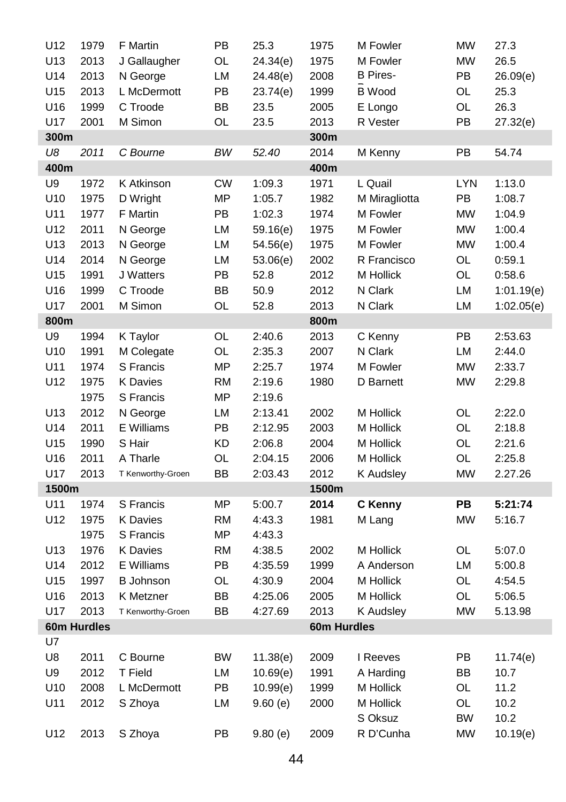| U12   | 1979        | F Martin          | PB        | 25.3     | 1975        | M Fowler         | <b>MW</b> | 27.3       |
|-------|-------------|-------------------|-----------|----------|-------------|------------------|-----------|------------|
| U13   | 2013        | J Gallaugher      | OL        | 24.34(e) | 1975        | M Fowler         | <b>MW</b> | 26.5       |
| U14   | 2013        | N George          | LM        | 24.48(e) | 2008        | <b>B</b> Pires-  | PB        | 26.09(e)   |
| U15   | 2013        | L McDermott       | PB        | 23.74(e) | 1999        | <b>B</b> Wood    | OL        | 25.3       |
| U16   | 1999        | C Troode          | BB        | 23.5     | 2005        | E Longo          | OL        | 26.3       |
| U17   | 2001        | M Simon           | OL        | 23.5     | 2013        | R Vester         | PB        | 27.32(e)   |
| 300m  |             |                   |           |          | 300m        |                  |           |            |
| U8    | 2011        | C Bourne          | BW        | 52.40    | 2014        | M Kenny          | PB        | 54.74      |
| 400m  |             |                   |           |          | 400m        |                  |           |            |
| U9    | 1972        | K Atkinson        | СW        | 1:09.3   | 1971        | L Quail          | LYN       | 1:13.0     |
| U10   | 1975        | D Wright          | <b>MP</b> | 1:05.7   | 1982        | M Miragliotta    | PB        | 1:08.7     |
| U11   | 1977        | F Martin          | PB        | 1:02.3   | 1974        | M Fowler         | ΜW        | 1:04.9     |
| U12   | 2011        | N George          | LM        | 59.16(e) | 1975        | M Fowler         | <b>MW</b> | 1:00.4     |
| U13   | 2013        | N George          | LM        | 54.56(e) | 1975        | M Fowler         | <b>MW</b> | 1:00.4     |
| U14   | 2014        | N George          | LM        | 53.06(e) | 2002        | R Francisco      | OL        | 0:59.1     |
| U15   | 1991        | J Watters         | PB        | 52.8     | 2012        | M Hollick        | OL        | 0:58.6     |
| U16   | 1999        | C Troode          | BB        | 50.9     | 2012        | N Clark          | LM        | 1:01.19(e) |
| U17   | 2001        | M Simon           | OL        | 52.8     | 2013        | N Clark          | LM        | 1:02.05(e) |
| 800m  |             |                   |           |          | 800m        |                  |           |            |
| U9    | 1994        | K Taylor          | OL        | 2:40.6   | 2013        | C Kenny          | PB        | 2:53.63    |
| U10   | 1991        | M Colegate        | OL        | 2:35.3   | 2007        | N Clark          | LM        | 2:44.0     |
| U11   | 1974        | S Francis         | <b>MP</b> | 2:25.7   | 1974        | M Fowler         | <b>MW</b> | 2:33.7     |
| U12   | 1975        | <b>K</b> Davies   | <b>RM</b> | 2:19.6   | 1980        | D Barnett        | <b>MW</b> | 2:29.8     |
|       | 1975        | S Francis         | ΜP        | 2:19.6   |             |                  |           |            |
| U13   | 2012        | N George          | LM        | 2:13.41  | 2002        | M Hollick        | OL        | 2:22.0     |
| U14   | 2011        | E Williams        | PB        | 2:12.95  | 2003        | M Hollick        | OL        | 2:18.8     |
| U15   | 1990        | S Hair            | KD        | 2:06.8   | 2004        | M Hollick        | OL        | 2:21.6     |
| U16   | 2011        | A Tharle          | OL        | 2:04.15  | 2006        | M Hollick        | OL        | 2:25.8     |
| U17   | 2013        | T Kenworthy-Groen | BB        | 2:03.43  | 2012        | <b>K</b> Audsley | <b>MW</b> | 2.27.26    |
| 1500m |             |                   |           |          | 1500m       |                  |           |            |
| U11   | 1974        | S Francis         | <b>MP</b> | 5:00.7   | 2014        | C Kenny          | PB        | 5:21:74    |
| U12   | 1975        | K Davies          | <b>RM</b> | 4:43.3   | 1981        | M Lang           | <b>MW</b> | 5:16.7     |
|       | 1975        | S Francis         | <b>MP</b> | 4:43.3   |             |                  |           |            |
| U13   | 1976        | K Davies          | RM        | 4:38.5   | 2002        | M Hollick        | OL        | 5:07.0     |
| U14   | 2012        | E Williams        | PB        | 4:35.59  | 1999        | A Anderson       | LM        | 5:00.8     |
| U15   | 1997        | <b>B</b> Johnson  | OL        | 4:30.9   | 2004        | M Hollick        | OL        | 4:54.5     |
| U16   | 2013        | K Metzner         | BB        | 4:25.06  | 2005        | M Hollick        | OL        | 5:06.5     |
| U17   | 2013        | T Kenworthy-Groen | BB        | 4:27.69  | 2013        | K Audsley        | <b>MW</b> | 5.13.98    |
|       | 60m Hurdles |                   |           |          | 60m Hurdles |                  |           |            |
| U7    |             |                   |           |          |             |                  |           |            |
| U8    | 2011        | C Bourne          | BW        | 11.38(e) | 2009        | I Reeves         | PB        | 11.74(e)   |
| U9    | 2012        | <b>T</b> Field    | LM        | 10.69(e) | 1991        | A Harding        | BB        | 10.7       |
| U10   | 2008        | L McDermott       | PB        | 10.99(e) | 1999        | M Hollick        | OL        | 11.2       |
| U11   | 2012        | S Zhoya           | LM        | 9.60(e)  | 2000        | M Hollick        | OL        | 10.2       |
|       |             |                   |           |          |             | S Oksuz          | <b>BW</b> | 10.2       |
| U12   | 2013        | S Zhoya           | PB        | 9.80(e)  | 2009        | R D'Cunha        | <b>MW</b> | 10.19(e)   |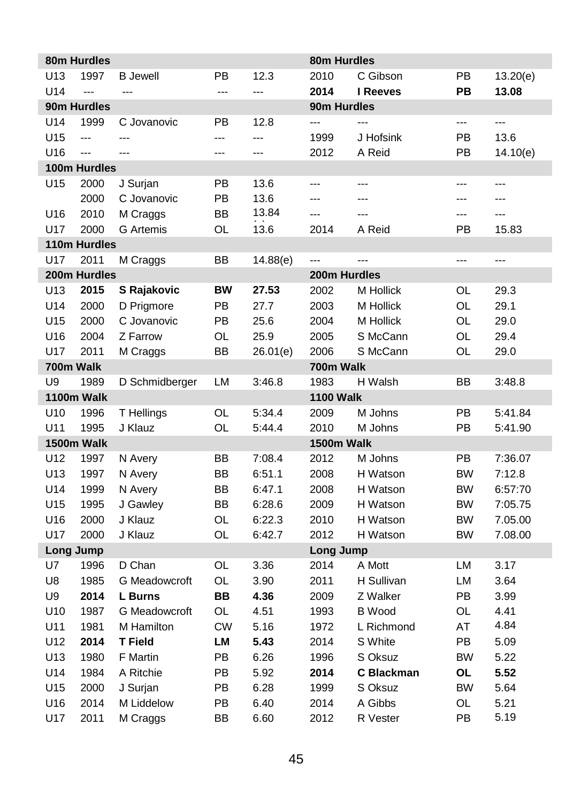|                | 80m Hurdles              |                                 |           |                          | 80m Hurdles      |                   |                |          |
|----------------|--------------------------|---------------------------------|-----------|--------------------------|------------------|-------------------|----------------|----------|
| U13            | 1997                     | <b>B</b> Jewell                 | PB        | 12.3                     | 2010             | C Gibson          | PB             | 13.20(e) |
| U14            | $\overline{a}$           | ---                             | ---       | ---                      | 2014             | I Reeves          | PB             | 13.08    |
|                | 90m Hurdles              |                                 |           |                          | 90m Hurdles      |                   |                |          |
| U14            | 1999                     | C Jovanovic                     | PB        | 12.8                     | ---              |                   |                | ---      |
| U15            | $\overline{\phantom{a}}$ | ---                             | ---       | $\overline{\phantom{a}}$ | 1999             | J Hofsink         | PB             | 13.6     |
| U16            | ---                      | $-$                             | ---       | ---                      | 2012             | A Reid            | PB             | 14.10(e) |
|                | 100m Hurdles             |                                 |           |                          |                  |                   |                |          |
| U15            | 2000                     | J Surjan                        | PB        | 13.6                     | ---              | ---               | $\overline{a}$ | ---      |
|                | 2000                     | C Jovanovic                     | PB        | 13.6                     | ---              | ---               | $\overline{a}$ | $\sim$   |
| U16            | 2010                     | M Craggs                        | ВB        | 13.84                    | $\overline{a}$   | ---               | ---            | ---      |
| U17            | 2000                     | <b>G</b> Artemis                | OL        | 13.6                     | 2014             | A Reid            | PB             | 15.83    |
|                | 110m Hurdles             |                                 |           |                          |                  |                   |                |          |
| U17            | 2011                     | M Craggs                        | ВB        | 14.88(e)                 | ---              | ---               | ---            | ---      |
|                | 200m Hurdles             |                                 |           |                          | 200m Hurdles     |                   |                |          |
| U13            | 2015                     | S Rajakovic                     | <b>BW</b> | 27.53                    | 2002             | M Hollick         | OL             | 29.3     |
| U14            | 2000                     | D Prigmore                      | PB        | 27.7                     | 2003             | M Hollick         | OL             | 29.1     |
| U15            | 2000                     | C Jovanovic                     | PB        | 25.6                     | 2004             | <b>M</b> Hollick  | OL             | 29.0     |
| U16            | 2004                     | Z Farrow                        | OL        | 25.9                     | 2005             | S McCann          | OL             | 29.4     |
| U17            | 2011                     | M Craggs                        | ВB        | 26.01(e)                 | 2006             | S McCann          | OL             | 29.0     |
| 700m Walk      |                          |                                 |           |                          | 700m Walk        |                   |                |          |
| U <sub>9</sub> | 1989                     | D Schmidberger                  | LM        | 3:46.8                   | 1983             | H Walsh           | <b>BB</b>      | 3:48.8   |
|                | 1100m Walk               |                                 |           |                          | <b>1100 Walk</b> |                   |                |          |
| U10            | 1996                     | T Hellings                      | OL        | 5.34.4                   | 2009             | M Johns           | <b>PB</b>      | 5:41.84  |
| U11            | 1995                     | J Klauz                         | OL        | 5:44.4                   | 2010             | M Johns           | PB             | 5:41.90  |
|                | 1500m Walk               |                                 |           |                          | 1500m Walk       |                   |                |          |
| U12            | 1997                     | N Avery                         | ВB        | 7:08.4                   | 2012             | M Johns           | PB             | 7:36.07  |
| U13            | 1997                     | N Avery                         | ВB        | 6:51.1                   | 2008             | H Watson          | <b>BW</b>      | 7:12.8   |
| U14            | 1999                     | N Avery                         | ВB        | 6:47.1                   | 2008             | H Watson          | <b>BW</b>      | 6:57:70  |
| U15            | 1995                     | J Gawley                        | BB        | 6:28.6                   | 2009             | H Watson          | <b>BW</b>      | 7:05.75  |
| U16            | 2000                     | J Klauz                         | OL        | 6:22.3                   | 2010             | H Watson          | <b>BW</b>      | 7.05.00  |
| U17            | 2000                     | J Klauz                         | OL        | 6:42.7                   | 2012             | H Watson          | <b>BW</b>      | 7.08.00  |
| U7             | Long Jump<br>1996        | D Chan                          | OL        | 3.36                     | Long Jump        | A Mott            | LM             | 3.17     |
| U8             | 1985                     |                                 | OL        | 3.90                     | 2014             | H Sullivan        | LM             | 3.64     |
| U9             | 2014                     | G Meadowcroft<br><b>L</b> Burns | BB        | 4.36                     | 2011<br>2009     | Z Walker          | PB             | 3.99     |
| U10            | 1987                     | G Meadowcroft                   | OL        | 4.51                     | 1993             | <b>B</b> Wood     | OL             | 4.41     |
| U11            | 1981                     | M Hamilton                      | <b>CW</b> |                          | 1972             | L Richmond        | AT             | 4.84     |
| U12            | 2014                     | <b>T</b> Field                  | LМ        | 5.16<br>5.43             | 2014             | S White           | PB             | 5.09     |
| U13            | 1980                     | F Martin                        | PB        | 6.26                     | 1996             | S Oksuz           | <b>BW</b>      | 5.22     |
| U14            | 1984                     | A Ritchie                       | PB        | 5.92                     | 2014             | <b>C</b> Blackman | OL             | 5.52     |
| U15            | 2000                     | J Surjan                        | PB        | 6.28                     | 1999             | S Oksuz           | <b>BW</b>      | 5.64     |
| U16            | 2014                     | M Liddelow                      | PB        | 6.40                     | 2014             | A Gibbs           | OL             | 5.21     |
| U17            | 2011                     | M Craggs                        | BB        | 6.60                     | 2012             | <b>R</b> Vester   | PB             | 5.19     |
|                |                          |                                 |           |                          |                  |                   |                |          |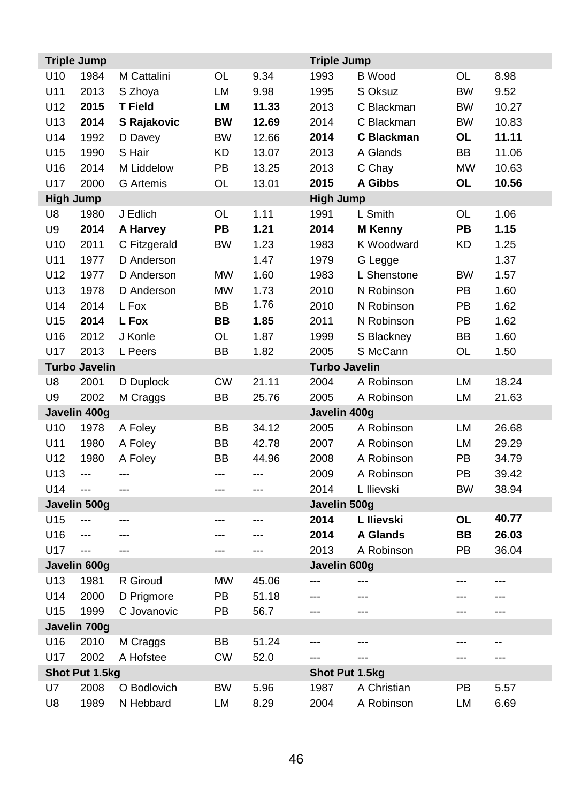| <b>Triple Jump</b> |                      |                  |           |                | <b>Triple Jump</b>   |                |           |       |
|--------------------|----------------------|------------------|-----------|----------------|----------------------|----------------|-----------|-------|
| U <sub>10</sub>    | 1984                 | M Cattalini      | OL        | 9.34           | 1993                 | <b>B</b> Wood  | OL        | 8.98  |
| U11                | 2013                 | S Zhoya          | LM        | 9.98           | 1995                 | S Oksuz        | <b>BW</b> | 9.52  |
| U12                | 2015                 | <b>T</b> Field   | LM        | 11.33          | 2013                 | C Blackman     | <b>BW</b> | 10.27 |
| U13                | 2014                 | S Rajakovic      | <b>BW</b> | 12.69          | 2014                 | C Blackman     | <b>BW</b> | 10.83 |
| U14                | 1992                 | D Davey          | <b>BW</b> | 12.66          | 2014                 | C Blackman     | OL        | 11.11 |
| U15                | 1990                 | S Hair           | KD        | 13.07          | 2013                 | A Glands       | BB        | 11.06 |
| U16                | 2014                 | M Liddelow       | PB        | 13.25          | 2013                 | C Chay         | <b>MW</b> | 10.63 |
| U17                | 2000                 | <b>G</b> Artemis | OL        | 13.01          | 2015                 | A Gibbs        | OL        | 10.56 |
| High Jump          |                      |                  |           |                | <b>High Jump</b>     |                |           |       |
| U8                 | 1980                 | J Edlich         | OL        | 1.11           | 1991                 | L Smith        | OL        | 1.06  |
| U9                 | 2014                 | A Harvey         | <b>PB</b> | 1.21           | 2014                 | <b>M</b> Kenny | PB        | 1.15  |
| U10                | 2011                 | C Fitzgerald     | <b>BW</b> | 1.23           | 1983                 | K Woodward     | KD        | 1.25  |
| U11                | 1977                 | D Anderson       |           | 1.47           | 1979                 | G Legge        |           | 1.37  |
| U12                | 1977                 | D Anderson       | <b>MW</b> | 1.60           | 1983                 | L Shenstone    | <b>BW</b> | 1.57  |
| U13                | 1978                 | D Anderson       | <b>MW</b> | 1.73           | 2010                 | N Robinson     | PB        | 1.60  |
| U14                | 2014                 | L Fox            | BB        | 1.76           | 2010                 | N Robinson     | PB        | 1.62  |
| U15                | 2014                 | L Fox            | <b>BB</b> | 1.85           | 2011                 | N Robinson     | PB        | 1.62  |
| U16                | 2012                 | J Konle          | OL        | 1.87           | 1999                 | S Blackney     | <b>BB</b> | 1.60  |
| U17                | 2013                 | L Peers          | <b>BB</b> | 1.82           | 2005                 | S McCann       | OL        | 1.50  |
|                    | <b>Turbo Javelin</b> |                  |           |                | <b>Turbo Javelin</b> |                |           |       |
| U8                 | 2001                 | D Duplock        | <b>CW</b> | 21.11          | 2004                 | A Robinson     | LM        | 18.24 |
| U <sub>9</sub>     | 2002                 | M Craggs         | <b>BB</b> | 25.76          | 2005                 | A Robinson     | LM        | 21.63 |
|                    | Javelin 400g         |                  |           |                | Javelin 400g         |                |           |       |
| U10                | 1978                 | A Foley          | <b>BB</b> | 34.12          | 2005                 | A Robinson     | LM        | 26.68 |
| U11                | 1980                 | A Foley          | BB        | 42.78          | 2007                 | A Robinson     | LM        | 29.29 |
| U12                | 1980                 | A Foley          | ВB        | 44.96          | 2008                 | A Robinson     | PB        | 34.79 |
| U13                | $\overline{a}$       | $-$ - $-$        | ---       | $\overline{a}$ | 2009                 | A Robinson     | PB        | 39.42 |
| U14                | ---                  | ---              | ---       | ---            | 2014                 | L Ilievski     | <b>BW</b> | 38.94 |
|                    | Javelin 500g         |                  |           |                | Javelin 500g         |                |           |       |
| U15                | ---                  | $-$              | ---       | $\overline{a}$ | 2014                 | L Ilievski     | OL        | 40.77 |
| U16                | ---                  | ---              | ---       | ---            | 2014                 | A Glands       | <b>BB</b> | 26.03 |
| U17                | ---                  | $-$              | ---       | $\sim$         | 2013                 | A Robinson     | PB        | 36.04 |
|                    | Javelin 600g         |                  |           |                | Javelin 600g         |                |           |       |
| U13                | 1981                 | R Giroud         | <b>MW</b> | 45.06          |                      |                | ---       | ---   |
| U14                | 2000                 | D Prigmore       | PB        | 51.18          | ---                  | ---            | ---       | ---   |
| U15                | 1999                 | C Jovanovic      | PB        | 56.7           | ---                  | ---            | ---       | ---   |
|                    | Javelin 700g         |                  |           |                |                      |                |           |       |
| U16                | 2010                 | M Craggs         | BB        | 51.24          | ---                  | ---            | ---       | --    |
| U17                | 2002                 | A Hofstee        | <b>CW</b> | 52.0           | ---                  | ---            | ---       | ---   |
|                    | Shot Put 1.5kg       |                  | <b>BW</b> |                | Shot Put 1.5kg       |                |           |       |
| U7                 | 2008                 | O Bodlovich      |           | 5.96           | 1987                 | A Christian    | PB        | 5.57  |
| U8                 | 1989                 | N Hebbard        | <b>LM</b> | 8.29           | 2004                 | A Robinson     | LM        | 6.69  |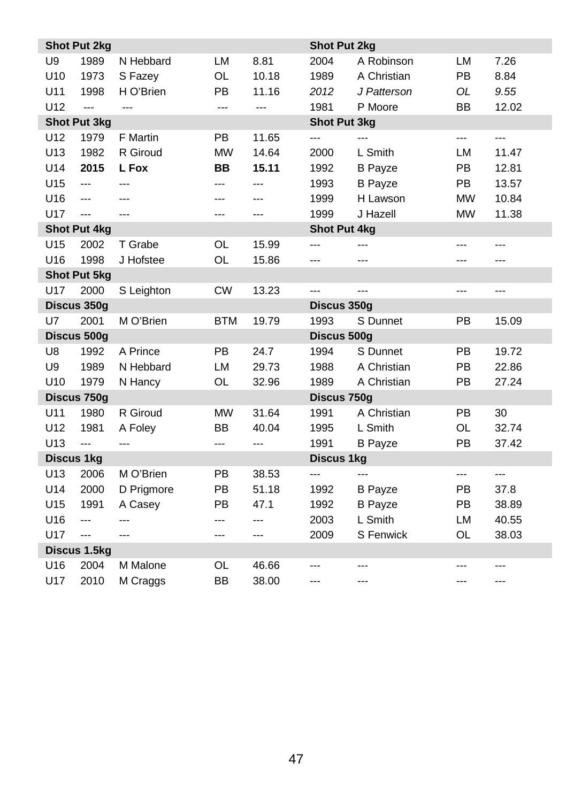|                   | <b>Shot Put 2kg</b>      |                          |            |       | <b>Shot Put 2kg</b> |                |           |                |
|-------------------|--------------------------|--------------------------|------------|-------|---------------------|----------------|-----------|----------------|
| U <sub>9</sub>    | 1989                     | N Hebbard                | LM         | 8.81  | 2004                | A Robinson     | LM        | 7.26           |
| U <sub>10</sub>   | 1973                     | S Fazey                  | <b>OL</b>  | 10.18 | 1989                | A Christian    | PB        | 8.84           |
| U11               | 1998                     | H O'Brien                | PB         | 11.16 | 2012                | J Patterson    | <b>OL</b> | 9.55           |
| U12               | ---                      | ---                      | ---        | ---   | 1981                | P Moore        | BB        | 12.02          |
|                   | <b>Shot Put 3kg</b>      |                          |            |       | <b>Shot Put 3kg</b> |                |           |                |
| U12               | 1979                     | F Martin                 | <b>PB</b>  | 11.65 | ---                 | <u></u>        | ---       | ---            |
| U13               | 1982                     | R Giroud                 | <b>MW</b>  | 14.64 | 2000                | L Smith        | LM        | 11.47          |
| U14               | 2015                     | L Fox                    | <b>BB</b>  | 15.11 | 1992                | <b>B</b> Payze | PB        | 12.81          |
| U15               | $\sim$                   | ---                      | ---        | ---   | 1993                | <b>B</b> Payze | PB        | 13.57          |
| U16               | $\overline{a}$           | ---                      | ---        | ---   | 1999                | H Lawson       | <b>MW</b> | 10.84          |
| U17               | ---                      | $\overline{a}$           | ---        | ---   | 1999                | J Hazell       | <b>MW</b> | 11.38          |
|                   | <b>Shot Put 4kg</b>      |                          |            |       | <b>Shot Put 4kg</b> |                |           |                |
| U15               | 2002                     | T Grabe                  | OL         | 15.99 | ---                 | ---            | ---       | ---            |
| U16               | 1998                     | J Hofstee                | <b>OL</b>  | 15.86 | ---                 | ---            | ---       | ---            |
|                   | <b>Shot Put 5kg</b>      |                          |            |       |                     |                |           |                |
| U17               | 2000                     | S Leighton               | <b>CW</b>  | 13.23 | ---                 | $---$          | ---       | $---$          |
|                   | Discus 350g              |                          |            |       | Discus 350g         |                |           |                |
| U7                | 2001                     | M O'Brien                | <b>BTM</b> | 19.79 | 1993                | S Dunnet       | PB        | 15.09          |
|                   | Discus 500g              |                          |            |       | Discus 500g         |                |           |                |
| U8                | 1992                     | A Prince                 | <b>PB</b>  | 24.7  | 1994                | S Dunnet       | <b>PB</b> | 19.72          |
| U <sub>9</sub>    | 1989                     | N Hebbard                | LM         | 29.73 | 1988                | A Christian    | PB        | 22.86          |
| U10               | 1979                     | N Hancy                  | OL         | 32.96 | 1989                | A Christian    | PB        | 27.24          |
|                   | Discus 750g              |                          |            |       | Discus 750g         |                |           |                |
| U11               | 1980                     | R Giroud                 | <b>MW</b>  | 31.64 | 1991                | A Christian    | PB        | 30             |
| U12               | 1981                     | A Foley                  | BB         | 40.04 | 1995                | L Smith        | OL        | 32.74          |
| U13               | ---                      | $\overline{a}$           | ---        | ---   | 1991                | <b>B</b> Payze | PB        | 37.42          |
| <b>Discus 1kg</b> |                          |                          |            |       | <b>Discus 1kg</b>   |                |           |                |
| U13               | 2006                     | M O'Brien                | <b>PB</b>  | 38.53 | ---                 | ---            | ---       | ---            |
| U14               | 2000                     | D Prigmore               | PB         | 51.18 | 1992                | <b>B</b> Payze | PB        | 37.8           |
| U15               | 1991                     | A Casey                  | <b>PB</b>  | 47.1  | 1992                | <b>B</b> Payze | <b>PB</b> | 38.89          |
| U16               | ---                      | $\overline{a}$           | ---        | ---   | 2003                | L Smith        | LM        | 40.55          |
| U17               | $\overline{\phantom{a}}$ | $\overline{\phantom{a}}$ | ---        | ---   | 2009                | S Fenwick      | OL        | 38.03          |
|                   | Discus 1.5kg             |                          |            |       |                     |                |           |                |
| U16               | 2004                     | M Malone                 | OL         | 46.66 |                     | ---            |           | $\overline{a}$ |
| U17               | 2010                     | M Craggs                 | <b>BB</b>  | 38.00 | ---                 | $\overline{a}$ | ---       | $\overline{a}$ |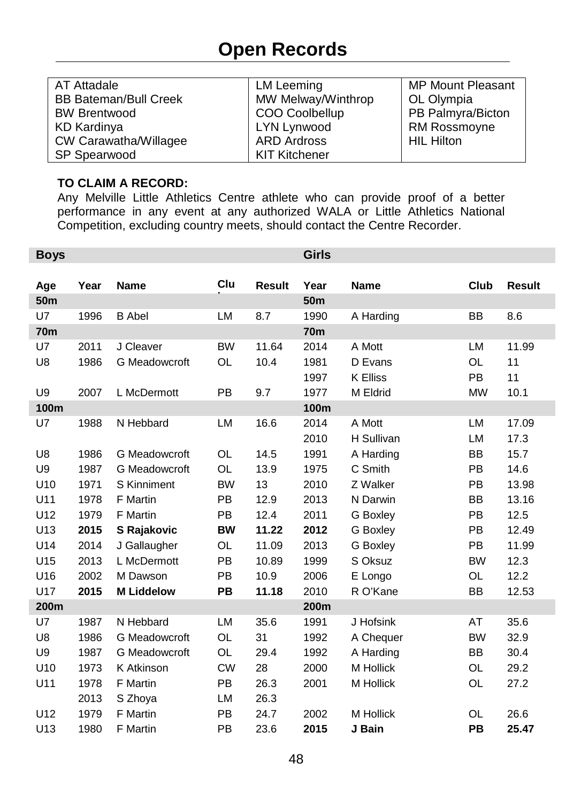# **Open Records**

<span id="page-47-0"></span>

| AT Attadale                  | LM Leeming           | <b>MP Mount Pleasant</b> |
|------------------------------|----------------------|--------------------------|
| <b>BB Bateman/Bull Creek</b> | MW Melway/Winthrop   | OL Olympia               |
| <b>BW Brentwood</b>          | COO Coolbellup       | PB Palmyra/Bicton        |
| KD Kardinya                  | LYN Lynwood          | <b>RM Rossmoyne</b>      |
| CW Carawatha/Willagee        | <b>ARD Ardross</b>   | <b>HIL Hilton</b>        |
| SP Spearwood                 | <b>KIT Kitchener</b> |                          |

#### **TO CLAIM A RECORD:**

Any Melville Little Athletics Centre athlete who can provide proof of a better performance in any event at any authorized WALA or Little Athletics National Competition, excluding country meets, should contact the Centre Recorder.

| <b>Boys</b>     |      |                      |           |               | <b>Girls</b> |                 |           |               |
|-----------------|------|----------------------|-----------|---------------|--------------|-----------------|-----------|---------------|
|                 |      |                      |           |               |              |                 |           |               |
| Age             | Year | <b>Name</b>          | Clu       | <b>Result</b> | Year         | Name            | Club      | <b>Result</b> |
| 50 <sub>m</sub> |      |                      |           |               | <b>50m</b>   |                 |           |               |
| U7              | 1996 | <b>B</b> Abel        | LM        | 8.7           | 1990         | A Harding       | <b>BB</b> | 8.6           |
| <b>70m</b>      |      |                      |           |               | <b>70m</b>   |                 |           |               |
| U7              | 2011 | J Cleaver            | <b>BW</b> | 11.64         | 2014         | A Mott          | <b>LM</b> | 11.99         |
| U8              | 1986 | <b>G</b> Meadowcroft | <b>OL</b> | 10.4          | 1981         | D Evans         | <b>OL</b> | 11            |
|                 |      |                      |           |               | 1997         | <b>K Elliss</b> | <b>PB</b> | 11            |
| U <sub>9</sub>  | 2007 | L McDermott          | <b>PB</b> | 9.7           | 1977         | M Eldrid        | <b>MW</b> | 10.1          |
| 100m            |      |                      |           |               | 100m         |                 |           |               |
| U7              | 1988 | N Hebbard            | LM        | 16.6          | 2014         | A Mott          | <b>LM</b> | 17.09         |
|                 |      |                      |           |               | 2010         | H Sullivan      | LM        | 17.3          |
| U8              | 1986 | <b>G</b> Meadowcroft | <b>OL</b> | 14.5          | 1991         | A Harding       | <b>BB</b> | 15.7          |
| U9              | 1987 | G Meadowcroft        | <b>OL</b> | 13.9          | 1975         | C Smith         | PB        | 14.6          |
| U10             | 1971 | <b>S</b> Kinniment   | <b>BW</b> | 13            | 2010         | Z Walker        | <b>PB</b> | 13.98         |
| U11             | 1978 | F Martin             | PB        | 12.9          | 2013         | N Darwin        | <b>BB</b> | 13.16         |
| U12             | 1979 | <b>F</b> Martin      | PB        | 12.4          | 2011         | <b>G</b> Boxley | PB        | 12.5          |
| U13             | 2015 | S Rajakovic          | <b>BW</b> | 11.22         | 2012         | G Boxley        | <b>PB</b> | 12.49         |
| U14             | 2014 | J Gallaugher         | OL        | 11.09         | 2013         | G Boxley        | <b>PB</b> | 11.99         |
| U15             | 2013 | L McDermott          | PB        | 10.89         | 1999         | S Oksuz         | <b>BW</b> | 12.3          |
| U16             | 2002 | M Dawson             | PB        | 10.9          | 2006         | E Longo         | <b>OL</b> | 12.2          |
| U17             | 2015 | <b>M Liddelow</b>    | PB        | 11.18         | 2010         | R O'Kane        | BB        | 12.53         |
| 200m            |      |                      |           |               | 200m         |                 |           |               |
| U7              | 1987 | N Hebbard            | LM        | 35.6          | 1991         | J Hofsink       | AT        | 35.6          |
| U8              | 1986 | <b>G</b> Meadowcroft | OL        | 31            | 1992         | A Chequer       | <b>BW</b> | 32.9          |
| U9              | 1987 | <b>G</b> Meadowcroft | OL        | 29.4          | 1992         | A Harding       | <b>BB</b> | 30.4          |
| U10             | 1973 | K Atkinson           | <b>CW</b> | 28            | 2000         | M Hollick       | OL        | 29.2          |
| U11             | 1978 | <b>F</b> Martin      | <b>PB</b> | 26.3          | 2001         | M Hollick       | OL        | 27.2          |
|                 | 2013 | S Zhoya              | LM        | 26.3          |              |                 |           |               |
| U12             | 1979 | F Martin             | PB        | 24.7          | 2002         | M Hollick       | OL        | 26.6          |
| U13             | 1980 | <b>F</b> Martin      | PB        | 23.6          | 2015         | J Bain          | PB        | 25.47         |
|                 |      |                      |           |               |              |                 |           |               |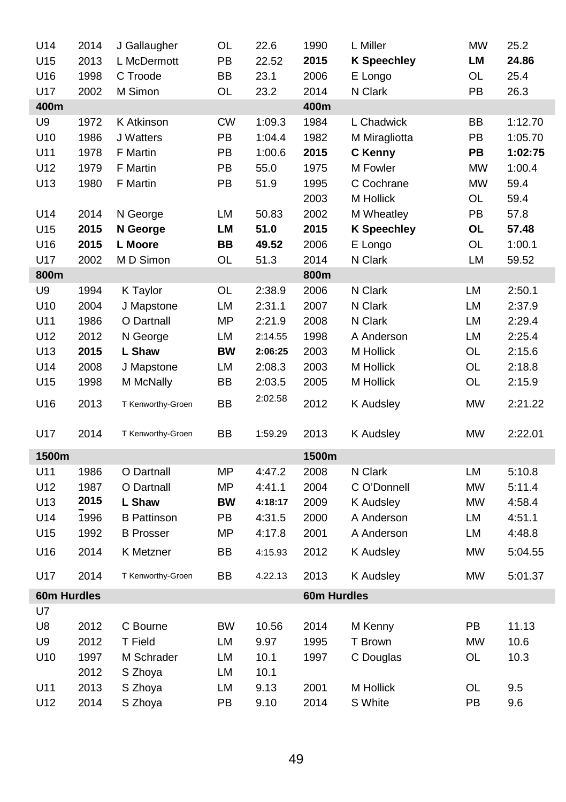| U14         | 2014 | J Gallaugher       | OL        | 22.6    | 1990        | L Miller           | <b>MW</b> | 25.2    |
|-------------|------|--------------------|-----------|---------|-------------|--------------------|-----------|---------|
| U15         | 2013 | L McDermott        | PB        | 22.52   | 2015        | <b>K Speechley</b> | LM        | 24.86   |
| U16         | 1998 | C Troode           | BB        | 23.1    | 2006        | E Longo            | OL        | 25.4    |
| U17         | 2002 | M Simon            | OL        | 23.2    | 2014        | N Clark            | PB        | 26.3    |
| 400m        |      |                    |           |         | 400m        |                    |           |         |
| U9          | 1972 | K Atkinson         | <b>CW</b> | 1:09.3  | 1984        | L Chadwick         | BB        | 1:12.70 |
| U10         | 1986 | J Watters          | PB        | 1:04.4  | 1982        | M Miragliotta      | PB        | 1:05.70 |
| U11         | 1978 | <b>F</b> Martin    | PB        | 1:00.6  | 2015        | C Kenny            | <b>PB</b> | 1:02:75 |
| U12         | 1979 | <b>F</b> Martin    | PB        | 55.0    | 1975        | M Fowler           | <b>MW</b> | 1:00.4  |
| U13         | 1980 | F Martin           | PB        | 51.9    | 1995        | C Cochrane         | <b>MW</b> | 59.4    |
|             |      |                    |           |         | 2003        | M Hollick          | OL        | 59.4    |
| U14         | 2014 | N George           | LM        | 50.83   | 2002        | M Wheatley         | PB        | 57.8    |
| U15         | 2015 | N George           | LМ        | 51.0    | 2015        | <b>K Speechley</b> | OL        | 57.48   |
| U16         | 2015 | L Moore            | ВB        | 49.52   | 2006        | E Longo            | OL        | 1:00.1  |
| U17         | 2002 | M D Simon          | OL        | 51.3    | 2014        | N Clark            | LM        | 59.52   |
| 800m        |      |                    |           |         | 800m        |                    |           |         |
| U9          | 1994 | K Taylor           | OL        | 2:38.9  | 2006        | N Clark            | LM        | 2:50.1  |
| U10         | 2004 | J Mapstone         | LM        | 2:31.1  | 2007        | N Clark            | LM        | 2:37.9  |
| U11         | 1986 | O Dartnall         | <b>MP</b> | 2:21.9  | 2008        | N Clark            | LM        | 2:29.4  |
| U12         | 2012 | N George           | LM        | 2:14.55 | 1998        | A Anderson         | LM        | 2:25.4  |
| U13         | 2015 | L Shaw             | BW        | 2:06:25 | 2003        | M Hollick          | OL        | 2:15.6  |
| U14         | 2008 | J Mapstone         | LM        | 2:08.3  | 2003        | M Hollick          | OL        | 2:18.8  |
| U15         | 1998 | M McNally          | ВB        | 2:03.5  | 2005        | M Hollick          | OL        | 2:15.9  |
| U16         | 2013 | T Kenworthy-Groen  | BB        | 2:02.58 | 2012        | <b>K</b> Audsley   | <b>MW</b> | 2:21.22 |
| U17         | 2014 | T Kenworthy-Groen  | BB        | 1:59.29 | 2013        | <b>K</b> Audsley   | <b>MW</b> | 2:22.01 |
| 1500m       |      |                    |           |         | 1500m       |                    |           |         |
| U11         | 1986 | O Dartnall         | MP        | 4:47.2  | 2008        | N Clark            | LM        | 5:10.8  |
| U12         | 1987 | O Dartnall         | <b>MP</b> | 4.41.1  | 2004        | C O'Donnell        | <b>MW</b> | 5:11.4  |
| U13         | 2015 | L Shaw             | <b>BW</b> | 4:18:17 | 2009        | K Audsley          | <b>MW</b> | 4:58.4  |
| U14         | 1996 | <b>B</b> Pattinson | PB        | 4:31.5  | 2000        | A Anderson         | LM        | 4:51.1  |
| U15         | 1992 | <b>B</b> Prosser   | МP        | 4:17.8  | 2001        | A Anderson         | LM        | 4:48.8  |
| U16         | 2014 | K Metzner          | <b>BB</b> | 4:15.93 | 2012        | K Audsley          | MW        | 5:04.55 |
| U17         | 2014 | T Kenworthy-Groen  | BB        | 4.22.13 | 2013        | K Audsley          | <b>MW</b> | 5:01.37 |
| 60m Hurdles |      |                    |           |         | 60m Hurdles |                    |           |         |
| U7          |      |                    |           |         |             |                    |           |         |
| U8          | 2012 | C Bourne           | <b>BW</b> | 10.56   | 2014        | M Kenny            | PB        | 11.13   |
| U9          | 2012 | T Field            | LM        | 9.97    | 1995        | T Brown            | <b>MW</b> | 10.6    |
| U10         | 1997 | M Schrader         | LM        | 10.1    | 1997        | C Douglas          | OL        | 10.3    |
|             | 2012 | S Zhoya            | LM        | 10.1    |             |                    |           |         |
| U11         | 2013 | S Zhoya            | LM        | 9.13    | 2001        | M Hollick          | OL        | 9.5     |
| U12         | 2014 | S Zhoya            | PB        | 9.10    | 2014        | S White            | PB        | 9.6     |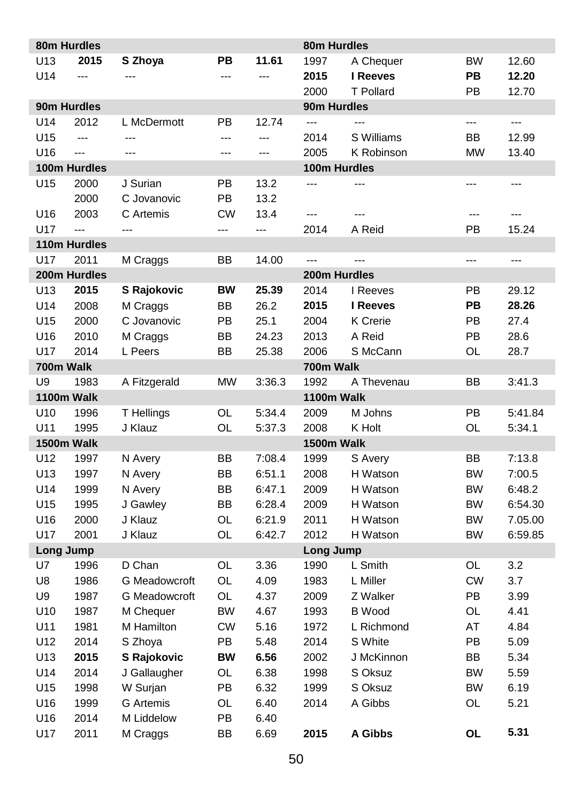|                 | 80m Hurdles    |               |           |        | 80m Hurdles  |                 |           |         |
|-----------------|----------------|---------------|-----------|--------|--------------|-----------------|-----------|---------|
| U <sub>13</sub> | 2015           | S Zhoya       | PВ        | 11.61  | 1997         | A Chequer       | <b>BW</b> | 12.60   |
| U14             | ---            |               |           | ---    | 2015         | I Reeves        | PB        | 12.20   |
|                 |                |               |           |        | 2000         | T Pollard       | PB        | 12.70   |
|                 | 90m Hurdles    |               |           |        | 90m Hurdles  |                 |           |         |
| U14             | 2012           | L McDermott   | PB        | 12.74  | ---          | ---             | ---       | ---     |
| U15             | ---            | ---           | ---       | ---    | 2014         | S Williams      | BB        | 12.99   |
| U16             | ---            | ---           | ---       | ---    | 2005         | K Robinson      | <b>MW</b> | 13.40   |
|                 | 100m Hurdles   |               |           |        | 100m Hurdles |                 |           |         |
| U15             | 2000           | J Surian      | PB        | 13.2   | ---          | ---             | ---       | ---     |
|                 | 2000           | C Jovanovic   | PB        | 13.2   |              |                 |           |         |
| U16             | 2003           | C Artemis     | <b>CW</b> | 13.4   | ---          |                 | ---       |         |
| U17             | $\overline{a}$ | ---           | ---       | ---    | 2014         | A Reid          | PB        | 15.24   |
|                 | 110m Hurdles   |               |           |        |              |                 |           |         |
| U17             | 2011           | M Craggs      | ВB        | 14.00  | ---          | ---             | ---       | ---     |
|                 | 200m Hurdles   |               |           |        | 200m Hurdles |                 |           |         |
| U13             | 2015           | S Rajokovic   | ВW        | 25.39  | 2014         | I Reeves        | PB        | 29.12   |
| U14             | 2008           | M Craggs      | ВB        | 26.2   | 2015         | I Reeves        | PВ        | 28.26   |
| U15             | 2000           | C Jovanovic   | PB        | 25.1   | 2004         | <b>K</b> Crerie | PB        | 27.4    |
| U16             | 2010           | M Craggs      | ВB        | 24.23  | 2013         | A Reid          | PB        | 28.6    |
| U17             | 2014           | L Peers       | ВB        | 25.38  | 2006         | S McCann        | OL        | 28.7    |
| 700m Walk       |                |               |           |        | 700m Walk    |                 |           |         |
| U9              | 1983           | A Fitzgerald  | <b>MW</b> | 3:36.3 | 1992         | A Thevenau      | ВB        | 3:41.3  |
| 1100m Walk      |                |               |           |        | 1100m Walk   |                 |           |         |
| U <sub>10</sub> | 1996           | T Hellings    | OL        | 5:34.4 | 2009         | M Johns         | PB        | 5:41.84 |
| U11             | 1995           | J Klauz       | OL        | 5:37.3 | 2008         | K Holt          | OL        | 5:34.1  |
| 1500m Walk      |                |               |           |        | 1500m Walk   |                 |           |         |
| U12             | 1997           | N Avery       | BB        | 7:08.4 | 1999         | S Avery         | BB        | 7:13.8  |
| U13             | 1997           | N Avery       | BB        | 6:51.1 | 2008         | H Watson        | <b>BW</b> | 7:00.5  |
| U14             | 1999           | N Avery       | ВB        | 6.47.1 | 2009         | H Watson        | BW        | 6:48.2  |
| U15             | 1995           | J Gawley      | ВB        | 6:28.4 | 2009         | H Watson        | BW        | 6:54.30 |
| U16             | 2000           | J Klauz       | OL        | 6:21.9 | 2011         | H Watson        | BW        | 7.05.00 |
| U17             | 2001           | J Klauz       | OL        | 6:42.7 | 2012         | H Watson        | BW        | 6:59.85 |
| Long Jump       |                |               |           |        | Long Jump    |                 |           |         |
| U7              | 1996           | D Chan        | OL        | 3.36   | 1990         | L Smith         | OL        | 3.2     |
| U8              | 1986           | G Meadowcroft | OL        | 4.09   | 1983         | L Miller        | <b>CW</b> | 3.7     |
| U9              | 1987           | G Meadowcroft | OL        | 4.37   | 2009         | Z Walker        | PB        | 3.99    |
| U10             | 1987           | M Chequer     | <b>BW</b> | 4.67   | 1993         | <b>B</b> Wood   | OL        | 4.41    |
| U11             | 1981           | M Hamilton    | СW        | 5.16   | 1972         | L Richmond      | AT        | 4.84    |
| U12             | 2014           | S Zhoya       | PB        | 5.48   | 2014         | S White         | PB        | 5.09    |
| U13             | 2015           | S Rajokovic   | BW        | 6.56   | 2002         | J McKinnon      | BB        | 5.34    |
| U14             | 2014           | J Gallaugher  | OL        | 6.38   | 1998         | S Oksuz         | <b>BW</b> | 5.59    |
| U15             | 1998           | W Surjan      | PB        | 6.32   | 1999         | S Oksuz         | <b>BW</b> | 6.19    |
| U16             | 1999           | G Artemis     | OL        | 6.40   | 2014         | A Gibbs         | OL        | 5.21    |
| U16             | 2014           | M Liddelow    | PB        | 6.40   |              |                 |           |         |
| U17             | 2011           | M Craggs      | BB        | 6.69   | 2015         | A Gibbs         | OL        | 5.31    |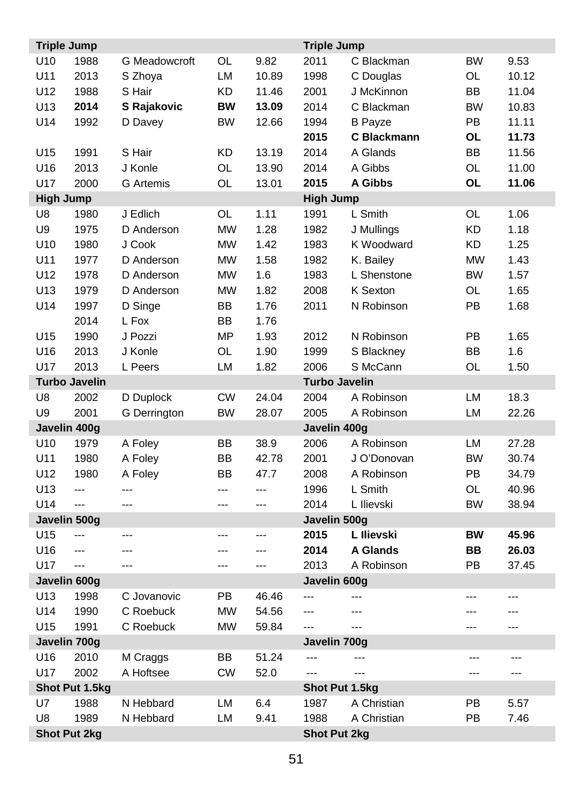| <b>Triple Jump</b> |                      |                  |           |       | <b>Triple Jump</b>   |                 |           |       |
|--------------------|----------------------|------------------|-----------|-------|----------------------|-----------------|-----------|-------|
| U10                | 1988                 | G Meadowcroft    | OL        | 9.82  | 2011                 | C Blackman      | <b>BW</b> | 9.53  |
| U11                | 2013                 | S Zhoya          | LM        | 10.89 | 1998                 | C Douglas       | OL        | 10.12 |
| U12                | 1988                 | S Hair           | KD        | 11.46 | 2001                 | J McKinnon      | BB        | 11.04 |
| U13                | 2014                 | S Rajakovic      | <b>BW</b> | 13.09 | 2014                 | C Blackman      | <b>BW</b> | 10.83 |
| U14                | 1992                 | D Davey          | <b>BW</b> | 12.66 | 1994                 | <b>B</b> Payze  | PB        | 11.11 |
|                    |                      |                  |           |       | 2015                 | C Blackmann     | <b>OL</b> | 11.73 |
| U15                | 1991                 | S Hair           | KD        | 13.19 | 2014                 | A Glands        | BB        | 11.56 |
| U16                | 2013                 | J Konle          | OL        | 13.90 | 2014                 | A Gibbs         | OL        | 11.00 |
| U17                | 2000                 | <b>G</b> Artemis | <b>OL</b> | 13.01 | 2015                 | A Gibbs         | <b>OL</b> | 11.06 |
| <b>High Jump</b>   |                      |                  |           |       | <b>High Jump</b>     |                 |           |       |
| U8                 | 1980                 | J Edlich         | OL        | 1.11  | 1991                 | L Smith         | OL        | 1.06  |
| U9                 | 1975                 | D Anderson       | <b>MW</b> | 1.28  | 1982                 | J Mullings      | KD        | 1.18  |
| U10                | 1980                 | J Cook           | <b>MW</b> | 1.42  | 1983                 | K Woodward      | KD        | 1.25  |
| U11                | 1977                 | D Anderson       | <b>MW</b> | 1.58  | 1982                 | K. Bailey       | <b>MW</b> | 1.43  |
| U12                | 1978                 | D Anderson       | <b>MW</b> | 1.6   | 1983                 | L Shenstone     | <b>BW</b> | 1.57  |
| U13                | 1979                 | D Anderson       | <b>MW</b> | 1.82  | 2008                 | K Sexton        | OL        | 1.65  |
| U14                | 1997                 | D Singe          | ВB        | 1.76  | 2011                 | N Robinson      | PB        | 1.68  |
|                    | 2014                 | L Fox            | BB        | 1.76  |                      |                 |           |       |
| U15                | 1990                 | J Pozzi          | <b>MP</b> | 1.93  | 2012                 | N Robinson      | PB        | 1.65  |
| U16                | 2013                 | J Konle          | OL        | 1.90  | 1999                 | S Blackney      | BB        | 1.6   |
| U17                | 2013                 | L Peers          | LM        | 1.82  | 2006                 | S McCann        | OL        | 1.50  |
|                    | <b>Turbo Javelin</b> |                  |           |       | <b>Turbo Javelin</b> |                 |           |       |
| U8                 | 2002                 | D Duplock        | <b>CW</b> | 24.04 | 2004                 | A Robinson      | LM        | 18.3  |
| U9                 | 2001                 | G Derrington     | <b>BW</b> | 28.07 | 2005                 | A Robinson      | LM        | 22.26 |
|                    | Javelin 400g         |                  |           |       | Javelin 400g         |                 |           |       |
| U10                | 1979                 | A Foley          | ВB        | 38.9  | 2006                 | A Robinson      | LM        | 27.28 |
| U11                | 1980                 | A Foley          | BB        | 42.78 | 2001                 | J O'Donovan     | <b>BW</b> | 30.74 |
| U12                | 1980                 | A Foley          | <b>BB</b> | 47.7  | 2008                 | A Robinson      | PB        | 34.79 |
| U13                | ---                  | ---              |           | ---   | 1996                 | L Smith         | OL        | 40.96 |
| U14                | $\overline{a}$       | ---              | ---       | ---   | 2014                 | L Ilievski      | <b>BW</b> | 38.94 |
|                    | Javelin 500g         |                  |           |       | Javelin 500g         |                 |           |       |
| U15                | ---                  | ---              | ---       | ---   | 2015                 | L Ilievski      | <b>BW</b> | 45.96 |
| U16                | ---                  | ---              | ---       | ---   | 2014                 | <b>A Glands</b> | BB        | 26.03 |
| U17                |                      | ---              | ---       | ---   | 2013                 | A Robinson      | PB        | 37.45 |
|                    | Javelin 600g         |                  |           |       | Javelin 600g         |                 |           |       |
| U13                | 1998                 | C Jovanovic      | PB        | 46.46 | ---                  |                 |           | ---   |
| U14                | 1990                 | C Roebuck        | <b>MW</b> | 54.56 | ---                  | ---             |           |       |
| U15                | 1991                 | C Roebuck        | <b>MW</b> | 59.84 | ---                  | ---             | ---       | ---   |
|                    | Javelin 700g         |                  |           |       | Javelin 700g         |                 |           |       |
| U16                | 2010                 | M Craggs         | BB        | 51.24 | ---                  |                 | ---       | ---   |
| U17                | 2002                 | A Hoftsee        | <b>CW</b> | 52.0  |                      |                 |           |       |
|                    | Shot Put 1.5kg       |                  |           |       | Shot Put 1.5kg       |                 |           |       |
| U7                 | 1988                 | N Hebbard        | LM        | 6.4   | 1987                 | A Christian     | PB        | 5.57  |
| U8                 | 1989                 | N Hebbard        | LM        | 9.41  | 1988                 | A Christian     | PB        | 7.46  |
|                    | <b>Shot Put 2kg</b>  |                  |           |       | Shot Put 2kg         |                 |           |       |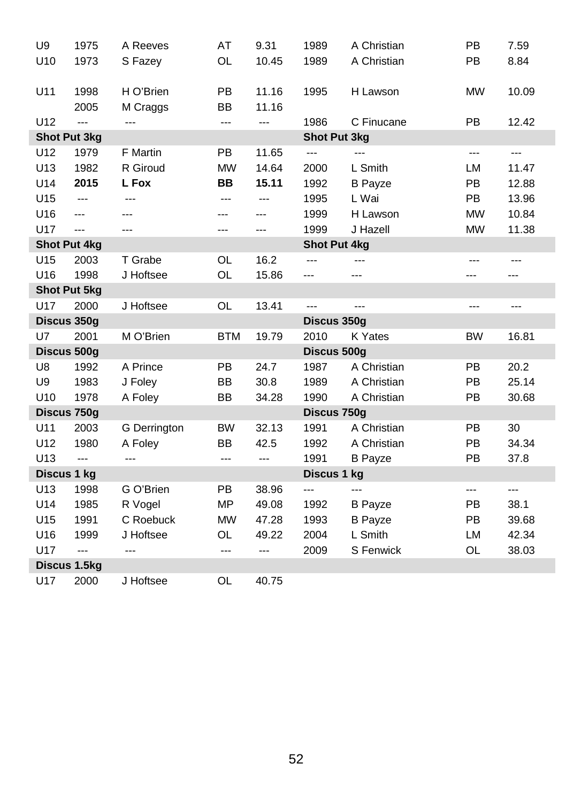| U <sub>9</sub> | 1975                | A Reeves       | AT             | 9.31           | 1989                | A Christian    | PB                       | 7.59  |
|----------------|---------------------|----------------|----------------|----------------|---------------------|----------------|--------------------------|-------|
| U10            | 1973                | S Fazey        | OL             | 10.45          | 1989                | A Christian    | PB                       | 8.84  |
|                |                     |                |                |                |                     |                |                          |       |
| U11            | 1998                | H O'Brien      | <b>PB</b>      | 11.16          | 1995                | H Lawson       | <b>MW</b>                | 10.09 |
|                | 2005                | M Craggs       | <b>BB</b>      | 11.16          |                     |                |                          |       |
| U12            | $\overline{a}$      | $\overline{a}$ | ---            | $\overline{a}$ | 1986                | C Finucane     | <b>PB</b>                | 12.42 |
|                | <b>Shot Put 3kg</b> |                |                |                | <b>Shot Put 3kg</b> |                |                          |       |
| U12            | 1979                | F Martin       | PB             | 11.65          | ---                 | aaan.          | $\overline{a}$           | ---   |
| U13            | 1982                | R Giroud       | <b>MW</b>      | 14.64          | 2000                | L Smith        | LM                       | 11.47 |
| U14            | 2015                | L Fox          | BB             | 15.11          | 1992                | <b>B</b> Payze | <b>PB</b>                | 12.88 |
| U15            | $\overline{a}$      | $\overline{a}$ | $\overline{a}$ | ---            | 1995                | L Wai          | PB                       | 13.96 |
| U16            | $\overline{a}$      | ---            | ---            | ---            | 1999                | H Lawson       | <b>MW</b>                | 10.84 |
| U17            | $\overline{a}$      | <u></u>        | ---            | ---            | 1999                | J Hazell       | <b>MW</b>                | 11.38 |
|                | <b>Shot Put 4kg</b> |                |                |                | Shot Put 4kg        |                |                          |       |
| U15            | 2003                | T Grabe        | OL             | 16.2           |                     | $\overline{a}$ | $\overline{a}$           | ---   |
| U16            | 1998                | J Hoftsee      | OL             | 15.86          | ---                 | ---            |                          | ---   |
|                | <b>Shot Put 5kg</b> |                |                |                |                     |                |                          |       |
| U17            | 2000                | J Hoftsee      | OL             | 13.41          | $\overline{a}$      | $\overline{a}$ | $\overline{a}$           | ---   |
|                |                     |                |                |                |                     |                |                          |       |
|                | Discus 350g         |                |                |                | Discus 350g         |                |                          |       |
| U7             | 2001                | M O'Brien      | <b>BTM</b>     | 19.79          | 2010                | K Yates        | <b>BW</b>                | 16.81 |
|                | Discus 500g         |                |                |                | Discus 500g         |                |                          |       |
| U8             | 1992                | A Prince       | PB             | 24.7           | 1987                | A Christian    | PB                       | 20.2  |
| U9             | 1983                | J Foley        | BB             | 30.8           | 1989                | A Christian    | PB                       | 25.14 |
| U10            | 1978                | A Foley        | BB             | 34.28          | 1990                | A Christian    | PB                       | 30.68 |
|                | Discus 750g         |                |                |                | Discus 750g         |                |                          |       |
| U11            | 2003                | G Derrington   | <b>BW</b>      | 32.13          | 1991                | A Christian    | <b>PB</b>                | 30    |
| U12            | 1980                | A Foley        | <b>BB</b>      | 42.5           | 1992                | A Christian    | PB                       | 34.34 |
| U13            | ---                 | $\sim$ $\sim$  | $\overline{a}$ | $\overline{a}$ | 1991                | <b>B</b> Payze | <b>PB</b>                | 37.8  |
| Discus 1 kg    |                     |                |                |                | Discus 1 kg         |                |                          |       |
| U13            | 1998                | G O'Brien      | <b>PB</b>      | 38.96          | ---                 | $---$          | $\overline{\phantom{a}}$ | ---   |
| U14            | 1985                | R Vogel        | <b>MP</b>      | 49.08          | 1992                | <b>B</b> Payze | <b>PB</b>                | 38.1  |
| U15            | 1991                | C Roebuck      | <b>MW</b>      | 47.28          | 1993                | <b>B</b> Payze | <b>PB</b>                | 39.68 |
| U16            | 1999                | J Hoftsee      | OL             | 49.22          | 2004                | L Smith        | LM                       | 42.34 |
| U17            | $\overline{a}$      | $\overline{a}$ | $\overline{a}$ | ---            | 2009                | S Fenwick      | OL                       | 38.03 |
| U17            | Discus 1.5kg        |                |                |                |                     |                |                          |       |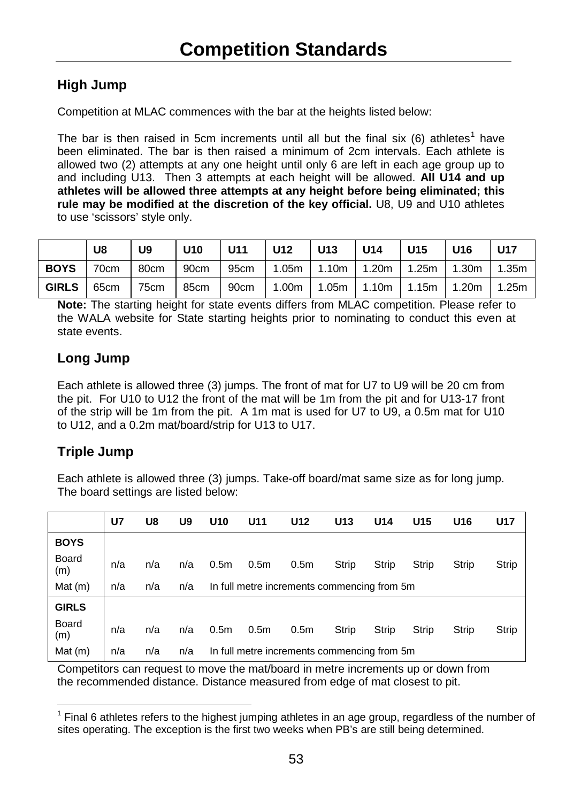#### <span id="page-52-0"></span>**High Jump**

Competition at MLAC commences with the bar at the heights listed below:

The bar is then raised in 5cm increments until all but the final six  $(6)$  athletes<sup>[1](#page-52-1)</sup> have been eliminated. The bar is then raised a minimum of 2cm intervals. Each athlete is allowed two (2) attempts at any one height until only 6 are left in each age group up to and including U13. Then 3 attempts at each height will be allowed. **All U14 and up athletes will be allowed three attempts at any height before being eliminated; this rule may be modified at the discretion of the key official.** U8, U9 and U10 athletes to use 'scissors' style only.

|              | U8    | U9    | <b>U10</b> |  |  | U11   U12   U13   U14   U15   U16   U17                     |  |
|--------------|-------|-------|------------|--|--|-------------------------------------------------------------|--|
| <b>BOYS</b>  | 170cm | 80cm  |            |  |  | 90cm   95cm   1.05m   1.10m   1.20m   1.25m   1.30m   1.35m |  |
| $GHRLS$ 65cm |       | 175cm |            |  |  | 85cm   90cm   1.00m   1.05m   1.10m   1.15m   1.20m   1.25m |  |

**Note:** The starting height for state events differs from MLAC competition. Please refer to the WALA website for State starting heights prior to nominating to conduct this even at state events.

#### **Long Jump**

Each athlete is allowed three (3) jumps. The front of mat for U7 to U9 will be 20 cm from the pit. For U10 to U12 the front of the mat will be 1m from the pit and for U13-17 front of the strip will be 1m from the pit. A 1m mat is used for U7 to U9, a 0.5m mat for U10 to U12, and a 0.2m mat/board/strip for U13 to U17.

#### **Triple Jump**

Each athlete is allowed three (3) jumps. Take-off board/mat same size as for long jump. The board settings are listed below:

|              | U7  | U8  | U9  | U <sub>10</sub>  | U11              | U12                                         | U <sub>13</sub> | U <sub>14</sub> | U <sub>15</sub> | U <sub>16</sub> | <b>U17</b> |
|--------------|-----|-----|-----|------------------|------------------|---------------------------------------------|-----------------|-----------------|-----------------|-----------------|------------|
| <b>BOYS</b>  |     |     |     |                  |                  |                                             |                 |                 |                 |                 |            |
| Board<br>(m) | n/a | n/a | n/a | 0.5 <sub>m</sub> | 0.5 <sub>m</sub> | 0.5 <sub>m</sub>                            | Strip           | Strip           | Strip           | Strip           | Strip      |
| Mat(m)       | n/a | n/a | n/a |                  |                  | In full metre increments commencing from 5m |                 |                 |                 |                 |            |
| <b>GIRLS</b> |     |     |     |                  |                  |                                             |                 |                 |                 |                 |            |
| Board<br>(m) | n/a | n/a | n/a | 0.5 <sub>m</sub> | 0.5 <sub>m</sub> | 0.5 <sub>m</sub>                            | Strip           | Strip           | Strip           | Strip           | Strip      |
| Mat $(m)$    | n/a | n/a | n/a |                  |                  | In full metre increments commencing from 5m |                 |                 |                 |                 |            |

Competitors can request to move the mat/board in metre increments up or down from the recommended distance. Distance measured from edge of mat closest to pit.

<span id="page-52-1"></span> <sup>1</sup> Final 6 athletes refers to the highest jumping athletes in an age group, regardless of the number of sites operating. The exception is the first two weeks when PB's are still being determined.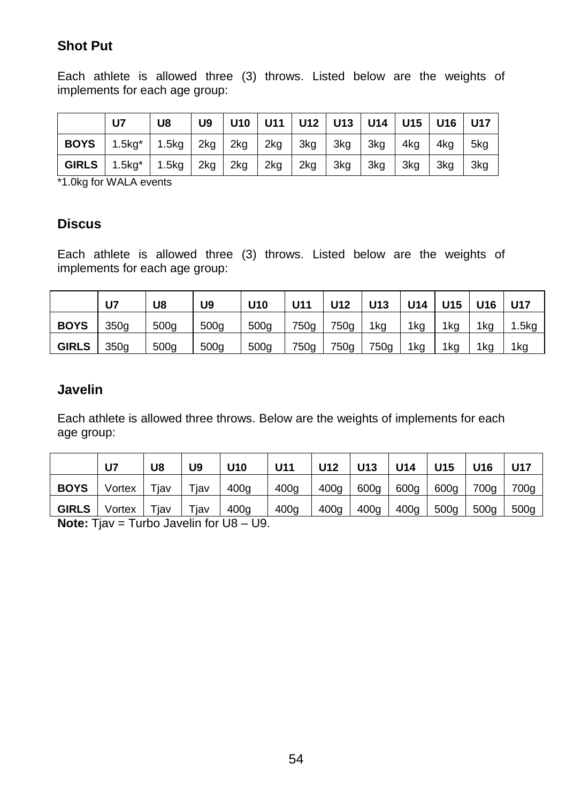#### **Shot Put**

Each athlete is allowed three (3) throws. Listed below are the weights of implements for each age group:

|             | U7                                                                      | U8                                           | U9 |  |  |             | U10   U11   U12   U13   U14   U15   U16   U17 |       |     |
|-------------|-------------------------------------------------------------------------|----------------------------------------------|----|--|--|-------------|-----------------------------------------------|-------|-----|
| <b>BOYS</b> |                                                                         | 1.5kg*   1.5kg   2kg   2kg   2kg   3kg   3kg |    |  |  | 3kg 4kg     |                                               | - 4kg | 5ka |
|             | <b>GIRLS</b>   1.5kg <sup>*</sup>   1.5kg   2kg   2kg   2kg   2kg   3kg |                                              |    |  |  | $\vert$ 3kg | $\vert$ 3kg                                   | 3kg   | 3kg |

\*1.0kg for WALA events

#### **Discus**

Each athlete is allowed three (3) throws. Listed below are the weights of implements for each age group:

|              | U7   | U8   | U9               | U <sub>10</sub>  | U11  | U12  | U <sub>13</sub> | U14 | U <sub>15</sub> | U16 | <b>U17</b> |
|--------------|------|------|------------------|------------------|------|------|-----------------|-----|-----------------|-----|------------|
| <b>BOYS</b>  | 350q | 500g | 500 <sub>g</sub> | 500g             | 750g | 750a | 1kg             | 1kg | 1kg             | 1ka | 1.5kg      |
| <b>GIRLS</b> | 350q | 500g | 500 <sub>g</sub> | 500 <sub>g</sub> | 750g | 750g | 750g            | 1kg | 1kg             | 1ka | 1kg        |

#### **Javelin**

Each athlete is allowed three throws. Below are the weights of implements for each age group:

|              | U7     | U8         | U9         | U <sub>10</sub> | U11              | U12              | U13              | U14  | U <sub>15</sub> | U <sub>16</sub> | <b>U17</b> |
|--------------|--------|------------|------------|-----------------|------------------|------------------|------------------|------|-----------------|-----------------|------------|
| <b>BOYS</b>  | Vortex | $\tau$ iav | $\tau$ iav | 400g            | 400q             | 400q             | 600g             | 600g | 600g            | 700g            | 700g       |
| <b>GIRLS</b> | Vortex | Tjav       | Tjav       | 400g            | 400 <sub>g</sub> | 400 <sub>g</sub> | 400 <sub>g</sub> | 400q | 500g            | 500q            | 500g       |

**Note:** Tjav = Turbo Javelin for U8 – U9.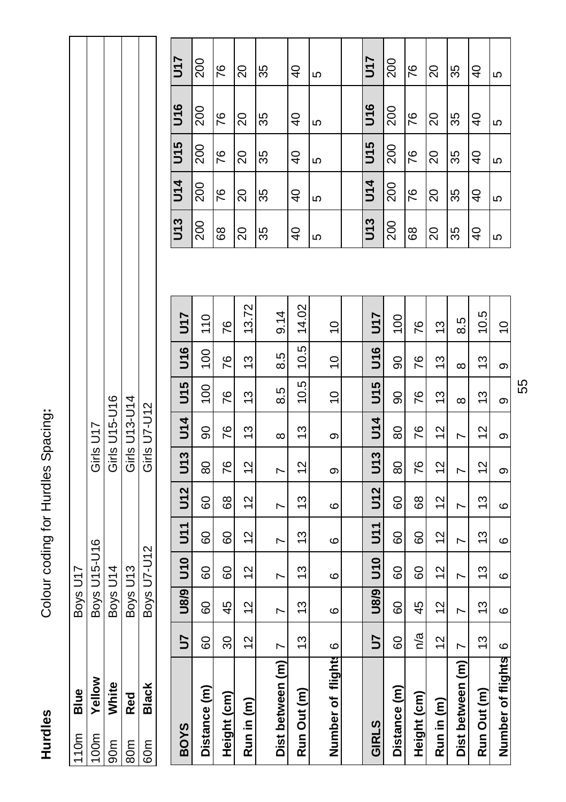Hurdles

Colour coding for Hurdles Spacing: **Hurdles** Constructed Spacing for August Space Space Space Sections Sections Sections Sections Sections Sections Sections Sections Sections Sections Sections Sections Sections Sections Sections Sections Sections Sections S

| Blue       | Boys U17     |               |
|------------|--------------|---------------|
| Yellow     | Boys U15-U16 | Girls U17     |
| White      | Boys U14     | Girls U15-U16 |
| <b>Red</b> | Boys U13     | Girls U13-U14 |
| Black      | Boys U7-U12  | Girls U7-U12  |
|            |              |               |

| <b>BOYS</b>           | 5             | U8/9 | <b>U10</b>     | 51            | <b>U12</b> | <b>U13</b>    | <b>J14</b>           | U15             | <b>U16</b>     | <b>J17</b>    | U13            | <b>U14</b>     | U <sub>15</sub> | U <sub>16</sub> | <b>25D</b>     |
|-----------------------|---------------|------|----------------|---------------|------------|---------------|----------------------|-----------------|----------------|---------------|----------------|----------------|-----------------|-----------------|----------------|
| Distance (m)          | 80            | 8    | 80             | 60            | 8          | 80            | 90                   | $\overline{00}$ | $\overline{0}$ | 110           | 200            | 200            | 200             | 200             | <u>ន</u>       |
| Height (cm)           | 30            | 45   | 8              | 8             | 89         | 76            | 76                   | 87              | 76             | 76            | 89             | 76             | 76              | 26              | 76             |
| Run in (m)            | $\frac{2}{3}$ | 12   | $\frac{2}{3}$  | $\frac{2}{3}$ | 2          | $\frac{2}{3}$ | $\tilde{\mathbf{c}}$ | 13              | 13             | 3.72          | 20             | 20             | $\overline{20}$ | 20              | 20             |
|                       |               |      |                |               |            |               |                      |                 |                |               | 35             | 35             | 35              | 35              | 35             |
| Dist between (m)      | r             | N    | N              | N             | N          | r             | ∞                    | 8.5             | 8.3            | 9.14          |                |                |                 |                 |                |
| Run Out (m)           | 13            | 13   | 13             | 13            | 13         | $\frac{2}{3}$ | 13                   | ယ္<br>Ö,        | 10.5           | 14.02         | $\overline{6}$ | $\overline{6}$ | $\frac{1}{4}$   | $\overline{a}$  | $\overline{4}$ |
| ×<br>Number of flight | ဖ             | ဖ    | ဖ              | ဖ             | ဖ          | თ             | တ                    | $\overline{0}$  | $\frac{0}{1}$  | $\frac{0}{1}$ | 5              | 5              | 5               | 5               | 5              |
|                       |               |      |                |               |            |               |                      |                 |                |               |                |                |                 |                 |                |
| GIRLS                 | 5             | U8/9 | <b>U10</b>     | 51<br>D       | U12        | U13           | <b>J14</b>           | U15             | <b>U16</b>     | 5r            | U13            | <b>J14</b>     | U15             | <b>U16</b>      | 5ru            |
| Distance (m)          | 8             | 8    | 80             | 80            | 8          | 80            | 80                   | 8               | 90             | $\frac{8}{1}$ | 200            | 200            | 200             | 200             | <u>ន</u>       |
| Height (cm)           | n/a           | 45   | 80             | 8             | 89         | 76            | 76                   | 76              | 76             | 76            | 89             | 76             | 76              | 87              | 76             |
| Run in (m)            | $\frac{2}{3}$ | 12   | $\frac{2}{3}$  | $\frac{2}{3}$ | 12         | $\frac{2}{3}$ | $\frac{2}{3}$        | 13              | 13             | 13            | 20             | 20             | 20              | 20              | 20             |
| Dist between (m)      | r             | L    | $\overline{ }$ | r             | N          | N             | N                    | $\infty$        | $\infty$       | 8.5           | 35             | 35             | 35              | 35              | 35             |
| Run Out (m)           | 13            | 13   | $\frac{3}{2}$  | $\frac{3}{2}$ | 13         | $\frac{2}{3}$ | $\frac{2}{3}$        | 13              | $\frac{3}{2}$  | 10.5          | $\overline{a}$ | $\overline{4}$ | $\frac{1}{2}$   | $\overline{a}$  | $\overline{6}$ |
| Number of flights     | ဖ             | ဖ    | ဖ              | ဖ             | ဖ          | თ             | თ                    | თ               | თ              | $\frac{0}{1}$ | 5              | ю              | 5               | ю               | 5              |

| <b>LLN</b>    | 200 | 76 | $\overline{c}$ | 35 | $\overline{Q}$ | 5 | <u><b>LLN</b></u> | 200 | 76 | $\overline{c}$      | 35 | $\overline{4}$ | Ю |
|---------------|-----|----|----------------|----|----------------|---|-------------------|-----|----|---------------------|----|----------------|---|
| <b>S</b>      | 200 | 76 | 20             | 33 | $\overline{Q}$ | 5 | $\frac{1}{5}$     | 200 | 76 | $\Omega$            | 35 | $\overline{a}$ | 5 |
| $\frac{1}{5}$ | 200 | 76 | $\overline{c}$ | 35 | $\overline{4}$ | 5 | $\overline{5}$    | 200 | 76 | $\overline{20}$     | 35 | $\overline{P}$ | 5 |
| <b>J14</b>    | 200 | 76 | $\Omega$       | 35 | $\overline{Q}$ | 5 | U14               | 200 | 76 | $\overline{\Omega}$ | 35 | $\overline{a}$ | Ю |
| U13           | 200 | 89 | 20             | 33 | $\overline{a}$ | Ю | U13               | 200 | 89 | $\Omega$            | 35 | $\overline{Q}$ | Ю |

55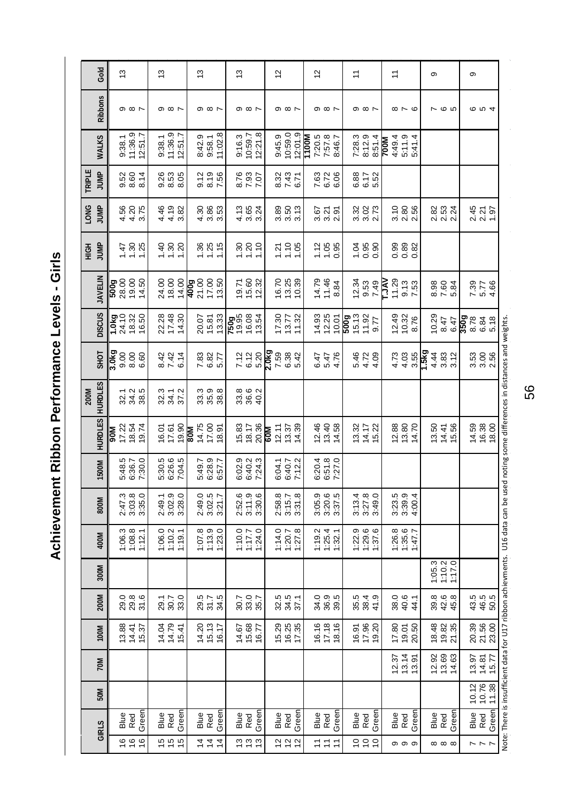<span id="page-55-0"></span>Achievement Ribbon Performance Levels - Girls **Achievement Ribbon Performance Levels - Girls**

|             | Gold           | $\frac{3}{2}$                                    |                                                             | 13                                              |  |            | 13               |                                                           |         | $\frac{3}{2}$                      |                         |                                                             |                             | 12                    |                                                        |                      |       | 12                               |  | 1,                                                                                                                                                                                                                                                                                                            |                        |                                                             |   | H                                                    |                      |       |                         | თ |                                                           |  | თ           |                                                             |  |
|-------------|----------------|--------------------------------------------------|-------------------------------------------------------------|-------------------------------------------------|--|------------|------------------|-----------------------------------------------------------|---------|------------------------------------|-------------------------|-------------------------------------------------------------|-----------------------------|-----------------------|--------------------------------------------------------|----------------------|-------|----------------------------------|--|---------------------------------------------------------------------------------------------------------------------------------------------------------------------------------------------------------------------------------------------------------------------------------------------------------------|------------------------|-------------------------------------------------------------|---|------------------------------------------------------|----------------------|-------|-------------------------|---|-----------------------------------------------------------|--|-------------|-------------------------------------------------------------|--|
|             | <b>Ribbons</b> |                                                  | $\circ$ $\circ$ $\sim$                                      | $\circ$ $\circ$ $\sim$                          |  |            |                  | $\circ$ $\circ$ $\sim$                                    |         |                                    | $\circ$ $\circ$ $\circ$ |                                                             |                             |                       | $\circ$ $\circ$ $\sim$                                 |                      |       | $\circ$ $\circ$ $\circ$          |  |                                                                                                                                                                                                                                                                                                               | $\circ$ $\circ$ $\sim$ |                                                             |   |                                                      | $\infty \sim \infty$ |       |                         |   | $\sim$ $\omega$                                           |  |             | $\omega$ $\omega$ $\rightarrow$                             |  |
|             | <b>WALKS</b>   |                                                  | $\begin{array}{c} 9.38.1 \\ 11.36.9 \\ 12.51.7 \end{array}$ | $9:38.1$<br>11:36.9<br>12:51.7                  |  |            | 8:42.9<br>9:58.1 |                                                           | 11:02.8 |                                    |                         | $\begin{array}{c} 9.16.3 \\ 10.59.7 \\ 12.21.8 \end{array}$ |                             | $9:45.9$<br>$10:59.0$ |                                                        | 12:01.9              | 1100M | 7:20.5<br>7:57.8<br>8:46.7       |  |                                                                                                                                                                                                                                                                                                               |                        | 7:28.3<br>8:12.9<br>8:51.4<br><b>700M</b>                   |   | 4:49.4<br>5:11.9<br>5:41.4                           |                      |       |                         |   |                                                           |  |             |                                                             |  |
| TRIPLE      | JUMP           |                                                  | 52<br>0.60 4<br>0.60                                        | 0.26<br>0.63<br>0.05                            |  |            |                  | $0.79$<br>$0.56$<br>$7.56$                                |         |                                    |                         | 2.56<br>2.93<br>7.07                                        |                             |                       | 8.32<br>7.43<br>6.71                                   |                      |       | 7.63<br>6.72<br>6.06             |  |                                                                                                                                                                                                                                                                                                               |                        | 6.88<br>6.17<br>5.52                                        |   |                                                      |                      |       |                         |   |                                                           |  |             |                                                             |  |
| <b>LONG</b> | JUMP           |                                                  | 4.375<br>4.4.37                                             | 4 0 2<br>4 4 3<br>4 4 3                         |  |            |                  | 36<br>4 36<br>4 3 3                                       |         |                                    |                         | វ<br>វី 35<br>វី 3                                          |                             |                       | 88 13 13<br>3 13 13<br>3 13 13                         |                      |       | 825<br>825<br>825                |  |                                                                                                                                                                                                                                                                                                               |                        | 3.32<br>3.31<br>2.13                                        |   |                                                      | 0<br>១ និ<br>១ ដូ    |       |                         |   | 82<br>23<br>23<br>24<br>24                                |  |             | 2.45<br>2.21<br>1.97                                        |  |
| HIGH        | JUMP           |                                                  | $\frac{47}{1.30}$                                           | $rac{4}{1}$ $rac{8}{1}$ $rac{8}{1}$ $rac{8}{1}$ |  |            |                  | 288.75                                                    |         |                                    |                         | $\frac{8}{1}$ $\frac{8}{1}$ $\frac{8}{1}$                   |                             |                       | 7.58                                                   |                      |       | $1.88$<br>$-0.85$                |  |                                                                                                                                                                                                                                                                                                               |                        | $\frac{3}{10}$ $\frac{8}{10}$ $\frac{8}{10}$ $\frac{8}{10}$ |   | 88<br>0<br>0<br>0<br>0<br>0                          |                      |       |                         |   |                                                           |  |             |                                                             |  |
|             | <b>JAVELIN</b> | <mark>ទ្</mark> រ<br>និង ១.១<br><b>និ</b> ង ១. ។ |                                                             | 24.00<br>18.00<br>14.00                         |  |            |                  | 909<br>2100<br>42125<br>4212                              |         |                                    |                         | 19.53<br>19.53<br>19.32                                     |                             |                       | 16.70<br>19.39<br>19.39                                |                      |       | 14.79<br>11.46<br>8.84           |  |                                                                                                                                                                                                                                                                                                               |                        | $7.34$<br>$9.53$<br>$7.49$                                  | Ŗ | $\begin{array}{c} 11.29 \\ 9.13 \\ 7.53 \end{array}$ |                      |       |                         |   |                                                           |  |             | 5.58<br>5.78<br>4.85                                        |  |
|             | <b>DISCUS</b>  | 1.0kg<br>24.10<br>18.32<br>16.50                 |                                                             | 22.28<br>17.48<br>14.30                         |  |            |                  | 20.07<br>15.33<br>13.33                                   |         | <b>209</b><br>1996<br>1998<br>1997 |                         |                                                             |                             |                       | $\begin{array}{c} 17.30 \\ 13.77 \\ 11.32 \end{array}$ |                      |       |                                  |  | $\begin{array}{c} 4.93 \\ 2.25 \\ 1.07 \\ 2.09 \\ 2.09 \\ 2.33 \\ 2.09 \\ 2.01 \\ 2.01 \\ 2.01 \\ 2.01 \\ 2.01 \\ 2.01 \\ 2.01 \\ 2.02 \\ 2.01 \\ 2.01 \\ 2.02 \\ 2.01 \\ 2.02 \\ 2.03 \\ 2.03 \\ 2.04 \\ 2.03 \\ 2.05 \\ 2.04 \\ 2.05 \\ 2.05 \\ 2.07 \\ 2.08 \\ 2.09 \\ 2.09 \\ 2.09 \\ 2.01 \\ 2.01 \\ 2.$ |                        |                                                             |   | 12.49<br>10.32<br>8.76                               |                      |       |                         |   |                                                           |  |             | 0.29<br>0.47<br>0.6 <mark>90</mark><br>0.88<br>0.88<br>0.88 |  |
|             | <b>SHOT</b>    |                                                  |                                                             | 8.42<br>8.42<br>6.14                            |  |            |                  | 7.82<br>6.87<br>5.7                                       |         |                                    |                         | 7.12<br>6.12<br>5.20                                        | 0kg<br>7.59<br>2.03<br>2.03 |                       |                                                        |                      |       | 6.47<br>5.47<br>4.76             |  |                                                                                                                                                                                                                                                                                                               |                        | 5.4.09<br>5.4.09                                            |   |                                                      |                      |       | $44987482$<br>$4497482$ |   |                                                           |  |             | 3<br>3<br>3<br>2<br>2<br>2                                  |  |
| 200M        | <b>HURDLES</b> |                                                  | 32 3 8<br>32 3 8                                            | 33<br>34.7<br>37.3                              |  |            |                  | 3<br>33<br>38<br>38                                       |         |                                    |                         | 8<br>38<br>38<br>4                                          |                             |                       |                                                        |                      |       |                                  |  |                                                                                                                                                                                                                                                                                                               |                        |                                                             |   |                                                      |                      |       |                         |   |                                                           |  |             |                                                             |  |
|             | <b>HURDLES</b> | Ne                                               | 17.22<br>18.54<br>19.74                                     | 16.01<br>17.50<br>19.90                         |  | <u>мов</u> |                  | $\begin{array}{c} 14.75 \\ 17.00 \\ 18.91 \end{array}$    |         |                                    |                         | $15.83$<br>$20.36$                                          | <b>M09</b>                  |                       | $12.37$<br>$13.39$<br>$14.39$                          |                      |       | 12.46<br>13.58<br>14.58          |  |                                                                                                                                                                                                                                                                                                               |                        | $13.32$<br>$14.17$<br>$15.22$                               |   | 12.88<br>14.70                                       |                      |       |                         |   | $13.50$<br>$14.41$<br>$15.56$                             |  |             | $14.59$<br>$16.38$<br>$18.00$                               |  |
|             | 1500M          |                                                  | 5:48.5<br>6:36.7<br>7:30.0                                  | 5:30.5<br>6:26.5<br>7:04.5                      |  |            |                  | 5:49.7<br>6:28.9<br>6:57.7                                |         |                                    |                         | 6:02.9<br>6:40.2<br>7:24.3                                  |                             |                       | 6:04.1<br>6:40.7<br>7:12.2                             |                      |       | 6:20.4<br>6:51.8<br>7:27.0       |  |                                                                                                                                                                                                                                                                                                               |                        |                                                             |   |                                                      |                      |       |                         |   |                                                           |  |             |                                                             |  |
|             | 800M           |                                                  | 2:47.3<br>3:03.8<br>3:35.0                                  | 2:49.1<br>3:02.0<br>3:28.0                      |  |            |                  | 2:49.0<br>3:02.5<br>3:21.7                                |         |                                    |                         | 2:52.6<br>3:11.6<br>3:30.6                                  |                             |                       | 2:58.8<br>3:15.7<br>3:31.8                             |                      |       | 3:05.9<br>3:20.5<br>3:37.5       |  |                                                                                                                                                                                                                                                                                                               |                        | 3:13.4<br>3:27.8<br>3:49.0                                  |   | 3:23.5<br>3:39.9<br>4:00.4                           |                      |       |                         |   |                                                           |  |             |                                                             |  |
|             | 400M           |                                                  | $\frac{136.3}{112.1}$                                       | $\frac{136.0}{119.1}$                           |  |            |                  | $\begin{array}{c} 1:07.8 \\ 1:13.9 \\ 1:23.0 \end{array}$ |         |                                    |                         | $1:10.0$<br>$1:7.7$<br>$1:24.0$                             |                             |                       | $114.0$<br>$120.7$<br>$127.8$                          |                      |       | $1:19.2$<br>$1:25.4$<br>$1:32.1$ |  |                                                                                                                                                                                                                                                                                                               |                        | $122.9$<br>$129.6$<br>$137.6$                               |   | 126.8<br>135.6<br>1:47.7                             |                      |       |                         |   |                                                           |  |             |                                                             |  |
|             | 300M           |                                                  |                                                             |                                                 |  |            |                  |                                                           |         |                                    |                         |                                                             |                             |                       |                                                        |                      |       |                                  |  |                                                                                                                                                                                                                                                                                                               |                        |                                                             |   |                                                      |                      |       |                         |   | $\begin{array}{c} 1:05.3 \\ 1:10.2 \\ 1:17.0 \end{array}$ |  |             |                                                             |  |
|             | 200M           |                                                  | 0 8 8<br>2 8 7<br>2 8 7                                     | 29.7<br>39.3<br>33.9                            |  |            |                  | 29.5<br>31.5<br>34.5                                      |         |                                    |                         | 30.7<br>38.7<br>35.7                                        |                             |                       | 32.5<br>34.5<br>37.1                                   |                      |       | 0 0 10<br>3 10 10<br>3 10 10     |  |                                                                                                                                                                                                                                                                                                               |                        | 35,4<br>38,4<br>41,9                                        |   |                                                      | 844<br>844           |       |                         |   | 8<br>81<br>24<br>31<br>4                                  |  |             | 4 4 6<br>4 4 6<br>5 6                                       |  |
|             | 100M           |                                                  | 13.88<br>14.41<br>15.37                                     | 14.04<br>14.79<br>15.41                         |  |            |                  | 14.20<br>15.13<br>16.17                                   |         |                                    |                         | 14.67<br>15.68<br>16.77                                     |                             |                       | 15.29<br>16.25<br>17.35                                |                      |       | 16.16<br>17.18<br>18.16          |  |                                                                                                                                                                                                                                                                                                               |                        | $16.91$<br>$19.20$                                          |   | 17.80                                                | $19.01$<br>$20.50$   |       |                         |   | 18.48<br>19.82<br>21.35                                   |  |             | 20.39<br>21.56<br>23.00                                     |  |
|             | 70M            |                                                  |                                                             |                                                 |  |            |                  |                                                           |         |                                    |                         |                                                             |                             |                       |                                                        |                      |       |                                  |  |                                                                                                                                                                                                                                                                                                               |                        |                                                             |   | $12.37$<br>$13.14$<br>$13.91$                        |                      |       |                         |   | 12.63<br>12.63<br>14.63                                   |  |             | $13.97$<br>$14.87$<br>$15.77$                               |  |
|             | 50M            |                                                  |                                                             |                                                 |  |            |                  |                                                           |         |                                    |                         |                                                             |                             |                       |                                                        |                      |       |                                  |  |                                                                                                                                                                                                                                                                                                               |                        |                                                             |   |                                                      |                      |       |                         |   |                                                           |  |             | $\begin{array}{c} 10.12 \\ 10.76 \\ 11.38 \end{array}$      |  |
|             | GIRLS          |                                                  | Blue<br>Red<br>Green                                        | Blue<br>Red<br>Green                            |  |            | Blue<br>Red      |                                                           | Green   |                                    | Blue<br>Red             | Green                                                       |                             |                       |                                                        | Blue<br>Red<br>Green |       | Blue<br>Red<br>Green             |  |                                                                                                                                                                                                                                                                                                               |                        | Blue<br>Red<br>Green                                        |   | Blue<br>Red                                          |                      | Green |                         |   | Blue<br>Red<br>Green                                      |  | Blue<br>Red | Green                                                       |  |
|             |                |                                                  | 16<br>16<br>16                                              | 15<br>15<br>15                                  |  |            |                  | 1<br>1<br>1<br>1<br>1<br>1                                |         |                                    |                         | 13<br>13<br>13                                              |                             |                       | 1202                                                   |                      |       | $11$<br>$11$                     |  |                                                                                                                                                                                                                                                                                                               |                        | $\frac{10}{10}$                                             |   |                                                      | ၀ ၀ ၀                |       |                         |   | $\infty$ $\infty$                                         |  |             | $\sim$ $\sim$ $\sim$                                        |  |

Note: There is insufficient data for U17 ribbon achievments. U16 data can be used noting some differences in distances and weights. Note: There is insufficient data for U17 ribbon achievments. U16 data can be used noting some differences in distances and weights.

56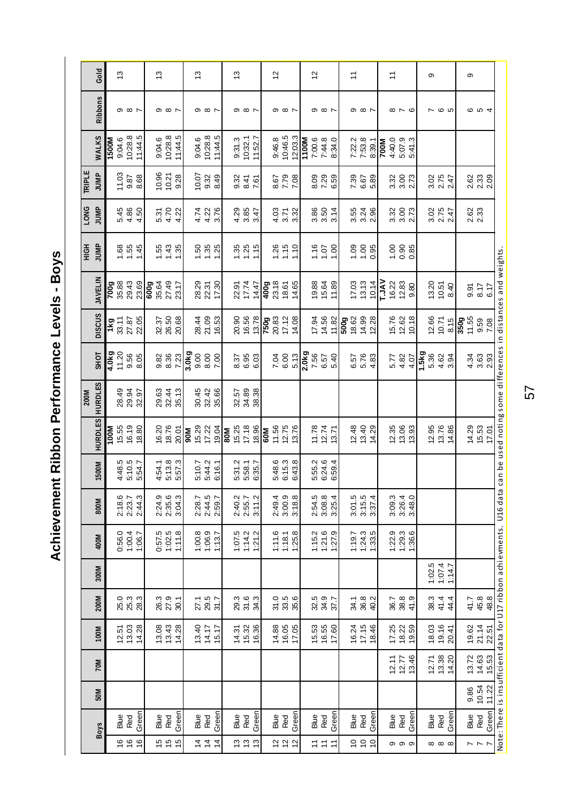<span id="page-56-0"></span>Achievement Ribbon Performance Levels - Boys **Achievement Ribbon Performance Levels - Boys**

|                  | Gold           |             | $\frac{3}{2}$    |                                                             |         | $\frac{3}{2}$                     |                            |                               |            | 13                            |                                 |         |    | $\frac{3}{2}$                   |                          |                             |     | $\frac{2}{3}$          |                           |         |                              | $\frac{2}{3}$                                |                         |        | $\overline{z}$         |                       |                                           |             | $\overline{z}$ |                               |        |                                 | ၜ           |                              |        |                                           | o            |                         |                                                                                                                                     |
|------------------|----------------|-------------|------------------|-------------------------------------------------------------|---------|-----------------------------------|----------------------------|-------------------------------|------------|-------------------------------|---------------------------------|---------|----|---------------------------------|--------------------------|-----------------------------|-----|------------------------|---------------------------|---------|------------------------------|----------------------------------------------|-------------------------|--------|------------------------|-----------------------|-------------------------------------------|-------------|----------------|-------------------------------|--------|---------------------------------|-------------|------------------------------|--------|-------------------------------------------|--------------|-------------------------|-------------------------------------------------------------------------------------------------------------------------------------|
|                  | Ribbons        |             |                  | $\circ$ $\circ$ $\circ$                                     |         |                                   | $\infty$ $\infty$ $\sim$   |                               |            |                               | $\circ$ $\circ$ $\circ$         |         |    |                                 | $\sigma$ $\infty$ $\sim$ |                             |     |                        | $\infty$ $\infty$ $\sim$  |         |                              |                                              | $\circ$ $\circ$ $\circ$ |        |                        |                       | $\circ$ $\circ$ $\circ$                   |             |                | $\infty$ $\sim$ $\infty$      |        |                                 |             | $\omega$                     |        |                                           |              | <b>604</b>              |                                                                                                                                     |
|                  | WALKS          | 1500M       | 9:04.6           | 10:28.8                                                     | 11:44.5 | 9:04.6                            | 10:28.8                    | 11:44.5                       |            | 9:04.6                        | 10:28.8                         | 11:44.5 |    | 9:31.3                          | 10:32.1                  | 11:52.7                     |     | 9:46.8                 | 10:46.5                   | 12:03.3 | M001                         | 7:00.6                                       | 7:44.8                  | 8:34.0 |                        | 7:22.2<br>7:53.8      | 8:39.1                                    | <b>NOOL</b> | 4:40.0         | 5:07.9                        | 5:41.3 |                                 |             |                              |        |                                           |              |                         |                                                                                                                                     |
| TRIPLE           | JUMP           |             |                  | $7.33$<br>9.87<br>8.68                                      |         |                                   |                            | 10.31<br>10.21<br>9.28        |            |                               | $10.07$<br>9.32<br>8.49         |         |    |                                 | 9.32<br>8.41             | 7.61                        |     |                        | 8.7.78<br>P.7.8           |         |                              | 8 8 8<br>8 7 8                               |                         |        |                        |                       | 8<br>6<br>6<br>5<br>5<br>5                |             |                | 3.3<br>3.3<br>2.73            |        |                                 |             | 3.05<br>2.15<br>2.47         |        |                                           |              | 8<br>23<br>23<br>23     |                                                                                                                                     |
| <b>LONG</b>      | JUMP           |             |                  | $\frac{45}{4}$ $\frac{86}{4}$ $\frac{5}{4}$                 |         |                                   | 5.7<br>5.4.22              |                               |            |                               | $4.78$<br>$4.8$<br>$6.76$       |         |    |                                 |                          | 4 3 3 4<br>4 3 5 4          |     |                        | $3.78$<br>$3.78$<br>$3.3$ |         |                              | 86 56 74<br>3 3 3 3                          |                         |        |                        |                       | 55<br>35<br>35<br>25                      |             |                | 3.3<br>3.3.73                 |        |                                 |             | 3.25<br>2.47<br>2.47         |        |                                           | 2.62<br>2.33 |                         |                                                                                                                                     |
| H <sub>Q</sub> H | JUMP           |             |                  | 68.84                                                       |         |                                   |                            |                               |            |                               | 5<br>5<br>5<br>5<br>5<br>5<br>5 |         |    | $\frac{36}{10}$ $\frac{36}{10}$ |                          |                             |     |                        | $\frac{186}{10}$          |         |                              | $\frac{6}{10}$ $\frac{6}{10}$ $\frac{6}{10}$ |                         |        |                        |                       | $\frac{8}{1}$ $\frac{8}{1}$ $\frac{8}{1}$ |             |                | 8880                          |        |                                 |             |                              |        |                                           |              |                         |                                                                                                                                     |
|                  | <b>JAVELIN</b> |             |                  | <b>9</b><br>8 - 8 - 9 - 9<br>8 - 8 - 8 - 8<br>2 - 8 - 8 - 8 |         | 1 1 2<br>99<br>99<br>9009<br>9009 |                            |                               |            |                               | 28.29<br>22.37<br>17.30         |         |    | 22.91<br>17.74                  |                          | 14.47                       |     | 400g                   | 18.61<br>14.65            |         |                              | 19.88<br>15.64<br>11.89                      |                         |        |                        | $\frac{17.03}{13.13}$ | 10.14                                     | <b>AVC1</b> |                | $16.22$<br>$24.83$<br>$9.80$  |        |                                 |             | 13.20<br>12.51<br>8.40       |        |                                           |              | 9.57<br>8.17<br>6.17    | Note: There is insufficient data for U17 ribbon achievments. U16 data can be used noting some differences in distances and weights. |
|                  | <b>DISCUS</b>  |             |                  | 1 13 17<br>33.17<br>27.87<br>22.05                          |         |                                   |                            | 32.57<br>26.58<br>20.68       |            |                               | 28.44<br>21.09<br>16.53         |         |    |                                 |                          | 20.90<br>16.56<br>13.78     |     | 750g<br>20.83<br>17.12 |                           | 14.08   |                              | $17.34$<br>$14.56$<br>$11.82$                |                         |        | 500g<br>18.62<br>14.99 |                       | 12.28                                     |             |                | 15.76<br>12.62                | 10.18  |                                 |             | $12.66$<br>$10.71$<br>$8.15$ |        | 80.<br>952<br><b>6</b> 052<br><b>6052</b> |              |                         |                                                                                                                                     |
|                  | <b>SHOT</b>    | 4.0kg       |                  | $7.368$<br>$9.56$<br>$8.6$                                  |         |                                   |                            | 88<br>88<br>73<br>7           |            | 00:2<br>00:6<br><b>6 x0:3</b> |                                 |         |    |                                 |                          | 37<br>6.98<br>6.9           |     |                        | 7.04<br>6.09<br>5.13      |         | 3.57<br>7.58<br>5.57<br>5.40 |                                              |                         |        |                        |                       | 6.57<br>5.78<br>4.83                      |             |                | 5.32<br>4.82<br>4.92          |        | $1.549$<br>5.36<br>4.62<br>3.94 |             |                              |        |                                           |              | $488$<br>$488$<br>$28$  |                                                                                                                                     |
| 200M             | <b>HURDLES</b> |             |                  | 28.35<br>29.37<br>32.37                                     |         |                                   |                            | 29.41<br>29.41<br>35.13       |            |                               | 30.32<br>30.33<br>35.35         |         |    |                                 |                          | 57<br>32 33<br>33 33        |     |                        |                           |         |                              |                                              |                         |        |                        |                       |                                           |             |                |                               |        |                                 |             |                              |        |                                           |              |                         |                                                                                                                                     |
|                  | <b>HURDLES</b> | <b>N001</b> |                  | $15.55$<br>$16.19$<br>$18.80$                               |         |                                   | 16.20<br>18.76             | 20.01                         | <b>M06</b> | 15.29<br>17.21<br>19.04       |                                 |         | ౹౾ | 15.25<br>17.18                  |                          | 18.96                       | 60M |                        | 11.56<br>12.75<br>13.76   |         |                              | 11.78<br>12.74                               |                         | 13.71  |                        |                       | 12.48<br>13.40<br>14.29                   |             |                | 12.35<br>13.93<br>13.93       |        |                                 |             | 12.95<br>13.76<br>14.86      |        |                                           |              | 14.29<br>15.53<br>17.01 |                                                                                                                                     |
|                  | 1500M          |             | 4:48.5<br>5:10.5 |                                                             | 5:54.7  | 4:54.1                            |                            | 5:13.8<br>5:57.3              |            |                               | 5:10.7<br>5:44.2<br>6:16.1      |         |    | 5:31.2<br>5:58.1                |                          | 6:35.7                      |     |                        | 5:48.6<br>6:15.3          | 6:43.8  |                              | 5:55.2                                       | 6:24.6                  | 6:59.4 |                        |                       |                                           |             |                |                               |        |                                 |             |                              |        |                                           |              |                         |                                                                                                                                     |
|                  | 800M           |             |                  | 2:18.6<br>2:23.7<br>2:44.3                                  |         |                                   | 2:24.9<br>2:35.6<br>3:04.3 |                               |            | 2:28.7<br>2:44.5<br>2:59.7    |                                 |         |    | 2:40.2<br>2:55.7                |                          | 3:11.2                      |     |                        | 2:49.4<br>3:00.9          | 3:18.8  |                              | 2:54.5<br>3:08.8                             |                         | 3:25.4 |                        |                       | $3:01.5$<br>$3:15.5$<br>$3:37.4$          |             |                | 3:09.3<br>3:26.4<br>3:48.0    |        |                                 |             |                              |        |                                           |              |                         |                                                                                                                                     |
|                  | 400M           |             |                  | 0:56.0<br>1:00.4<br>1:06.7                                  |         |                                   |                            | 0:57.5<br>1:02.5<br>1:11.8    |            | $1:00.8$<br>1:06.9            |                                 | 1:13.7  |    | 1:07.5                          | 1:14.2                   | 1:21.2                      |     | 1:11.6                 | 1:18.1                    | 1:25.8  |                              | $1:15.2$<br>$1:21.6$                         |                         | 1:27.9 | 1:19.7                 |                       | $1:24.3$<br>$1:33.5$                      |             |                | $1:22.9$<br>$1:29.3$          | 1:36.6 |                                 |             |                              |        |                                           |              |                         |                                                                                                                                     |
|                  | 300M           |             |                  |                                                             |         |                                   |                            |                               |            |                               |                                 |         |    |                                 |                          |                             |     |                        |                           |         |                              |                                              |                         |        |                        |                       |                                           |             |                |                               |        |                                 |             | $1:02.5$<br>$1:07.4$         | 1:14.7 |                                           |              |                         |                                                                                                                                     |
|                  | 200M           |             |                  | <u>o</u><br>ង ង ឌ                                           |         |                                   |                            | 36.3<br>80.7<br>80.7          |            |                               | 27.1<br>29.5<br>31.7            |         |    |                                 |                          | ್ತ .<br>ನಿ ಸ ಸ              |     |                        | 0<br>5 3 3<br>5 3 3       |         |                              | 5<br>33<br>35<br>37<br>37                    |                         |        | 34.1                   |                       | 36.8<br>40.2                              |             |                | $8899$<br>$419$               |        |                                 | 38.3        | 41.4                         | 44.4   |                                           | 41.7         | 45.8<br>48.8            |                                                                                                                                     |
|                  | 100M           |             |                  | 12.51<br>13.03<br>14.28                                     |         |                                   |                            | $13.08$<br>$13.43$<br>$14.28$ |            | 13.40<br>14.17                |                                 | 15.17   |    | 14.31                           | 15.32                    | 16.36                       |     |                        | 14.88<br>16.05            | 17.05   |                              | 15.53<br>16.55<br>17.60                      |                         |        |                        |                       | 16.24<br>17.15<br>18.46                   |             |                | $7.25$<br>$18.22$<br>$19.59$  |        |                                 | 18.03       | 19.16                        | 20.41  |                                           | 19.62        | 21.14<br>22.51          |                                                                                                                                     |
|                  | 70M            |             |                  |                                                             |         |                                   |                            |                               |            |                               |                                 |         |    |                                 |                          |                             |     |                        |                           |         |                              |                                              |                         |        |                        |                       |                                           |             |                | $12.77$<br>$12.77$<br>$13.46$ |        |                                 |             | 12.71<br>13.38<br>14.20      |        |                                           | 13.72        | 14.63<br>15.53          |                                                                                                                                     |
|                  | 50M            |             |                  |                                                             |         |                                   |                            |                               |            |                               |                                 |         |    |                                 |                          |                             |     |                        |                           |         |                              |                                              |                         |        |                        |                       |                                           |             |                |                               |        |                                 |             |                              |        |                                           | 9.86         | 10.54<br>11.22          |                                                                                                                                     |
|                  | <b>Boys</b>    |             | Blue             | Red                                                         | Green   |                                   | Blue<br>Red                | Green                         |            |                               | Blue<br>Red<br>Green            |         |    | Blue                            | Red                      | Green                       |     |                        | Blue<br>Red               | Green   |                              | Blue                                         | Red                     | Green  |                        | Blue<br>Red           | Green                                     |             | Blue<br>Red    |                               | Green  |                                 | Blue<br>Red |                              | Green  |                                           | Blue         | Green<br>Red            |                                                                                                                                     |
|                  |                |             |                  | $16$<br>$16$                                                |         |                                   | $15 - 15$                  |                               |            |                               | <u>न</u> न न<br>न न न           |         |    |                                 |                          | $\frac{3}{2}$ $\frac{3}{2}$ |     |                        | 12<br>12<br>12            |         |                              |                                              | a a a                   |        |                        |                       | 999                                       |             |                | თ თ თ                         |        |                                 |             | $\infty$ $\infty$            |        |                                           |              | $\sim$ $\sim$ $\sim$    |                                                                                                                                     |